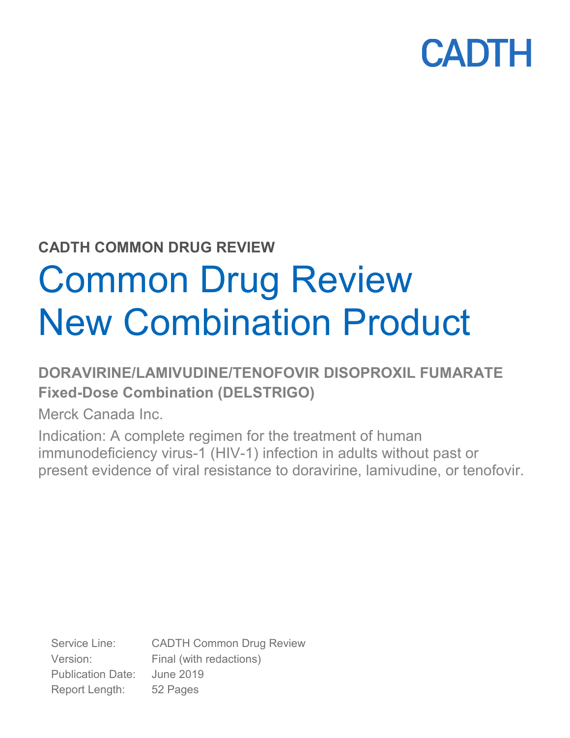

## **CADTH COMMON DRUG REVIEW**

# Common Drug Review New Combination Product

## **DORAVIRINE/LAMIVUDINE/TENOFOVIR DISOPROXIL FUMARATE Fixed-Dose Combination (DELSTRIGO)**

Merck Canada Inc.

Indication: A complete regimen for the treatment of human immunodeficiency virus-1 (HIV-1) infection in adults without past or present evidence of viral resistance to doravirine, lamivudine, or tenofovir.

Service Line: CADTH Common Drug Review Version: Final (with redactions) Publication Date: June 2019 Report Length: 52 Pages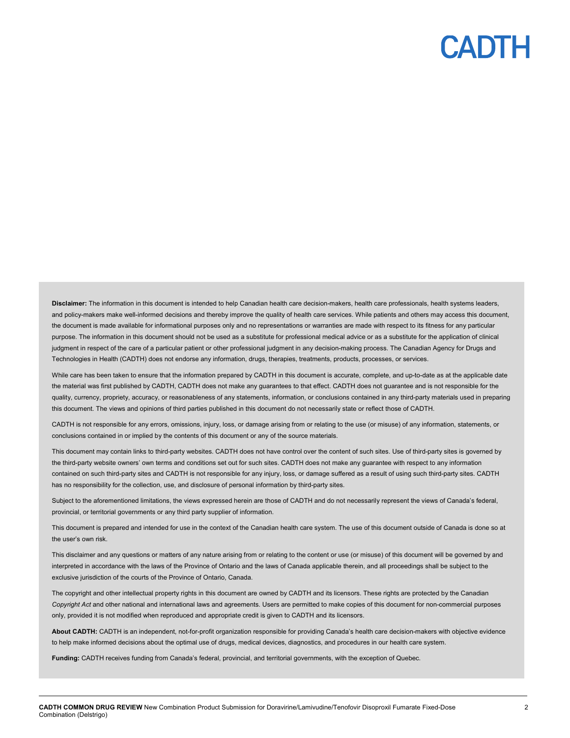**Disclaimer:** The information in this document is intended to help Canadian health care decision-makers, health care professionals, health systems leaders, and policy-makers make well-informed decisions and thereby improve the quality of health care services. While patients and others may access this document, the document is made available for informational purposes only and no representations or warranties are made with respect to its fitness for any particular purpose. The information in this document should not be used as a substitute for professional medical advice or as a substitute for the application of clinical judgment in respect of the care of a particular patient or other professional judgment in any decision-making process. The Canadian Agency for Drugs and Technologies in Health (CADTH) does not endorse any information, drugs, therapies, treatments, products, processes, or services.

While care has been taken to ensure that the information prepared by CADTH in this document is accurate, complete, and up-to-date as at the applicable date the material was first published by CADTH, CADTH does not make any guarantees to that effect. CADTH does not guarantee and is not responsible for the quality, currency, propriety, accuracy, or reasonableness of any statements, information, or conclusions contained in any third-party materials used in preparing this document. The views and opinions of third parties published in this document do not necessarily state or reflect those of CADTH.

CADTH is not responsible for any errors, omissions, injury, loss, or damage arising from or relating to the use (or misuse) of any information, statements, or conclusions contained in or implied by the contents of this document or any of the source materials.

This document may contain links to third-party websites. CADTH does not have control over the content of such sites. Use of third-party sites is governed by the third-party website owners' own terms and conditions set out for such sites. CADTH does not make any guarantee with respect to any information contained on such third-party sites and CADTH is not responsible for any injury, loss, or damage suffered as a result of using such third-party sites. CADTH has no responsibility for the collection, use, and disclosure of personal information by third-party sites.

Subject to the aforementioned limitations, the views expressed herein are those of CADTH and do not necessarily represent the views of Canada's federal, provincial, or territorial governments or any third party supplier of information.

This document is prepared and intended for use in the context of the Canadian health care system. The use of this document outside of Canada is done so at the user's own risk.

This disclaimer and any questions or matters of any nature arising from or relating to the content or use (or misuse) of this document will be governed by and interpreted in accordance with the laws of the Province of Ontario and the laws of Canada applicable therein, and all proceedings shall be subject to the exclusive jurisdiction of the courts of the Province of Ontario, Canada.

The copyright and other intellectual property rights in this document are owned by CADTH and its licensors. These rights are protected by the Canadian *Copyright Act* and other national and international laws and agreements. Users are permitted to make copies of this document for non-commercial purposes only, provided it is not modified when reproduced and appropriate credit is given to CADTH and its licensors.

**About CADTH:** CADTH is an independent, not-for-profit organization responsible for providing Canada's health care decision-makers with objective evidence to help make informed decisions about the optimal use of drugs, medical devices, diagnostics, and procedures in our health care system.

**Funding:** CADTH receives funding from Canada's federal, provincial, and territorial governments, with the exception of Quebec.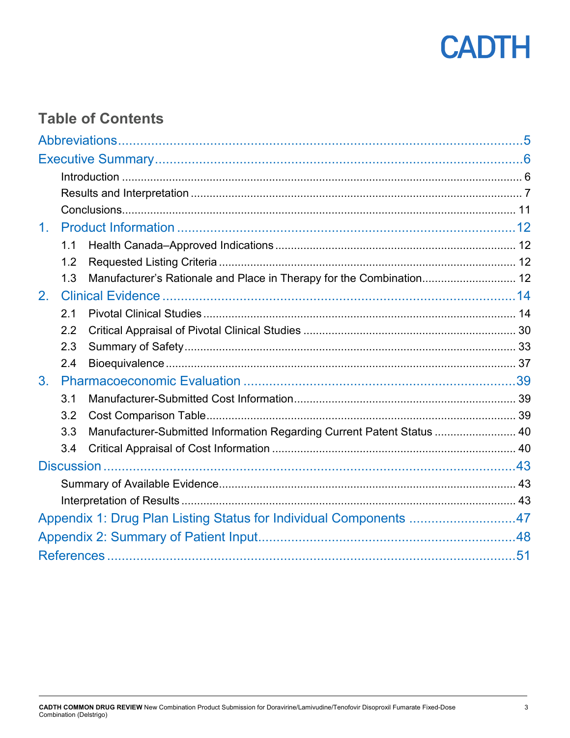

## **Table of Contents**

| 1 <sub>1</sub> |     |                                                                        |  |
|----------------|-----|------------------------------------------------------------------------|--|
|                | 1.1 |                                                                        |  |
|                | 1.2 |                                                                        |  |
|                | 1.3 | Manufacturer's Rationale and Place in Therapy for the Combination 12   |  |
| 2.             |     |                                                                        |  |
|                | 2.1 |                                                                        |  |
|                | 2.2 |                                                                        |  |
|                | 2.3 |                                                                        |  |
|                | 2.4 |                                                                        |  |
| 3.             |     |                                                                        |  |
|                | 3.1 |                                                                        |  |
|                | 3.2 |                                                                        |  |
|                | 3.3 | Manufacturer-Submitted Information Regarding Current Patent Status  40 |  |
|                | 3.4 |                                                                        |  |
|                |     |                                                                        |  |
|                |     |                                                                        |  |
|                |     |                                                                        |  |
|                |     | Appendix 1: Drug Plan Listing Status for Individual Components 47      |  |
|                |     |                                                                        |  |
|                |     |                                                                        |  |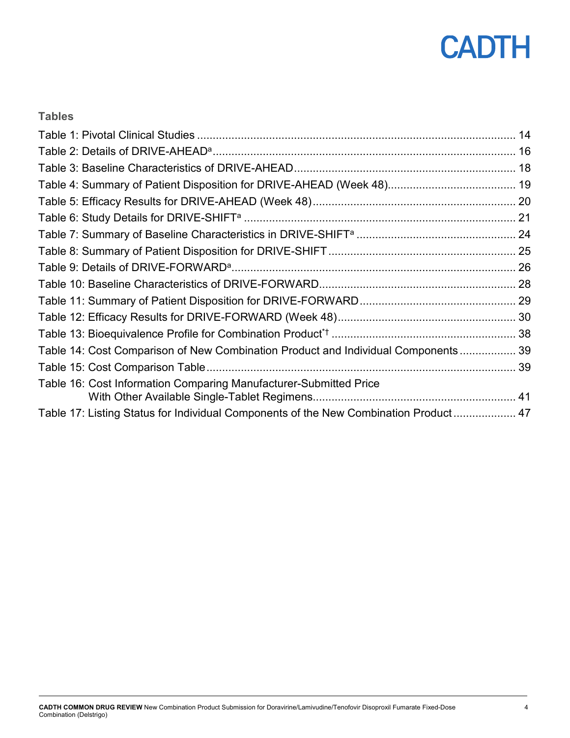

## **Tables**

| Table 14: Cost Comparison of New Combination Product and Individual Components 39    |  |
|--------------------------------------------------------------------------------------|--|
|                                                                                      |  |
| Table 16: Cost Information Comparing Manufacturer-Submitted Price                    |  |
| Table 17: Listing Status for Individual Components of the New Combination Product 47 |  |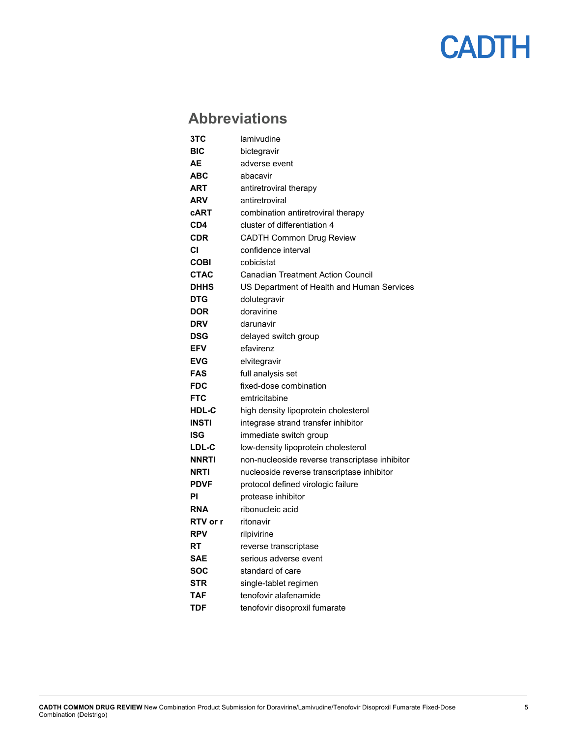## <span id="page-4-0"></span>**Abbreviations**

| 3TC             | lamivudine                                     |
|-----------------|------------------------------------------------|
| BIC             | bictegravir                                    |
| AE              | adverse event                                  |
| <b>ABC</b>      | abacavir                                       |
| ART             | antiretroviral therapy                         |
| <b>ARV</b>      | antiretroviral                                 |
| <b>cART</b>     | combination antiretroviral therapy             |
| CD4             | cluster of differentiation 4                   |
| <b>CDR</b>      | <b>CADTH Common Drug Review</b>                |
| СI              | confidence interval                            |
| COBI            | cobicistat                                     |
| <b>CTAC</b>     | <b>Canadian Treatment Action Council</b>       |
| <b>DHHS</b>     | US Department of Health and Human Services     |
| <b>DTG</b>      | dolutegravir                                   |
| <b>DOR</b>      | doravirine                                     |
| <b>DRV</b>      | darunavir                                      |
| <b>DSG</b>      | delayed switch group                           |
| <b>EFV</b>      | efavirenz                                      |
| <b>EVG</b>      | elvitegravir                                   |
| <b>FAS</b>      | full analysis set                              |
| FDC             | fixed-dose combination                         |
| <b>FTC</b>      | emtricitabine                                  |
| <b>HDL-C</b>    | high density lipoprotein cholesterol           |
| <b>INSTI</b>    | integrase strand transfer inhibitor            |
| ISG             | immediate switch group                         |
| <b>LDL-C</b>    | low-density lipoprotein cholesterol            |
| <b>NNRTI</b>    | non-nucleoside reverse transcriptase inhibitor |
| <b>NRTI</b>     | nucleoside reverse transcriptase inhibitor     |
| <b>PDVF</b>     | protocol defined virologic failure             |
| ΡI              | protease inhibitor                             |
| <b>RNA</b>      | ribonucleic acid                               |
| <b>RTV</b> or r | ritonavir                                      |
| <b>RPV</b>      | rilpivirine                                    |
| RT              | reverse transcriptase                          |
| <b>SAE</b>      | serious adverse event                          |
| SOC             | standard of care                               |
| STR             | single-tablet regimen                          |
| TAF             | tenofovir alafenamide                          |
| TDF             | tenofovir disoproxil fumarate                  |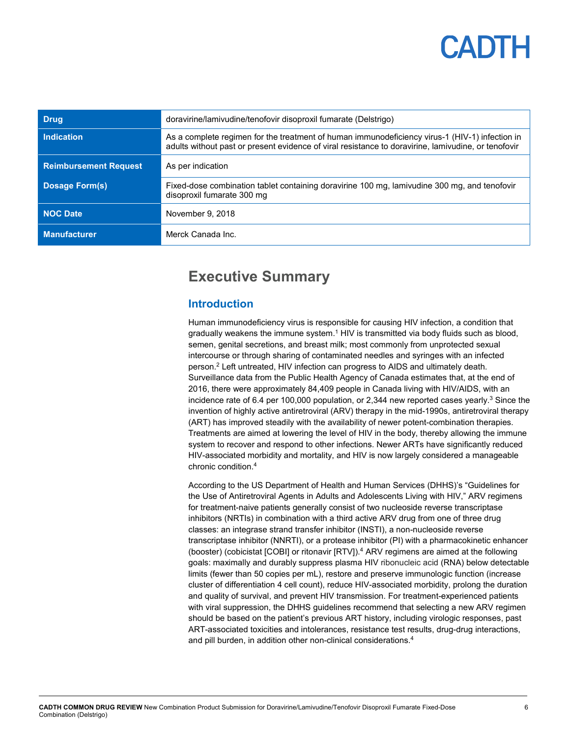| <b>Drug</b>                  | doravirine/lamivudine/tenofovir disoproxil fumarate (Delstrigo)                                                                                                                                       |  |  |
|------------------------------|-------------------------------------------------------------------------------------------------------------------------------------------------------------------------------------------------------|--|--|
| <b>Indication</b>            | As a complete regimen for the treatment of human immunodeficiency virus-1 (HIV-1) infection in<br>adults without past or present evidence of viral resistance to doravirine, lamivudine, or tenofovir |  |  |
| <b>Reimbursement Request</b> | As per indication                                                                                                                                                                                     |  |  |
| <b>Dosage Form(s)</b>        | Fixed-dose combination tablet containing doravirine 100 mg, lamivudine 300 mg, and tenofovir<br>disoproxil fumarate 300 mg                                                                            |  |  |
| <b>NOC Date</b>              | November 9, 2018                                                                                                                                                                                      |  |  |
| <b>Manufacturer</b>          | Merck Canada Inc.                                                                                                                                                                                     |  |  |

## <span id="page-5-0"></span>**Executive Summary**

## <span id="page-5-1"></span>**Introduction**

Human immunodeficiency virus is responsible for causing HIV infection, a condition that gradually weakens the immune system. $1$  HIV is transmitted via body fluids such as blood, semen, genital secretions, and breast milk; most commonly from unprotected sexual intercourse or through sharing of contaminated needles and syringes with an infected person.2 Left untreated, HIV infection can progress to AIDS and ultimately death. Surveillance data from the Public Health Agency of Canada estimates that, at the end of 2016, there were approximately 84,409 people in Canada living with HIV/AIDS, with an incidence rate of 6.4 per 100,000 population, or 2,344 new reported cases yearly. <sup>3</sup> Since the invention of highly active antiretroviral (ARV) therapy in the mid-1990s, antiretroviral therapy (ART) has improved steadily with the availability of newer potent-combination therapies. Treatments are aimed at lowering the level of HIV in the body, thereby allowing the immune system to recover and respond to other infections. Newer ARTs have significantly reduced HIV-associated morbidity and mortality, and HIV is now largely considered a manageable chronic condition.4

According to the US Department of Health and Human Services (DHHS)'s "Guidelines for the Use of Antiretroviral Agents in Adults and Adolescents Living with HIV," ARV regimens for treatment-naive patients generally consist of two nucleoside reverse transcriptase inhibitors (NRTIs) in combination with a third active ARV drug from one of three drug classes: an integrase strand transfer inhibitor (INSTI), a non-nucleoside reverse transcriptase inhibitor (NNRTI), or a protease inhibitor (PI) with a pharmacokinetic enhancer (booster) (cobicistat [COBI] or ritonavir [RTV]).4 ARV regimens are aimed at the following goals: maximally and durably suppress plasma HIV ribonucleic acid (RNA) below detectable limits (fewer than 50 copies per mL), restore and preserve immunologic function (increase cluster of differentiation 4 cell count), reduce HIV-associated morbidity, prolong the duration and quality of survival, and prevent HIV transmission. For treatment-experienced patients with viral suppression, the DHHS guidelines recommend that selecting a new ARV regimen should be based on the patient's previous ART history, including virologic responses, past ART-associated toxicities and intolerances, resistance test results, drug-drug interactions, and pill burden, in addition other non-clinical considerations.<sup>4</sup>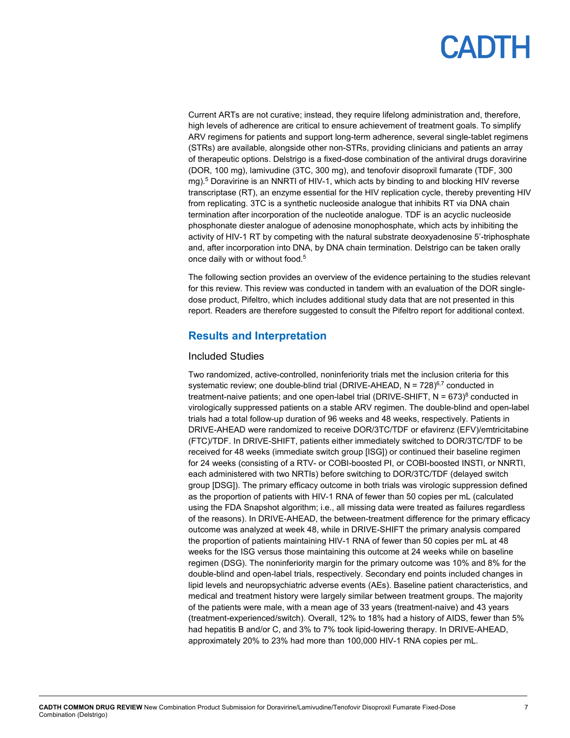Current ARTs are not curative; instead, they require lifelong administration and, therefore, high levels of adherence are critical to ensure achievement of treatment goals. To simplify ARV regimens for patients and support long-term adherence, several single-tablet regimens (STRs) are available, alongside other non-STRs, providing clinicians and patients an array of therapeutic options. Delstrigo is a fixed-dose combination of the antiviral drugs doravirine (DOR, 100 mg), lamivudine (3TC, 300 mg), and tenofovir disoproxil fumarate (TDF, 300 mg).5 Doravirine is an NNRTI of HIV-1, which acts by binding to and blocking HIV reverse transcriptase (RT), an enzyme essential for the HIV replication cycle, thereby preventing HIV from replicating. 3TC is a synthetic nucleoside analogue that inhibits RT via DNA chain termination after incorporation of the nucleotide analogue. TDF is an acyclic nucleoside phosphonate diester analogue of adenosine monophosphate, which acts by inhibiting the activity of HIV-1 RT by competing with the natural substrate deoxyadenosine 5'-triphosphate and, after incorporation into DNA, by DNA chain termination. Delstrigo can be taken orally once daily with or without food.5

The following section provides an overview of the evidence pertaining to the studies relevant for this review. This review was conducted in tandem with an evaluation of the DOR singledose product, Pifeltro, which includes additional study data that are not presented in this report. Readers are therefore suggested to consult the Pifeltro report for additional context.

### <span id="page-6-0"></span>**Results and Interpretation**

### Included Studies

Two randomized, active-controlled, noninferiority trials met the inclusion criteria for this systematic review; one double-blind trial (DRIVE-AHEAD,  $N = 728$ )<sup>6,7</sup> conducted in treatment-naive patients; and one open-label trial (DRIVE-SHIFT,  $N = 673$ <sup>8</sup> conducted in virologically suppressed patients on a stable ARV regimen. The double-blind and open-label trials had a total follow-up duration of 96 weeks and 48 weeks, respectively. Patients in DRIVE-AHEAD were randomized to receive DOR/3TC/TDF or efavirenz (EFV)/emtricitabine (FTC)/TDF. In DRIVE-SHIFT, patients either immediately switched to DOR/3TC/TDF to be received for 48 weeks (immediate switch group [ISG]) or continued their baseline regimen for 24 weeks (consisting of a RTV- or COBI-boosted PI, or COBI-boosted INSTI, or NNRTI, each administered with two NRTIs) before switching to DOR/3TC/TDF (delayed switch group [DSG]). The primary efficacy outcome in both trials was virologic suppression defined as the proportion of patients with HIV-1 RNA of fewer than 50 copies per mL (calculated using the FDA Snapshot algorithm; i.e., all missing data were treated as failures regardless of the reasons). In DRIVE-AHEAD, the between-treatment difference for the primary efficacy outcome was analyzed at week 48, while in DRIVE-SHIFT the primary analysis compared the proportion of patients maintaining HIV-1 RNA of fewer than 50 copies per mL at 48 weeks for the ISG versus those maintaining this outcome at 24 weeks while on baseline regimen (DSG). The noninferiority margin for the primary outcome was 10% and 8% for the double-blind and open-label trials, respectively. Secondary end points included changes in lipid levels and neuropsychiatric adverse events (AEs). Baseline patient characteristics, and medical and treatment history were largely similar between treatment groups. The majority of the patients were male, with a mean age of 33 years (treatment-naive) and 43 years (treatment-experienced/switch). Overall, 12% to 18% had a history of AIDS, fewer than 5% had hepatitis B and/or C, and 3% to 7% took lipid-lowering therapy. In DRIVE-AHEAD, approximately 20% to 23% had more than 100,000 HIV-1 RNA copies per mL.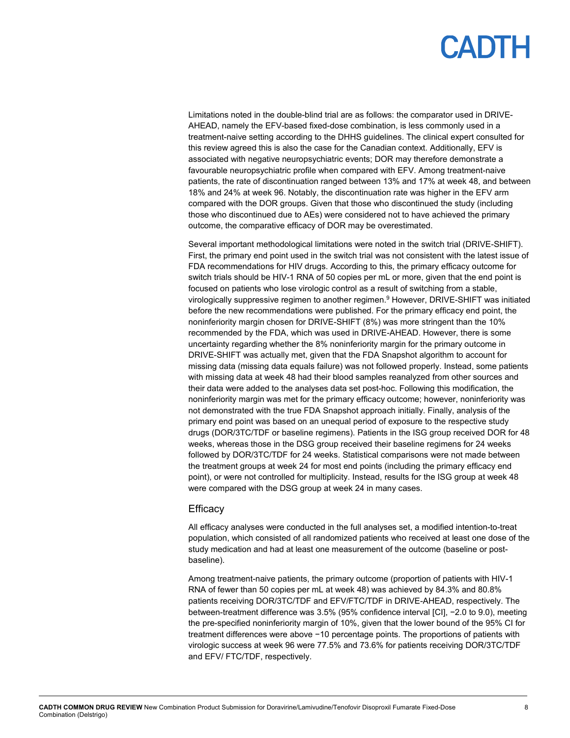Limitations noted in the double-blind trial are as follows: the comparator used in DRIVE-AHEAD, namely the EFV-based fixed-dose combination, is less commonly used in a treatment-naive setting according to the DHHS guidelines. The clinical expert consulted for this review agreed this is also the case for the Canadian context. Additionally, EFV is associated with negative neuropsychiatric events; DOR may therefore demonstrate a favourable neuropsychiatric profile when compared with EFV. Among treatment-naive patients, the rate of discontinuation ranged between 13% and 17% at week 48, and between 18% and 24% at week 96. Notably, the discontinuation rate was higher in the EFV arm compared with the DOR groups. Given that those who discontinued the study (including those who discontinued due to AEs) were considered not to have achieved the primary outcome, the comparative efficacy of DOR may be overestimated.

Several important methodological limitations were noted in the switch trial (DRIVE-SHIFT). First, the primary end point used in the switch trial was not consistent with the latest issue of FDA recommendations for HIV drugs. According to this, the primary efficacy outcome for switch trials should be HIV-1 RNA of 50 copies per mL or more, given that the end point is focused on patients who lose virologic control as a result of switching from a stable, virologically suppressive regimen to another regimen.9 However, DRIVE-SHIFT was initiated before the new recommendations were published. For the primary efficacy end point, the noninferiority margin chosen for DRIVE-SHIFT (8%) was more stringent than the 10% recommended by the FDA, which was used in DRIVE-AHEAD. However, there is some uncertainty regarding whether the 8% noninferiority margin for the primary outcome in DRIVE-SHIFT was actually met, given that the FDA Snapshot algorithm to account for missing data (missing data equals failure) was not followed properly. Instead, some patients with missing data at week 48 had their blood samples reanalyzed from other sources and their data were added to the analyses data set post-hoc. Following this modification, the noninferiority margin was met for the primary efficacy outcome; however, noninferiority was not demonstrated with the true FDA Snapshot approach initially. Finally, analysis of the primary end point was based on an unequal period of exposure to the respective study drugs (DOR/3TC/TDF or baseline regimens). Patients in the ISG group received DOR for 48 weeks, whereas those in the DSG group received their baseline regimens for 24 weeks followed by DOR/3TC/TDF for 24 weeks. Statistical comparisons were not made between the treatment groups at week 24 for most end points (including the primary efficacy end point), or were not controlled for multiplicity. Instead, results for the ISG group at week 48 were compared with the DSG group at week 24 in many cases.

#### **Efficacy**

All efficacy analyses were conducted in the full analyses set, a modified intention-to-treat population, which consisted of all randomized patients who received at least one dose of the study medication and had at least one measurement of the outcome (baseline or postbaseline).

Among treatment-naive patients, the primary outcome (proportion of patients with HIV-1 RNA of fewer than 50 copies per mL at week 48) was achieved by 84.3% and 80.8% patients receiving DOR/3TC/TDF and EFV/FTC/TDF in DRIVE-AHEAD, respectively. The between-treatment difference was 3.5% (95% confidence interval [CI], −2.0 to 9.0), meeting the pre-specified noninferiority margin of 10%, given that the lower bound of the 95% CI for treatment differences were above −10 percentage points. The proportions of patients with virologic success at week 96 were 77.5% and 73.6% for patients receiving DOR/3TC/TDF and EFV/ FTC/TDF, respectively.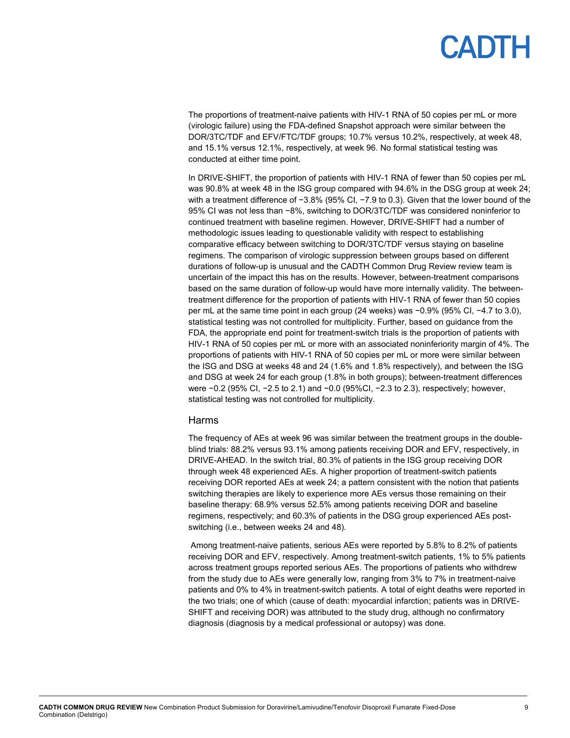The proportions of treatment-naive patients with HIV-1 RNA of 50 copies per mL or more (virologic failure) using the FDA-defined Snapshot approach were similar between the DOR/3TC/TDF and EFV/FTC/TDF groups; 10.7% versus 10.2%, respectively, at week 48, and 15.1% versus 12.1%, respectively, at week 96. No formal statistical testing was conducted at either time point.

In DRIVE-SHIFT, the proportion of patients with HIV-1 RNA of fewer than 50 copies per mL was 90.8% at week 48 in the ISG group compared with 94.6% in the DSG group at week 24; with a treatment difference of −3.8% (95% CI, −7.9 to 0.3). Given that the lower bound of the 95% CI was not less than −8%, switching to DOR/3TC/TDF was considered noninferior to continued treatment with baseline regimen. However, DRIVE-SHIFT had a number of methodologic issues leading to questionable validity with respect to establishing comparative efficacy between switching to DOR/3TC/TDF versus staying on baseline regimens. The comparison of virologic suppression between groups based on different durations of follow-up is unusual and the CADTH Common Drug Review review team is uncertain of the impact this has on the results. However, between-treatment comparisons based on the same duration of follow-up would have more internally validity. The betweentreatment difference for the proportion of patients with HIV-1 RNA of fewer than 50 copies per mL at the same time point in each group (24 weeks) was −0.9% (95% CI, −4.7 to 3.0), statistical testing was not controlled for multiplicity. Further, based on guidance from the FDA, the appropriate end point for treatment-switch trials is the proportion of patients with HIV-1 RNA of 50 copies per mL or more with an associated noninferiority margin of 4%. The proportions of patients with HIV-1 RNA of 50 copies per mL or more were similar between the ISG and DSG at weeks 48 and 24 (1.6% and 1.8% respectively), and between the ISG and DSG at week 24 for each group (1.8% in both groups); between-treatment differences were −0.2 (95% CI, −2.5 to 2.1) and −0.0 (95%CI, −2.3 to 2.3), respectively; however, statistical testing was not controlled for multiplicity.

#### Harms

The frequency of AEs at week 96 was similar between the treatment groups in the doubleblind trials: 88.2% versus 93.1% among patients receiving DOR and EFV, respectively, in DRIVE-AHEAD. In the switch trial, 80.3% of patients in the ISG group receiving DOR through week 48 experienced AEs. A higher proportion of treatment-switch patients receiving DOR reported AEs at week 24; a pattern consistent with the notion that patients switching therapies are likely to experience more AEs versus those remaining on their baseline therapy: 68.9% versus 52.5% among patients receiving DOR and baseline regimens, respectively; and 60.3% of patients in the DSG group experienced AEs postswitching (i.e., between weeks 24 and 48).

Among treatment-naive patients, serious AEs were reported by 5.8% to 8.2% of patients receiving DOR and EFV, respectively. Among treatment-switch patients, 1% to 5% patients across treatment groups reported serious AEs. The proportions of patients who withdrew from the study due to AEs were generally low, ranging from 3% to 7% in treatment-naive patients and 0% to 4% in treatment-switch patients. A total of eight deaths were reported in the two trials; one of which (cause of death: myocardial infarction; patients was in DRIVE-SHIFT and receiving DOR) was attributed to the study drug, although no confirmatory diagnosis (diagnosis by a medical professional or autopsy) was done.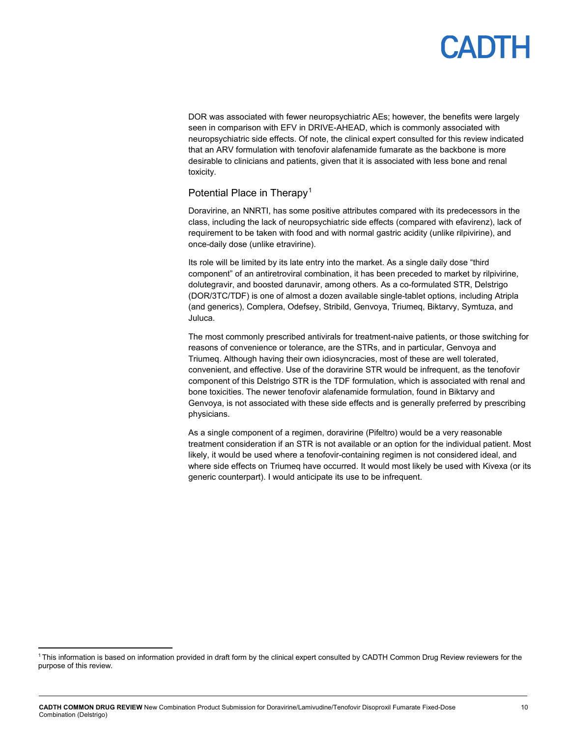## **ANTE**

DOR was associated with fewer neuropsychiatric AEs; however, the benefits were largely seen in comparison with EFV in DRIVE-AHEAD, which is commonly associated with neuropsychiatric side effects. Of note, the clinical expert consulted for this review indicated that an ARV formulation with tenofovir alafenamide fumarate as the backbone is more desirable to clinicians and patients, given that it is associated with less bone and renal toxicity.

### Potential Place in Therapy<sup>[1](#page-9-0)</sup>

Doravirine, an NNRTI, has some positive attributes compared with its predecessors in the class, including the lack of neuropsychiatric side effects (compared with efavirenz), lack of requirement to be taken with food and with normal gastric acidity (unlike rilpivirine), and once-daily dose (unlike etravirine).

Its role will be limited by its late entry into the market. As a single daily dose "third component" of an antiretroviral combination, it has been preceded to market by rilpivirine, dolutegravir, and boosted darunavir, among others. As a co-formulated STR, Delstrigo (DOR/3TC/TDF) is one of almost a dozen available single-tablet options, including Atripla (and generics), Complera, Odefsey, Stribild, Genvoya, Triumeq, Biktarvy, Symtuza, and Juluca.

The most commonly prescribed antivirals for treatment-naive patients, or those switching for reasons of convenience or tolerance, are the STRs, and in particular, Genvoya and Triumeq. Although having their own idiosyncracies, most of these are well tolerated, convenient, and effective. Use of the doravirine STR would be infrequent, as the tenofovir component of this Delstrigo STR is the TDF formulation, which is associated with renal and bone toxicities. The newer tenofovir alafenamide formulation, found in Biktarvy and Genvoya, is not associated with these side effects and is generally preferred by prescribing physicians.

As a single component of a regimen, doravirine (Pifeltro) would be a very reasonable treatment consideration if an STR is not available or an option for the individual patient. Most likely, it would be used where a tenofovir-containing regimen is not considered ideal, and where side effects on Triumeq have occurred. It would most likely be used with Kivexa (or its generic counterpart). I would anticipate its use to be infrequent.

<span id="page-9-0"></span><sup>&</sup>lt;sup>1</sup> This information is based on information provided in draft form by the clinical expert consulted by CADTH Common Drug Review reviewers for the purpose of this review.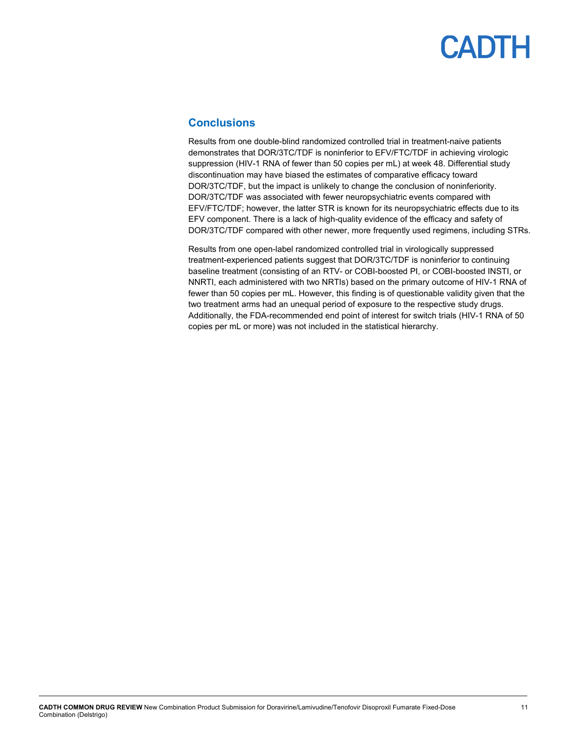### <span id="page-10-0"></span>**Conclusions**

Results from one double-blind randomized controlled trial in treatment-naive patients demonstrates that DOR/3TC/TDF is noninferior to EFV/FTC/TDF in achieving virologic suppression (HIV-1 RNA of fewer than 50 copies per mL) at week 48. Differential study discontinuation may have biased the estimates of comparative efficacy toward DOR/3TC/TDF, but the impact is unlikely to change the conclusion of noninferiority. DOR/3TC/TDF was associated with fewer neuropsychiatric events compared with EFV/FTC/TDF; however, the latter STR is known for its neuropsychiatric effects due to its EFV component. There is a lack of high-quality evidence of the efficacy and safety of DOR/3TC/TDF compared with other newer, more frequently used regimens, including STRs.

Results from one open-label randomized controlled trial in virologically suppressed treatment-experienced patients suggest that DOR/3TC/TDF is noninferior to continuing baseline treatment (consisting of an RTV- or COBI-boosted PI, or COBI-boosted INSTI, or NNRTI, each administered with two NRTIs) based on the primary outcome of HIV-1 RNA of fewer than 50 copies per mL. However, this finding is of questionable validity given that the two treatment arms had an unequal period of exposure to the respective study drugs. Additionally, the FDA-recommended end point of interest for switch trials (HIV-1 RNA of 50 copies per mL or more) was not included in the statistical hierarchy.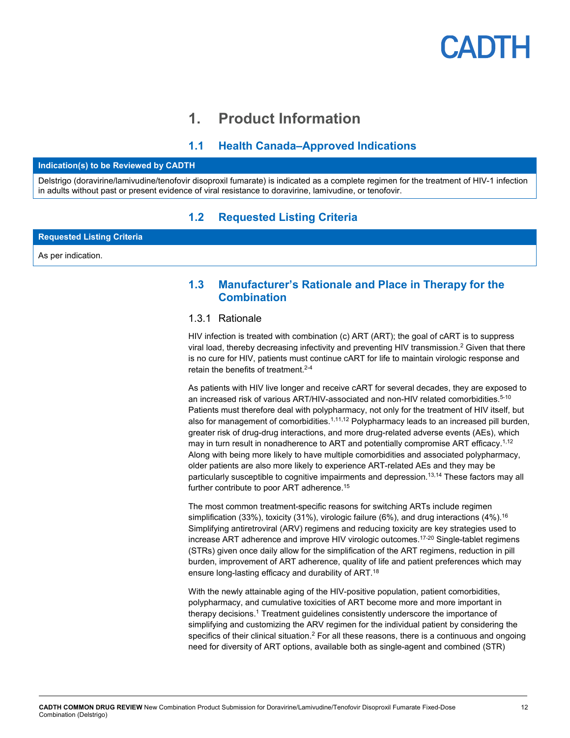## **1. Product Information**

## **1.1 Health Canada–Approved Indications**

#### <span id="page-11-1"></span><span id="page-11-0"></span>**Indication(s) to be Reviewed by CADTH**

<span id="page-11-2"></span>Delstrigo (doravirine/lamivudine/tenofovir disoproxil fumarate) is indicated as a complete regimen for the treatment of HIV-1 infection in adults without past or present evidence of viral resistance to doravirine, lamivudine, or tenofovir.

### **1.2 Requested Listing Criteria**

**Requested Listing Criteria**

<span id="page-11-3"></span>As per indication.

### **1.3 Manufacturer's Rationale and Place in Therapy for the Combination**

### 1.3.1 Rationale

HIV infection is treated with combination (c) ART (ART); the goal of cART is to suppress viral load, thereby decreasing infectivity and preventing HIV transmission.2 Given that there is no cure for HIV, patients must continue cART for life to maintain virologic response and retain the benefits of treatment.<sup>2-4</sup>

As patients with HIV live longer and receive cART for several decades, they are exposed to an increased risk of various ART/HIV-associated and non-HIV related comorbidities.<sup>5-10</sup> Patients must therefore deal with polypharmacy, not only for the treatment of HIV itself, but also for management of comorbidities. $1,11,12$  Polypharmacy leads to an increased pill burden, greater risk of drug-drug interactions, and more drug-related adverse events (AEs), which may in turn result in nonadherence to ART and potentially compromise ART efficacy.<sup>1,12</sup> Along with being more likely to have multiple comorbidities and associated polypharmacy, older patients are also more likely to experience ART-related AEs and they may be particularly susceptible to cognitive impairments and depression.<sup>13,14</sup> These factors may all further contribute to poor ART adherence.<sup>15</sup>

The most common treatment-specific reasons for switching ARTs include regimen simplification (33%), toxicity (31%), virologic failure (6%), and drug interactions (4%).<sup>16</sup> Simplifying antiretroviral (ARV) regimens and reducing toxicity are key strategies used to increase ART adherence and improve HIV virologic outcomes.17-20 Single-tablet regimens (STRs) given once daily allow for the simplification of the ART regimens, reduction in pill burden, improvement of ART adherence, quality of life and patient preferences which may ensure long-lasting efficacy and durability of ART.18

With the newly attainable aging of the HIV-positive population, patient comorbidities, polypharmacy, and cumulative toxicities of ART become more and more important in therapy decisions.<sup>1</sup> Treatment guidelines consistently underscore the importance of simplifying and customizing the ARV regimen for the individual patient by considering the specifics of their clinical situation. $2$  For all these reasons, there is a continuous and ongoing need for diversity of ART options, available both as single-agent and combined (STR)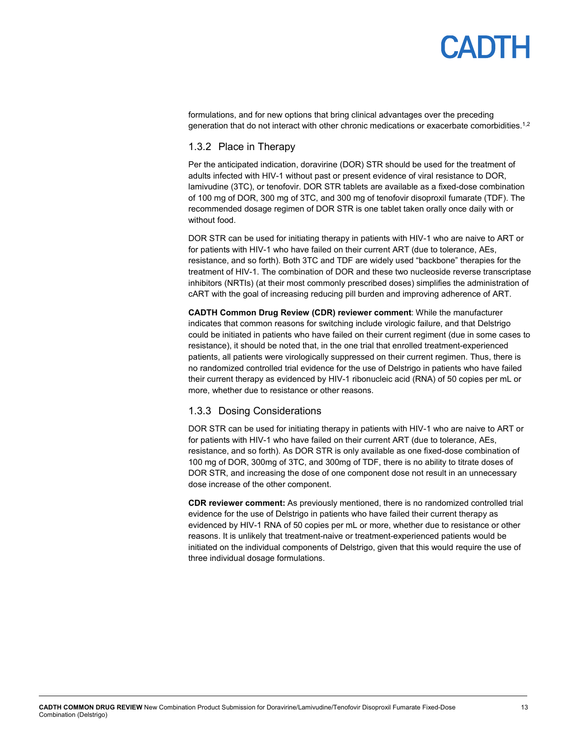formulations, and for new options that bring clinical advantages over the preceding generation that do not interact with other chronic medications or exacerbate comorbidities.<sup>1,2</sup>

### 1.3.2 Place in Therapy

Per the anticipated indication, doravirine (DOR) STR should be used for the treatment of adults infected with HIV-1 without past or present evidence of viral resistance to DOR, lamivudine (3TC), or tenofovir. DOR STR tablets are available as a fixed-dose combination of 100 mg of DOR, 300 mg of 3TC, and 300 mg of tenofovir disoproxil fumarate (TDF). The recommended dosage regimen of DOR STR is one tablet taken orally once daily with or without food.

DOR STR can be used for initiating therapy in patients with HIV-1 who are naive to ART or for patients with HIV-1 who have failed on their current ART (due to tolerance, AEs, resistance, and so forth). Both 3TC and TDF are widely used "backbone" therapies for the treatment of HIV-1. The combination of DOR and these two nucleoside reverse transcriptase inhibitors (NRTIs) (at their most commonly prescribed doses) simplifies the administration of cART with the goal of increasing reducing pill burden and improving adherence of ART.

**CADTH Common Drug Review (CDR) reviewer comment**: While the manufacturer indicates that common reasons for switching include virologic failure, and that Delstrigo could be initiated in patients who have failed on their current regiment (due in some cases to resistance), it should be noted that, in the one trial that enrolled treatment-experienced patients, all patients were virologically suppressed on their current regimen. Thus, there is no randomized controlled trial evidence for the use of Delstrigo in patients who have failed their current therapy as evidenced by HIV-1 ribonucleic acid (RNA) of 50 copies per mL or more, whether due to resistance or other reasons.

### 1.3.3 Dosing Considerations

DOR STR can be used for initiating therapy in patients with HIV-1 who are naive to ART or for patients with HIV-1 who have failed on their current ART (due to tolerance, AEs, resistance, and so forth). As DOR STR is only available as one fixed-dose combination of 100 mg of DOR, 300mg of 3TC, and 300mg of TDF, there is no ability to titrate doses of DOR STR, and increasing the dose of one component dose not result in an unnecessary dose increase of the other component.

**CDR reviewer comment:** As previously mentioned, there is no randomized controlled trial evidence for the use of Delstrigo in patients who have failed their current therapy as evidenced by HIV-1 RNA of 50 copies per mL or more, whether due to resistance or other reasons. It is unlikely that treatment-naive or treatment-experienced patients would be initiated on the individual components of Delstrigo, given that this would require the use of three individual dosage formulations.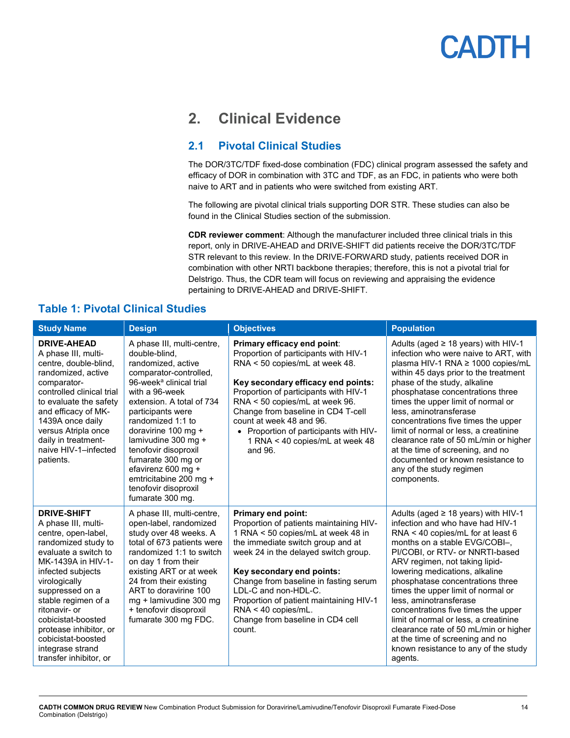## <span id="page-13-0"></span>**2. Clinical Evidence**

## <span id="page-13-1"></span>**2.1 Pivotal Clinical Studies**

The DOR/3TC/TDF fixed-dose combination (FDC) clinical program assessed the safety and efficacy of DOR in combination with 3TC and TDF, as an FDC, in patients who were both naive to ART and in patients who were switched from existing ART.

The following are pivotal clinical trials supporting DOR STR. These studies can also be found in the Clinical Studies section of the submission.

**CDR reviewer comment**: Although the manufacturer included three clinical trials in this report, only in DRIVE-AHEAD and DRIVE-SHIFT did patients receive the DOR/3TC/TDF STR relevant to this review. In the DRIVE-FORWARD study, patients received DOR in combination with other NRTI backbone therapies; therefore, this is not a pivotal trial for Delstrigo. Thus, the CDR team will focus on reviewing and appraising the evidence pertaining to DRIVE-AHEAD and DRIVE-SHIFT.

### <span id="page-13-2"></span>**Table 1: Pivotal Clinical Studies**

| <b>Study Name</b>                                                                                                                                                                                                                                                                                                                                          | <b>Design</b>                                                                                                                                                                                                                                                                                                                                                                                                       | <b>Objectives</b>                                                                                                                                                                                                                                                                                                                                                                                     | <b>Population</b>                                                                                                                                                                                                                                                                                                                                                                                                                                                                                                                                                            |
|------------------------------------------------------------------------------------------------------------------------------------------------------------------------------------------------------------------------------------------------------------------------------------------------------------------------------------------------------------|---------------------------------------------------------------------------------------------------------------------------------------------------------------------------------------------------------------------------------------------------------------------------------------------------------------------------------------------------------------------------------------------------------------------|-------------------------------------------------------------------------------------------------------------------------------------------------------------------------------------------------------------------------------------------------------------------------------------------------------------------------------------------------------------------------------------------------------|------------------------------------------------------------------------------------------------------------------------------------------------------------------------------------------------------------------------------------------------------------------------------------------------------------------------------------------------------------------------------------------------------------------------------------------------------------------------------------------------------------------------------------------------------------------------------|
| <b>DRIVE-AHEAD</b><br>A phase III, multi-<br>centre, double-blind,<br>randomized, active<br>comparator-<br>controlled clinical trial<br>to evaluate the safety<br>and efficacy of MK-<br>1439A once daily<br>versus Atripla once<br>daily in treatment-<br>naive HIV-1-infected<br>patients.                                                               | A phase III, multi-centre,<br>double-blind.<br>randomized, active<br>comparator-controlled,<br>96-week <sup>a</sup> clinical trial<br>with a 96-week<br>extension. A total of 734<br>participants were<br>randomized 1:1 to<br>doravirine 100 mg +<br>lamivudine 300 mg +<br>tenofovir disoproxil<br>fumarate 300 mg or<br>efavirenz 600 mg +<br>emtricitabine 200 mg +<br>tenofovir disoproxil<br>fumarate 300 mg. | Primary efficacy end point:<br>Proportion of participants with HIV-1<br>RNA < 50 copies/mL at week 48.<br>Key secondary efficacy end points:<br>Proportion of participants with HIV-1<br>RNA < 50 copies/mL at week 96.<br>Change from baseline in CD4 T-cell<br>count at week 48 and 96.<br>• Proportion of participants with HIV-<br>1 RNA < 40 copies/mL at week 48<br>and 96.                     | Adults (aged $\geq$ 18 years) with HIV-1<br>infection who were naive to ART, with<br>plasma HIV-1 RNA ≥ 1000 copies/mL<br>within 45 days prior to the treatment<br>phase of the study, alkaline<br>phosphatase concentrations three<br>times the upper limit of normal or<br>less, aminotransferase<br>concentrations five times the upper<br>limit of normal or less, a creatinine<br>clearance rate of 50 mL/min or higher<br>at the time of screening, and no<br>documented or known resistance to<br>any of the study regimen<br>components.                             |
| <b>DRIVE-SHIFT</b><br>A phase III, multi-<br>centre, open-label,<br>randomized study to<br>evaluate a switch to<br>MK-1439A in HIV-1-<br>infected subjects<br>virologically<br>suppressed on a<br>stable regimen of a<br>ritonavir- or<br>cobicistat-boosted<br>protease inhibitor, or<br>cobicistat-boosted<br>integrase strand<br>transfer inhibitor, or | A phase III, multi-centre,<br>open-label, randomized<br>study over 48 weeks. A<br>total of 673 patients were<br>randomized 1:1 to switch<br>on day 1 from their<br>existing ART or at week<br>24 from their existing<br>ART to doravirine 100<br>mg + lamivudine 300 mg<br>+ tenofovir disoproxil<br>fumarate 300 mg FDC.                                                                                           | <b>Primary end point:</b><br>Proportion of patients maintaining HIV-<br>1 RNA < 50 copies/mL at week 48 in<br>the immediate switch group and at<br>week 24 in the delayed switch group.<br>Key secondary end points:<br>Change from baseline in fasting serum<br>LDL-C and non-HDL-C.<br>Proportion of patient maintaining HIV-1<br>RNA < 40 copies/mL.<br>Change from baseline in CD4 cell<br>count. | Adults (aged $\geq$ 18 years) with HIV-1<br>infection and who have had HIV-1<br>RNA < 40 copies/mL for at least 6<br>months on a stable EVG/COBI-,<br>PI/COBI, or RTV- or NNRTI-based<br>ARV regimen, not taking lipid-<br>lowering medications, alkaline<br>phosphatase concentrations three<br>times the upper limit of normal or<br>less, aminotransferase<br>concentrations five times the upper<br>limit of normal or less, a creatinine<br>clearance rate of 50 mL/min or higher<br>at the time of screening and no<br>known resistance to any of the study<br>agents. |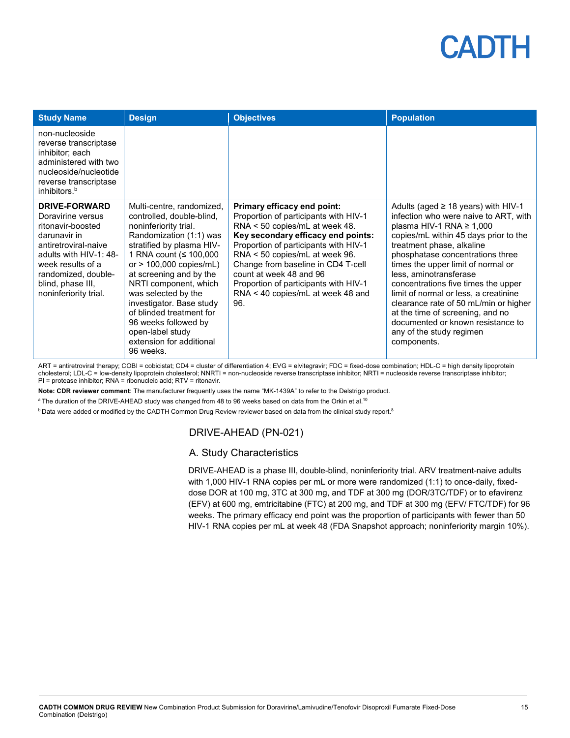| <b>Study Name</b>                                                                                                                                                                                                          | <b>Design</b>                                                                                                                                                                                                                                                                                                                                                                                                          | <b>Objectives</b>                                                                                                                                                                                                                                                                                                                                                             | <b>Population</b>                                                                                                                                                                                                                                                                                                                                                                                                                                                                                                                         |
|----------------------------------------------------------------------------------------------------------------------------------------------------------------------------------------------------------------------------|------------------------------------------------------------------------------------------------------------------------------------------------------------------------------------------------------------------------------------------------------------------------------------------------------------------------------------------------------------------------------------------------------------------------|-------------------------------------------------------------------------------------------------------------------------------------------------------------------------------------------------------------------------------------------------------------------------------------------------------------------------------------------------------------------------------|-------------------------------------------------------------------------------------------------------------------------------------------------------------------------------------------------------------------------------------------------------------------------------------------------------------------------------------------------------------------------------------------------------------------------------------------------------------------------------------------------------------------------------------------|
| non-nucleoside<br>reverse transcriptase<br>inhibitor; each<br>administered with two<br>nucleoside/nucleotide<br>reverse transcriptase<br>inhibitors. <sup>b</sup>                                                          |                                                                                                                                                                                                                                                                                                                                                                                                                        |                                                                                                                                                                                                                                                                                                                                                                               |                                                                                                                                                                                                                                                                                                                                                                                                                                                                                                                                           |
| <b>DRIVE-FORWARD</b><br>Doravirine versus<br>ritonavir-boosted<br>darunavir in<br>antiretroviral-naive<br>adults with HIV-1: 48-<br>week results of a<br>randomized, double-<br>blind, phase III,<br>noninferiority trial. | Multi-centre, randomized,<br>controlled, double-blind,<br>noninferiority trial.<br>Randomization (1:1) was<br>stratified by plasma HIV-<br>1 RNA count (≤ 100,000<br>or $> 100,000$ copies/mL)<br>at screening and by the<br>NRTI component, which<br>was selected by the<br>investigator. Base study<br>of blinded treatment for<br>96 weeks followed by<br>open-label study<br>extension for additional<br>96 weeks. | Primary efficacy end point:<br>Proportion of participants with HIV-1<br>RNA < 50 copies/mL at week 48.<br>Key secondary efficacy end points:<br>Proportion of participants with HIV-1<br>RNA < 50 copies/mL at week 96.<br>Change from baseline in CD4 T-cell<br>count at week 48 and 96<br>Proportion of participants with HIV-1<br>RNA < 40 copies/mL at week 48 and<br>96. | Adults (aged $\geq$ 18 years) with HIV-1<br>infection who were naive to ART, with<br>plasma HIV-1 RNA $\geq$ 1,000<br>copies/mL within 45 days prior to the<br>treatment phase, alkaline<br>phosphatase concentrations three<br>times the upper limit of normal or<br>less, aminotransferase<br>concentrations five times the upper<br>limit of normal or less, a creatinine<br>clearance rate of 50 mL/min or higher<br>at the time of screening, and no<br>documented or known resistance to<br>any of the study regimen<br>components. |

ART = antiretroviral therapy; COBI = cobicistat; CD4 = cluster of differentiation 4; EVG = elvitegravir; FDC = fixed-dose combination; HDL-C = high density lipoprotein cholesterol; LDL-C = low-density lipoprotein cholesterol; NNRTI = non-nucleoside reverse transcriptase inhibitor; NRTI = nucleoside reverse transcriptase inhibitor; PI = protease inhibitor; RNA = ribonucleic acid; RTV = ritonavir.

**Note: CDR reviewer comment**: The manufacturer frequently uses the name "MK-1439A" to refer to the Delstrigo product.

 $^{\rm a}$  The duration of the DRIVE-AHEAD study was changed from 48 to 96 weeks based on data from the Orkin et al. $^{10}$ 

 $^{\rm b}$  Data were added or modified by the CADTH Common Drug Review reviewer based on data from the clinical study report. $^8$ 

### DRIVE-AHEAD (PN-021)

### A. Study Characteristics

DRIVE-AHEAD is a phase III, double-blind, noninferiority trial. ARV treatment-naive adults with 1,000 HIV-1 RNA copies per mL or more were randomized (1:1) to once-daily, fixeddose DOR at 100 mg, 3TC at 300 mg, and TDF at 300 mg (DOR/3TC/TDF) or to efavirenz (EFV) at 600 mg, emtricitabine (FTC) at 200 mg, and TDF at 300 mg (EFV/ FTC/TDF) for 96 weeks. The primary efficacy end point was the proportion of participants with fewer than 50 HIV-1 RNA copies per mL at week 48 (FDA Snapshot approach; noninferiority margin 10%).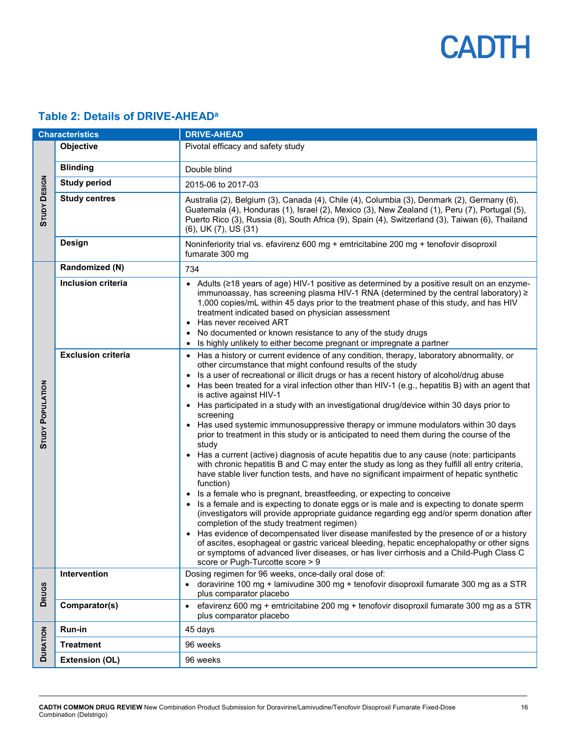## <span id="page-15-0"></span>**Table 2: Details of DRIVE-AHEADa**

| <b>Characteristics</b>  |                           | <b>DRIVE-AHEAD</b>                                                                                                                                                                                                                                                                                                                                                                                                                                                                                                                                                                                                                                                                                                                                                                                                                                                                                                                                                                                                                                                                                                                                                                                                                                                                                                                                                                                                                                                                                                                                                                                                                      |  |  |
|-------------------------|---------------------------|-----------------------------------------------------------------------------------------------------------------------------------------------------------------------------------------------------------------------------------------------------------------------------------------------------------------------------------------------------------------------------------------------------------------------------------------------------------------------------------------------------------------------------------------------------------------------------------------------------------------------------------------------------------------------------------------------------------------------------------------------------------------------------------------------------------------------------------------------------------------------------------------------------------------------------------------------------------------------------------------------------------------------------------------------------------------------------------------------------------------------------------------------------------------------------------------------------------------------------------------------------------------------------------------------------------------------------------------------------------------------------------------------------------------------------------------------------------------------------------------------------------------------------------------------------------------------------------------------------------------------------------------|--|--|
| <b>STUDY DESIGN</b>     | <b>Objective</b>          | Pivotal efficacy and safety study                                                                                                                                                                                                                                                                                                                                                                                                                                                                                                                                                                                                                                                                                                                                                                                                                                                                                                                                                                                                                                                                                                                                                                                                                                                                                                                                                                                                                                                                                                                                                                                                       |  |  |
|                         | <b>Blinding</b>           | Double blind                                                                                                                                                                                                                                                                                                                                                                                                                                                                                                                                                                                                                                                                                                                                                                                                                                                                                                                                                                                                                                                                                                                                                                                                                                                                                                                                                                                                                                                                                                                                                                                                                            |  |  |
|                         | <b>Study period</b>       | 2015-06 to 2017-03                                                                                                                                                                                                                                                                                                                                                                                                                                                                                                                                                                                                                                                                                                                                                                                                                                                                                                                                                                                                                                                                                                                                                                                                                                                                                                                                                                                                                                                                                                                                                                                                                      |  |  |
|                         | <b>Study centres</b>      | Australia (2), Belgium (3), Canada (4), Chile (4), Columbia (3), Denmark (2), Germany (6),<br>Guatemala (4), Honduras (1), Israel (2), Mexico (3), New Zealand (1), Peru (7), Portugal (5),<br>Puerto Rico (3), Russia (8), South Africa (9), Spain (4), Switzerland (3), Taiwan (6), Thailand<br>(6), UK (7), US (31)                                                                                                                                                                                                                                                                                                                                                                                                                                                                                                                                                                                                                                                                                                                                                                                                                                                                                                                                                                                                                                                                                                                                                                                                                                                                                                                  |  |  |
|                         | Design                    | Noninferiority trial vs. efavirenz 600 mg + emtricitabine 200 mg + tenofovir disoproxil<br>fumarate 300 mg                                                                                                                                                                                                                                                                                                                                                                                                                                                                                                                                                                                                                                                                                                                                                                                                                                                                                                                                                                                                                                                                                                                                                                                                                                                                                                                                                                                                                                                                                                                              |  |  |
|                         | Randomized (N)            | 734                                                                                                                                                                                                                                                                                                                                                                                                                                                                                                                                                                                                                                                                                                                                                                                                                                                                                                                                                                                                                                                                                                                                                                                                                                                                                                                                                                                                                                                                                                                                                                                                                                     |  |  |
| <b>STUDY POPULATION</b> | <b>Inclusion criteria</b> | • Adults (≥18 years of age) HIV-1 positive as determined by a positive result on an enzyme-<br>immunoassay, has screening plasma HIV-1 RNA (determined by the central laboratory) ≥<br>1,000 copies/mL within 45 days prior to the treatment phase of this study, and has HIV<br>treatment indicated based on physician assessment<br>Has never received ART<br>No documented or known resistance to any of the study drugs<br>Is highly unlikely to either become pregnant or impregnate a partner                                                                                                                                                                                                                                                                                                                                                                                                                                                                                                                                                                                                                                                                                                                                                                                                                                                                                                                                                                                                                                                                                                                                     |  |  |
|                         | <b>Exclusion criteria</b> | • Has a history or current evidence of any condition, therapy, laboratory abnormality, or<br>other circumstance that might confound results of the study<br>Is a user of recreational or illicit drugs or has a recent history of alcohol/drug abuse<br>• Has been treated for a viral infection other than HIV-1 (e.g., hepatitis B) with an agent that<br>is active against HIV-1<br>• Has participated in a study with an investigational drug/device within 30 days prior to<br>screening<br>• Has used systemic immunosuppressive therapy or immune modulators within 30 days<br>prior to treatment in this study or is anticipated to need them during the course of the<br>study<br>• Has a current (active) diagnosis of acute hepatitis due to any cause (note: participants<br>with chronic hepatitis B and C may enter the study as long as they fulfill all entry criteria,<br>have stable liver function tests, and have no significant impairment of hepatic synthetic<br>function)<br>Is a female who is pregnant, breastfeeding, or expecting to conceive<br>Is a female and is expecting to donate eggs or is male and is expecting to donate sperm<br>(investigators will provide appropriate guidance regarding egg and/or sperm donation after<br>completion of the study treatment regimen)<br>Has evidence of decompensated liver disease manifested by the presence of or a history<br>of ascites, esophageal or gastric variceal bleeding, hepatic encephalopathy or other signs<br>or symptoms of advanced liver diseases, or has liver cirrhosis and a Child-Pugh Class C<br>score or Pugh-Turcotte score > 9 |  |  |
| <b>DRUGS</b>            | Intervention              | Dosing regimen for 96 weeks, once-daily oral dose of:<br>doravirine 100 mg + lamivudine 300 mg + tenofovir disoproxil fumarate 300 mg as a STR<br>plus comparator placebo                                                                                                                                                                                                                                                                                                                                                                                                                                                                                                                                                                                                                                                                                                                                                                                                                                                                                                                                                                                                                                                                                                                                                                                                                                                                                                                                                                                                                                                               |  |  |
|                         | Comparator(s)             | efavirenz 600 mg + emtricitabine 200 mg + tenofovir disoproxil fumarate 300 mg as a STR<br>plus comparator placebo                                                                                                                                                                                                                                                                                                                                                                                                                                                                                                                                                                                                                                                                                                                                                                                                                                                                                                                                                                                                                                                                                                                                                                                                                                                                                                                                                                                                                                                                                                                      |  |  |
|                         | Run-in                    | 45 days                                                                                                                                                                                                                                                                                                                                                                                                                                                                                                                                                                                                                                                                                                                                                                                                                                                                                                                                                                                                                                                                                                                                                                                                                                                                                                                                                                                                                                                                                                                                                                                                                                 |  |  |
| <b>DURATION</b>         | <b>Treatment</b>          | 96 weeks                                                                                                                                                                                                                                                                                                                                                                                                                                                                                                                                                                                                                                                                                                                                                                                                                                                                                                                                                                                                                                                                                                                                                                                                                                                                                                                                                                                                                                                                                                                                                                                                                                |  |  |
|                         | <b>Extension (OL)</b>     | 96 weeks                                                                                                                                                                                                                                                                                                                                                                                                                                                                                                                                                                                                                                                                                                                                                                                                                                                                                                                                                                                                                                                                                                                                                                                                                                                                                                                                                                                                                                                                                                                                                                                                                                |  |  |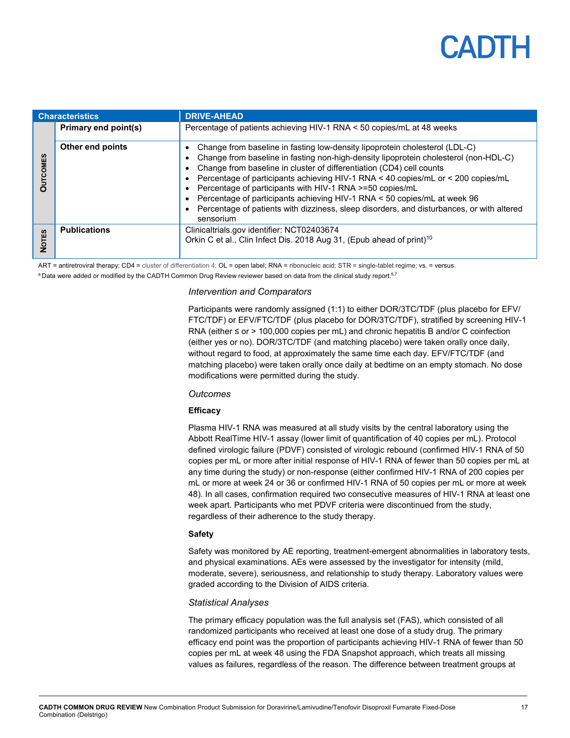## PADTH

| <b>Characteristics</b>    |                      | <b>DRIVE-AHEAD</b>                                                                                                                                                                                                                                                                                                                                                                                                                                                                                                                                                                |  |  |
|---------------------------|----------------------|-----------------------------------------------------------------------------------------------------------------------------------------------------------------------------------------------------------------------------------------------------------------------------------------------------------------------------------------------------------------------------------------------------------------------------------------------------------------------------------------------------------------------------------------------------------------------------------|--|--|
|                           | Primary end point(s) | Percentage of patients achieving HIV-1 RNA < 50 copies/mL at 48 weeks                                                                                                                                                                                                                                                                                                                                                                                                                                                                                                             |  |  |
| MES<br>$\bar{\mathbf{C}}$ | Other end points     | Change from baseline in fasting low-density lipoprotein cholesterol (LDL-C)<br>Change from baseline in fasting non-high-density lipoprotein cholesterol (non-HDL-C)<br>Change from baseline in cluster of differentiation (CD4) cell counts<br>Percentage of participants achieving HIV-1 RNA < 40 copies/mL or < 200 copies/mL<br>Percentage of participants with HIV-1 RNA >=50 copies/mL<br>Percentage of participants achieving HIV-1 RNA < 50 copies/mL at week 96<br>Percentage of patients with dizziness, sleep disorders, and disturbances, or with altered<br>sensorium |  |  |
| 69                        | <b>Publications</b>  | Clinicaltrials.gov identifier: NCT02403674<br>Orkin C et al., Clin Infect Dis. 2018 Aug 31, (Epub ahead of print) <sup>10</sup>                                                                                                                                                                                                                                                                                                                                                                                                                                                   |  |  |

ART = antiretroviral therapy; CD4 = cluster of differentiation 4; OL = open label; RNA = ribonucleic acid; STR = single-tablet regime; vs. = versus.

 $^{\rm a}$ Data were added or modified by the CADTH Common Drug Review reviewer based on data from the clinical study report. $^{6.7}$ 

#### *Intervention and Comparators*

Participants were randomly assigned (1:1) to either DOR/3TC/TDF (plus placebo for EFV/ FTC/TDF) or EFV/FTC/TDF (plus placebo for DOR/3TC/TDF), stratified by screening HIV-1 RNA (either ≤ or > 100,000 copies per mL) and chronic hepatitis B and/or C coinfection (either yes or no). DOR/3TC/TDF (and matching placebo) were taken orally once daily, without regard to food, at approximately the same time each day. EFV/FTC/TDF (and matching placebo) were taken orally once daily at bedtime on an empty stomach. No dose modifications were permitted during the study.

#### *Outcomes*

#### **Efficacy**

Plasma HIV-1 RNA was measured at all study visits by the central laboratory using the Abbott RealTime HIV-1 assay (lower limit of quantification of 40 copies per mL). Protocol defined virologic failure (PDVF) consisted of virologic rebound (confirmed HIV-1 RNA of 50 copies per mL or more after initial response of HIV-1 RNA of fewer than 50 copies per mL at any time during the study) or non-response (either confirmed HIV-1 RNA of 200 copies per mL or more at week 24 or 36 or confirmed HIV-1 RNA of 50 copies per mL or more at week 48). In all cases, confirmation required two consecutive measures of HIV-1 RNA at least one week apart. Participants who met PDVF criteria were discontinued from the study, regardless of their adherence to the study therapy.

#### **Safety**

Safety was monitored by AE reporting, treatment-emergent abnormalities in laboratory tests, and physical examinations. AEs were assessed by the investigator for intensity (mild, moderate, severe), seriousness, and relationship to study therapy. Laboratory values were graded according to the Division of AIDS criteria.

#### *Statistical Analyses*

The primary efficacy population was the full analysis set (FAS), which consisted of all randomized participants who received at least one dose of a study drug. The primary efficacy end point was the proportion of participants achieving HIV-1 RNA of fewer than 50 copies per mL at week 48 using the FDA Snapshot approach, which treats all missing values as failures, regardless of the reason. The difference between treatment groups at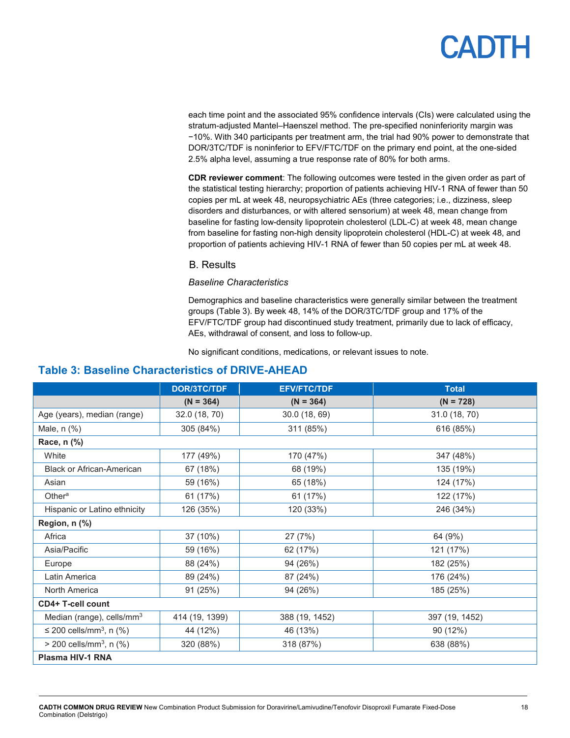each time point and the associated 95% confidence intervals (CIs) were calculated using the stratum-adjusted Mantel–Haenszel method. The pre-specified noninferiority margin was −10%. With 340 participants per treatment arm, the trial had 90% power to demonstrate that DOR/3TC/TDF is noninferior to EFV/FTC/TDF on the primary end point, at the one-sided 2.5% alpha level, assuming a true response rate of 80% for both arms.

**CDR reviewer comment**: The following outcomes were tested in the given order as part of the statistical testing hierarchy; proportion of patients achieving HIV-1 RNA of fewer than 50 copies per mL at week 48, neuropsychiatric AEs (three categories; i.e., dizziness, sleep disorders and disturbances, or with altered sensorium) at week 48, mean change from baseline for fasting low-density lipoprotein cholesterol (LDL-C) at week 48, mean change from baseline for fasting non-high density lipoprotein cholesterol (HDL-C) at week 48, and proportion of patients achieving HIV-1 RNA of fewer than 50 copies per mL at week 48.

#### B. Results

#### *Baseline Characteristics*

Demographics and baseline characteristics were generally similar between the treatment groups [\(Table 3\)](#page-17-0). By week 48, 14% of the DOR/3TC/TDF group and 17% of the EFV/FTC/TDF group had discontinued study treatment, primarily due to lack of efficacy, AEs, withdrawal of consent, and loss to follow-up.

No significant conditions, medications, or relevant issues to note.

### <span id="page-17-0"></span>**Table 3: Baseline Characteristics of DRIVE-AHEAD**

|                                          | <b>DOR/3TC/TDF</b> | <b>EFV/FTC/TDF</b> | <b>Total</b>   |  |
|------------------------------------------|--------------------|--------------------|----------------|--|
|                                          | $(N = 364)$        | $(N = 364)$        | $(N = 728)$    |  |
| Age (years), median (range)              | 32.0 (18, 70)      | 30.0 (18, 69)      | 31.0 (18, 70)  |  |
| Male, n (%)                              | 305 (84%)          | 311 (85%)          | 616 (85%)      |  |
| Race, n (%)                              |                    |                    |                |  |
| White                                    | 177 (49%)          | 170 (47%)          | 347 (48%)      |  |
| <b>Black or African-American</b>         | 67 (18%)           | 68 (19%)           | 135 (19%)      |  |
| Asian                                    | 59 (16%)           | 65 (18%)           | 124 (17%)      |  |
| Other <sup>a</sup>                       | 61 (17%)           | 61 (17%)           | 122 (17%)      |  |
| Hispanic or Latino ethnicity             | 126 (35%)          | 120 (33%)          | 246 (34%)      |  |
| Region, n (%)                            |                    |                    |                |  |
| Africa                                   | 37 (10%)           | 27 (7%)            | 64 (9%)        |  |
| Asia/Pacific                             | 59 (16%)           | 62 (17%)           | 121 (17%)      |  |
| Europe                                   | 88 (24%)           | 94 (26%)           | 182 (25%)      |  |
| Latin America                            | 89 (24%)           | 87 (24%)           | 176 (24%)      |  |
| North America                            | 91 (25%)           | 94 (26%)           | 185 (25%)      |  |
| <b>CD4+ T-cell count</b>                 |                    |                    |                |  |
| Median (range), cells/mm <sup>3</sup>    | 414 (19, 1399)     | 388 (19, 1452)     | 397 (19, 1452) |  |
| $\leq$ 200 cells/mm <sup>3</sup> , n (%) | 44 (12%)           | 46 (13%)           | 90 (12%)       |  |
| $>$ 200 cells/mm <sup>3</sup> , n (%)    | 320 (88%)          | 318 (87%)          | 638 (88%)      |  |
| Plasma HIV-1 RNA                         |                    |                    |                |  |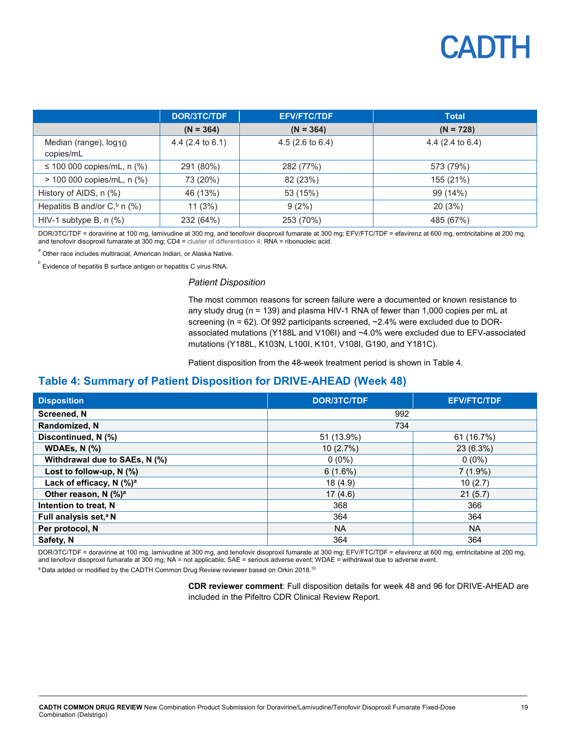

|                                                | <b>DOR/3TC/TDF</b>  | <b>EFV/FTC/TDF</b>         | <b>Total</b>                |
|------------------------------------------------|---------------------|----------------------------|-----------------------------|
|                                                | $(N = 364)$         | $(N = 364)$                | $(N = 728)$                 |
| Median (range), log <sub>10</sub><br>copies/mL | 4.4 (2.4 to $6.1$ ) | $4.5(2.6 \text{ to } 6.4)$ | 4.4 $(2.4 \text{ to } 6.4)$ |
| ≤ 100 000 copies/mL, n $%$ )                   | 291 (80%)           | 282 (77%)                  | 573 (79%)                   |
| > 100 000 copies/mL, n (%)                     | 73 (20%)            | 82 (23%)                   | 155 (21%)                   |
| History of AIDS, n (%)                         | 46 (13%)            | 53 (15%)                   | 99 (14%)                    |
| Hepatitis B and/or $Cb$ n (%)                  | 11(3%)              | 9(2%)                      | 20(3%)                      |
| HIV-1 subtype B, $n$ (%)                       | 232 (64%)           | 253 (70%)                  | 485 (67%)                   |

DOR/3TC/TDF = doravirine at 100 mg, lamivudine at 300 mg, and tenofovir disoproxil fumarate at 300 mg; EFV/FTC/TDF = efavirenz at 600 mg, emtricitabine at 200 mg, and tenofovir disoproxil fumarate at 300 mg; CD4 = cluster of differentiation 4; RNA = ribonucleic acid.

 $\degree$  Other race includes multiracial, American Indian, or Alaska Native.

 $^{\circ}$  Evidence of hepatitis B surface antigen or hepatitis C virus RNA.

#### *Patient Disposition*

The most common reasons for screen failure were a documented or known resistance to any study drug (n = 139) and plasma HIV-1 RNA of fewer than 1,000 copies per mL at screening (n = 62). Of 992 participants screened, ~2.4% were excluded due to DORassociated mutations (Y188L and V106I) and ~4.0% were excluded due to EFV-associated mutations (Y188L, K103N, L100I, K101, V108I, G190, and Y181C).

Patient disposition from the 48-week treatment period is shown in [Table 4.](#page-18-0)

### <span id="page-18-0"></span>**Table 4: Summary of Patient Disposition for DRIVE-AHEAD (Week 48)**

| <b>Disposition</b>                     | <b>DOR/3TC/TDF</b> | <b>EFV/FTC/TDF</b> |  |  |
|----------------------------------------|--------------------|--------------------|--|--|
| <b>Screened, N</b>                     | 992                |                    |  |  |
| Randomized, N                          | 734                |                    |  |  |
| Discontinued, N (%)                    | 51 (13.9%)         | 61 (16.7%)         |  |  |
| WDAEs, $N$ $(\%)$                      | 10(2.7%)           | 23 (6.3%)          |  |  |
| Withdrawal due to SAEs, N (%)          | $0(0\%)$           | $0(0\%)$           |  |  |
| Lost to follow-up, $N$ (%)             | 6(1.6%)            | $7(1.9\%)$         |  |  |
| Lack of efficacy, $N$ (%) <sup>a</sup> | 18 (4.9)           | 10(2.7)            |  |  |
| Other reason, N (%) <sup>a</sup>       | 17(4.6)            | 21(5.7)            |  |  |
| Intention to treat, N                  | 368                | 366                |  |  |
| Full analysis set, <sup>a</sup> N      | 364                | 364                |  |  |
| Per protocol, N                        | <b>NA</b>          | <b>NA</b>          |  |  |
| Safety, N                              | 364                | 364                |  |  |

DOR/3TC/TDF = doravirine at 100 mg, lamivudine at 300 mg, and tenofovir disoproxil fumarate at 300 mg; EFV/FTC/TDF = efavirenz at 600 mg, emtricitabine at 200 mg, and tenofovir disoproxil fumarate at 300 mg; NA = not applicable; SAE = serious adverse event; WDAE = withdrawal due to adverse event.

 $^{\rm a}$ Data added or modified by the CADTH Common Drug Review reviewer based on Orkin 2018. $^{10}$ 

**CDR reviewer comment**: Full disposition details for week 48 and 96 for DRIVE-AHEAD are included in the Pifeltro CDR Clinical Review Report.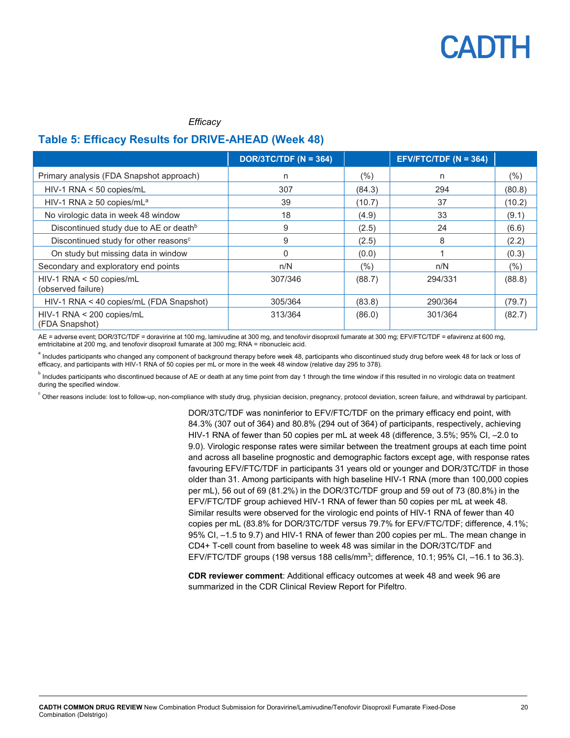#### *Efficacy*

### <span id="page-19-0"></span>**Table 5: Efficacy Results for DRIVE-AHEAD (Week 48)**

|                                                    | DOR/3TC/TDF ( $N = 364$ ) |        | EFV/FTC/TDF (N = 364) |         |
|----------------------------------------------------|---------------------------|--------|-----------------------|---------|
| Primary analysis (FDA Snapshot approach)           | n                         | (%)    | n                     | $(\% )$ |
| HIV-1 RNA < 50 copies/mL                           | 307                       | (84.3) | 294                   | (80.8)  |
| HIV-1 RNA $\geq$ 50 copies/mL <sup>a</sup>         | 39                        | (10.7) | 37                    | (10.2)  |
| No virologic data in week 48 window                | 18                        | (4.9)  | 33                    | (9.1)   |
| Discontinued study due to AE or death <sup>b</sup> | 9                         | (2.5)  | 24                    | (6.6)   |
| Discontinued study for other reasons <sup>c</sup>  | 9                         | (2.5)  | 8                     | (2.2)   |
| On study but missing data in window                |                           | (0.0)  |                       | (0.3)   |
| Secondary and exploratory end points               | n/N                       | $(\%)$ | n/N                   | $(\%)$  |
| $HIV-1$ RNA < 50 copies/mL<br>(observed failure)   | 307/346                   | (88.7) | 294/331               | (88.8)  |
| HIV-1 RNA < 40 copies/mL (FDA Snapshot)            | 305/364                   | (83.8) | 290/364               | (79.7)  |
| $HIV-1$ RNA < 200 copies/mL<br>(FDA Snapshot)      | 313/364                   | (86.0) | 301/364               | (82.7)  |

AE = adverse event; DOR/3TC/TDF = doravirine at 100 mg, lamivudine at 300 mg, and tenofovir disoproxil fumarate at 300 mg; EFV/FTC/TDF = efavirenz at 600 mg, emtricitabine at 200 mg, and tenofovir disoproxil fumarate at 300 mg; RNA = ribonucleic acid.

<sup>a</sup> Includes participants who changed any component of background therapy before week 48, participants who discontinued study drug before week 48 for lack or loss of efficacy, and participants with HIV-1 RNA of 50 copies per mL or more in the week 48 window (relative day 295 to 378).

 $^{\rm b}$  Includes participants who discontinued because of AE or death at any time point from day 1 through the time window if this resulted in no virologic data on treatment during the specified window.

。<br>Chther reasons include: lost to follow-up, non-compliance with study drug, physician decision, pregnancy, protocol deviation, screen failure, and withdrawal by participant.

DOR/3TC/TDF was noninferior to EFV/FTC/TDF on the primary efficacy end point, with 84.3% (307 out of 364) and 80.8% (294 out of 364) of participants, respectively, achieving HIV-1 RNA of fewer than 50 copies per mL at week 48 (difference, 3.5%; 95% CI, –2.0 to 9.0). Virologic response rates were similar between the treatment groups at each time point and across all baseline prognostic and demographic factors except age, with response rates favouring EFV/FTC/TDF in participants 31 years old or younger and DOR/3TC/TDF in those older than 31. Among participants with high baseline HIV-1 RNA (more than 100,000 copies per mL), 56 out of 69 (81.2%) in the DOR/3TC/TDF group and 59 out of 73 (80.8%) in the EFV/FTC/TDF group achieved HIV-1 RNA of fewer than 50 copies per mL at week 48. Similar results were observed for the virologic end points of HIV-1 RNA of fewer than 40 copies per mL (83.8% for DOR/3TC/TDF versus 79.7% for EFV/FTC/TDF; difference, 4.1%; 95% CI, –1.5 to 9.7) and HIV-1 RNA of fewer than 200 copies per mL. The mean change in CD4+ T-cell count from baseline to week 48 was similar in the DOR/3TC/TDF and EFV/FTC/TDF groups (198 versus 188 cells/mm<sup>3</sup>; difference, 10.1; 95% CI, -16.1 to 36.3).

**CDR reviewer comment**: Additional efficacy outcomes at week 48 and week 96 are summarized in the CDR Clinical Review Report for Pifeltro.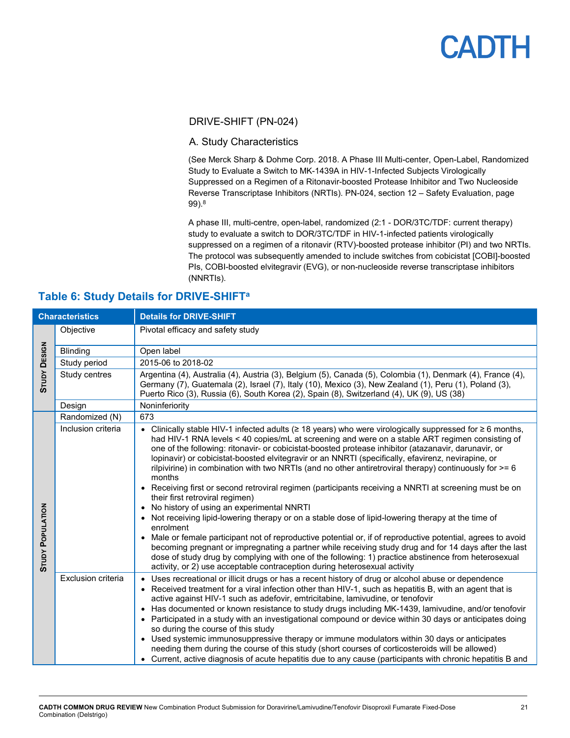### DRIVE-SHIFT (PN-024)

### A. Study Characteristics

(See Merck Sharp & Dohme Corp. 2018. A Phase III Multi-center, Open-Label, Randomized Study to Evaluate a Switch to MK-1439A in HIV-1-Infected Subjects Virologically Suppressed on a Regimen of a Ritonavir-boosted Protease Inhibitor and Two Nucleoside Reverse Transcriptase Inhibitors (NRTIs). PN-024, section 12 – Safety Evaluation, page 99).8

A phase III, multi-centre, open-label, randomized (2:1 - DOR/3TC/TDF: current therapy) study to evaluate a switch to DOR/3TC/TDF in HIV-1-infected patients virologically suppressed on a regimen of a ritonavir (RTV)-boosted protease inhibitor (PI) and two NRTIs. The protocol was subsequently amended to include switches from cobicistat [COBI]-boosted PIs, COBI-boosted elvitegravir (EVG), or non-nucleoside reverse transcriptase inhibitors (NNRTIs).

| <b>Characteristics</b>  |                    | <b>Details for DRIVE-SHIFT</b>                                                                                                                                                                                                                                                                                                                                                                                                                                                                                                                                                                                                                                                                                                                                                                                                                                                                                                                                                                                                                                                                                                                                                                                                                                                                     |
|-------------------------|--------------------|----------------------------------------------------------------------------------------------------------------------------------------------------------------------------------------------------------------------------------------------------------------------------------------------------------------------------------------------------------------------------------------------------------------------------------------------------------------------------------------------------------------------------------------------------------------------------------------------------------------------------------------------------------------------------------------------------------------------------------------------------------------------------------------------------------------------------------------------------------------------------------------------------------------------------------------------------------------------------------------------------------------------------------------------------------------------------------------------------------------------------------------------------------------------------------------------------------------------------------------------------------------------------------------------------|
|                         | Objective          | Pivotal efficacy and safety study                                                                                                                                                                                                                                                                                                                                                                                                                                                                                                                                                                                                                                                                                                                                                                                                                                                                                                                                                                                                                                                                                                                                                                                                                                                                  |
|                         | Blinding           | Open label                                                                                                                                                                                                                                                                                                                                                                                                                                                                                                                                                                                                                                                                                                                                                                                                                                                                                                                                                                                                                                                                                                                                                                                                                                                                                         |
|                         | Study period       | 2015-06 to 2018-02                                                                                                                                                                                                                                                                                                                                                                                                                                                                                                                                                                                                                                                                                                                                                                                                                                                                                                                                                                                                                                                                                                                                                                                                                                                                                 |
| <b>STUDY DESIGN</b>     | Study centres      | Argentina (4), Australia (4), Austria (3), Belgium (5), Canada (5), Colombia (1), Denmark (4), France (4),<br>Germany (7), Guatemala (2), Israel (7), Italy (10), Mexico (3), New Zealand (1), Peru (1), Poland (3),<br>Puerto Rico (3), Russia (6), South Korea (2), Spain (8), Switzerland (4), UK (9), US (38)                                                                                                                                                                                                                                                                                                                                                                                                                                                                                                                                                                                                                                                                                                                                                                                                                                                                                                                                                                                  |
|                         | Design             | Noninferiority                                                                                                                                                                                                                                                                                                                                                                                                                                                                                                                                                                                                                                                                                                                                                                                                                                                                                                                                                                                                                                                                                                                                                                                                                                                                                     |
|                         | Randomized (N)     | 673                                                                                                                                                                                                                                                                                                                                                                                                                                                                                                                                                                                                                                                                                                                                                                                                                                                                                                                                                                                                                                                                                                                                                                                                                                                                                                |
| <b>STUDY POPULATION</b> | Inclusion criteria | • Clinically stable HIV-1 infected adults ( $\geq$ 18 years) who were virologically suppressed for $\geq$ 6 months,<br>had HIV-1 RNA levels < 40 copies/mL at screening and were on a stable ART regimen consisting of<br>one of the following: ritonavir- or cobicistat-boosted protease inhibitor (atazanavir, darunavir, or<br>lopinavir) or cobicistat-boosted elvitegravir or an NNRTI (specifically, efavirenz, nevirapine, or<br>rilpivirine) in combination with two NRTIs (and no other antiretroviral therapy) continuously for $>= 6$<br>months<br>• Receiving first or second retroviral regimen (participants receiving a NNRTI at screening must be on<br>their first retroviral regimen)<br>• No history of using an experimental NNRTI<br>• Not receiving lipid-lowering therapy or on a stable dose of lipid-lowering therapy at the time of<br>enrolment<br>Male or female participant not of reproductive potential or, if of reproductive potential, agrees to avoid<br>$\bullet$<br>becoming pregnant or impregnating a partner while receiving study drug and for 14 days after the last<br>dose of study drug by complying with one of the following: 1) practice abstinence from heterosexual<br>activity, or 2) use acceptable contraception during heterosexual activity |
|                         | Exclusion criteria | Uses recreational or illicit drugs or has a recent history of drug or alcohol abuse or dependence<br>• Received treatment for a viral infection other than HIV-1, such as hepatitis B, with an agent that is<br>active against HIV-1 such as adefovir, emtricitabine, lamivudine, or tenofovir<br>Has documented or known resistance to study drugs including MK-1439, lamivudine, and/or tenofovir<br>$\bullet$<br>• Participated in a study with an investigational compound or device within 30 days or anticipates doing<br>so during the course of this study<br>• Used systemic immunosuppressive therapy or immune modulators within 30 days or anticipates<br>needing them during the course of this study (short courses of corticosteroids will be allowed)<br>• Current, active diagnosis of acute hepatitis due to any cause (participants with chronic hepatitis B and                                                                                                                                                                                                                                                                                                                                                                                                                |

### <span id="page-20-0"></span>**Table 6: Study Details for DRIVE-SHIFTa**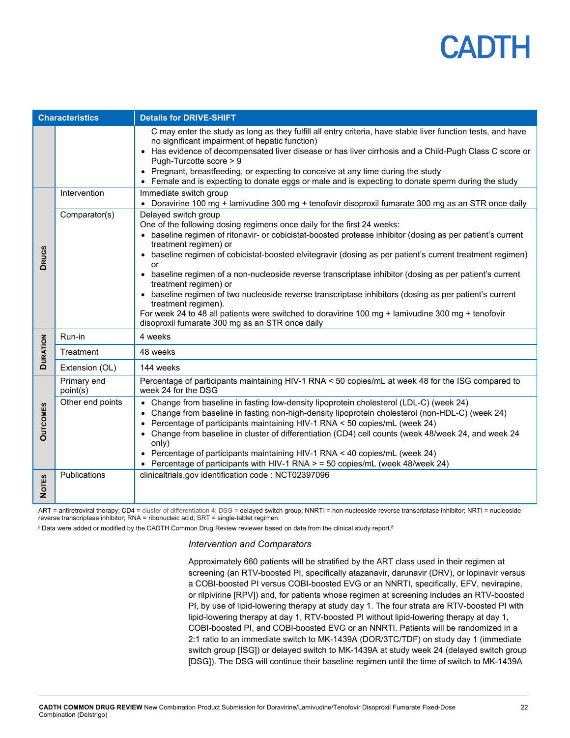| <b>Characteristics</b> |                         | <b>Details for DRIVE-SHIFT</b>                                                                                                                                                                                                                                                                                                                                                                                                                                                                                                                                                                                                                                                                                                                                                                    |
|------------------------|-------------------------|---------------------------------------------------------------------------------------------------------------------------------------------------------------------------------------------------------------------------------------------------------------------------------------------------------------------------------------------------------------------------------------------------------------------------------------------------------------------------------------------------------------------------------------------------------------------------------------------------------------------------------------------------------------------------------------------------------------------------------------------------------------------------------------------------|
|                        |                         | C may enter the study as long as they fulfill all entry criteria, have stable liver function tests, and have<br>no significant impairment of hepatic function)<br>• Has evidence of decompensated liver disease or has liver cirrhosis and a Child-Pugh Class C score or<br>Pugh-Turcotte score > 9<br>• Pregnant, breastfeeding, or expecting to conceive at any time during the study<br>• Female and is expecting to donate eggs or male and is expecting to donate sperm during the study                                                                                                                                                                                                                                                                                                     |
|                        | Intervention            | Immediate switch group<br>• Doravirine 100 mg + lamivudine 300 mg + tenofovir disoproxil fumarate 300 mg as an STR once daily                                                                                                                                                                                                                                                                                                                                                                                                                                                                                                                                                                                                                                                                     |
| <b>DRUGS</b>           | Comparator(s)           | Delayed switch group<br>One of the following dosing regimens once daily for the first 24 weeks:<br>• baseline regimen of ritonavir- or cobicistat-boosted protease inhibitor (dosing as per patient's current<br>treatment regimen) or<br>• baseline regimen of cobicistat-boosted elvitegravir (dosing as per patient's current treatment regimen)<br>or<br>baseline regimen of a non-nucleoside reverse transcriptase inhibitor (dosing as per patient's current<br>$\bullet$<br>treatment regimen) or<br>• baseline regimen of two nucleoside reverse transcriptase inhibitors (dosing as per patient's current<br>treatment regimen).<br>For week 24 to 48 all patients were switched to doravirine 100 mg + lamivudine 300 mg + tenofovir<br>disoproxil fumarate 300 mg as an STR once daily |
|                        | Run-in                  | 4 weeks                                                                                                                                                                                                                                                                                                                                                                                                                                                                                                                                                                                                                                                                                                                                                                                           |
| <b>DURATION</b>        | Treatment               | 48 weeks                                                                                                                                                                                                                                                                                                                                                                                                                                                                                                                                                                                                                                                                                                                                                                                          |
|                        | Extension (OL)          | 144 weeks                                                                                                                                                                                                                                                                                                                                                                                                                                                                                                                                                                                                                                                                                                                                                                                         |
|                        | Primary end<br>point(s) | Percentage of participants maintaining HIV-1 RNA < 50 copies/mL at week 48 for the ISG compared to<br>week 24 for the DSG                                                                                                                                                                                                                                                                                                                                                                                                                                                                                                                                                                                                                                                                         |
| <b>OUTCOMES</b>        | Other end points        | • Change from baseline in fasting low-density lipoprotein cholesterol (LDL-C) (week 24)<br>Change from baseline in fasting non-high-density lipoprotein cholesterol (non-HDL-C) (week 24)<br>• Percentage of participants maintaining HIV-1 RNA < 50 copies/mL (week 24)<br>• Change from baseline in cluster of differentiation (CD4) cell counts (week 48/week 24, and week 24<br>only)<br>• Percentage of participants maintaining HIV-1 RNA < 40 copies/mL (week 24)<br>• Percentage of participants with HIV-1 RNA $>$ = 50 copies/mL (week 48/week 24)                                                                                                                                                                                                                                      |
| <b>NOTES</b>           | Publications            | clinicaltrials.gov identification code: NCT02397096                                                                                                                                                                                                                                                                                                                                                                                                                                                                                                                                                                                                                                                                                                                                               |

ART = antiretroviral therapy; CD4 = cluster of differentiation 4; DSG = delayed switch group; NNRTI = non-nucleoside reverse transcriptase inhibitor; NRTI = nucleoside reverse transcriptase inhibitor; RNA = ribonucleic acid; SRT = single-tablet regimen.

 $^{\rm a}$  Data were added or modified by the CADTH Common Drug Review reviewer based on data from the clinical study report. $^{\rm 8}$ 

#### *Intervention and Comparators*

Approximately 660 patients will be stratified by the ART class used in their regimen at screening (an RTV-boosted PI, specifically atazanavir, darunavir (DRV), or lopinavir versus a COBI-boosted PI versus COBI-boosted EVG or an NNRTI, specifically, EFV, nevirapine, or rilpivirine [RPV]) and, for patients whose regimen at screening includes an RTV-boosted PI, by use of lipid-lowering therapy at study day 1. The four strata are RTV-boosted PI with lipid-lowering therapy at day 1, RTV-boosted PI without lipid-lowering therapy at day 1, COBI-boosted PI, and COBI-boosted EVG or an NNRTI. Patients will be randomized in a 2:1 ratio to an immediate switch to MK-1439A (DOR/3TC/TDF) on study day 1 (immediate switch group [ISG]) or delayed switch to MK-1439A at study week 24 (delayed switch group [DSG]). The DSG will continue their baseline regimen until the time of switch to MK-1439A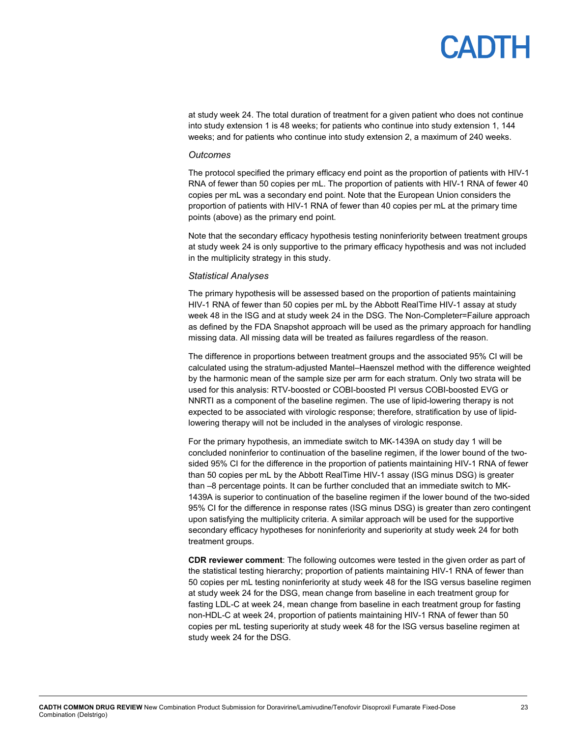# PADTH

at study week 24. The total duration of treatment for a given patient who does not continue into study extension 1 is 48 weeks; for patients who continue into study extension 1, 144 weeks; and for patients who continue into study extension 2, a maximum of 240 weeks.

#### *Outcomes*

The protocol specified the primary efficacy end point as the proportion of patients with HIV-1 RNA of fewer than 50 copies per mL. The proportion of patients with HIV-1 RNA of fewer 40 copies per mL was a secondary end point. Note that the European Union considers the proportion of patients with HIV-1 RNA of fewer than 40 copies per mL at the primary time points (above) as the primary end point.

Note that the secondary efficacy hypothesis testing noninferiority between treatment groups at study week 24 is only supportive to the primary efficacy hypothesis and was not included in the multiplicity strategy in this study.

#### *Statistical Analyses*

The primary hypothesis will be assessed based on the proportion of patients maintaining HIV-1 RNA of fewer than 50 copies per mL by the Abbott RealTime HIV-1 assay at study week 48 in the ISG and at study week 24 in the DSG. The Non-Completer=Failure approach as defined by the FDA Snapshot approach will be used as the primary approach for handling missing data. All missing data will be treated as failures regardless of the reason.

The difference in proportions between treatment groups and the associated 95% CI will be calculated using the stratum-adjusted Mantel–Haenszel method with the difference weighted by the harmonic mean of the sample size per arm for each stratum. Only two strata will be used for this analysis: RTV-boosted or COBI-boosted PI versus COBI-boosted EVG or NNRTI as a component of the baseline regimen. The use of lipid-lowering therapy is not expected to be associated with virologic response; therefore, stratification by use of lipidlowering therapy will not be included in the analyses of virologic response.

For the primary hypothesis, an immediate switch to MK-1439A on study day 1 will be concluded noninferior to continuation of the baseline regimen, if the lower bound of the twosided 95% CI for the difference in the proportion of patients maintaining HIV-1 RNA of fewer than 50 copies per mL by the Abbott RealTime HIV-1 assay (ISG minus DSG) is greater than –8 percentage points. It can be further concluded that an immediate switch to MK-1439A is superior to continuation of the baseline regimen if the lower bound of the two-sided 95% CI for the difference in response rates (ISG minus DSG) is greater than zero contingent upon satisfying the multiplicity criteria. A similar approach will be used for the supportive secondary efficacy hypotheses for noninferiority and superiority at study week 24 for both treatment groups.

**CDR reviewer comment**: The following outcomes were tested in the given order as part of the statistical testing hierarchy; proportion of patients maintaining HIV-1 RNA of fewer than 50 copies per mL testing noninferiority at study week 48 for the ISG versus baseline regimen at study week 24 for the DSG, mean change from baseline in each treatment group for fasting LDL-C at week 24, mean change from baseline in each treatment group for fasting non-HDL-C at week 24, proportion of patients maintaining HIV-1 RNA of fewer than 50 copies per mL testing superiority at study week 48 for the ISG versus baseline regimen at study week 24 for the DSG.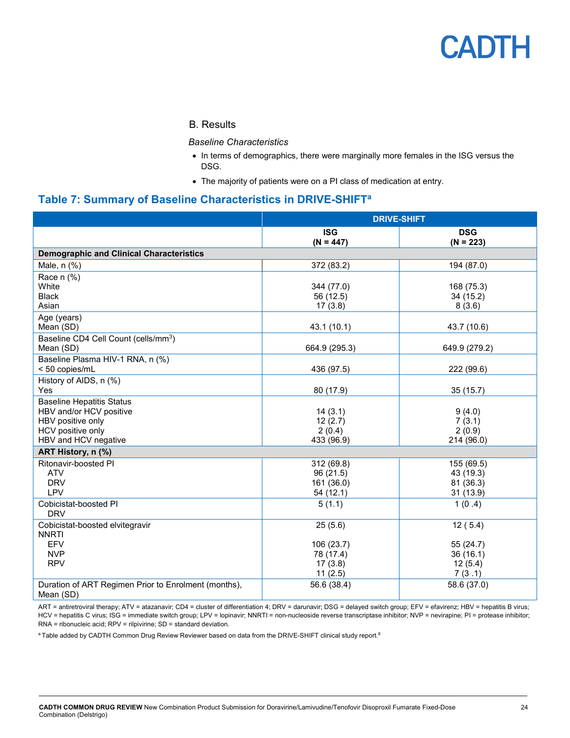#### B. Results

*Baseline Characteristics*

- In terms of demographics, there were marginally more females in the ISG versus the DSG.
- The majority of patients were on a PI class of medication at entry.

### <span id="page-23-0"></span>**Table 7: Summary of Baseline Characteristics in DRIVE-SHIFTa**

|                                                                                                                               | <b>DRIVE-SHIFT</b>                                       |                                                       |  |  |
|-------------------------------------------------------------------------------------------------------------------------------|----------------------------------------------------------|-------------------------------------------------------|--|--|
|                                                                                                                               | <b>ISG</b><br>$(N = 447)$                                | <b>DSG</b><br>$(N = 223)$                             |  |  |
| <b>Demographic and Clinical Characteristics</b>                                                                               |                                                          |                                                       |  |  |
| Male, n (%)                                                                                                                   | 372 (83.2)                                               | 194 (87.0)                                            |  |  |
| Race n (%)<br>White<br><b>Black</b><br>Asian                                                                                  | 344 (77.0)<br>56 (12.5)<br>17(3.8)                       | 168 (75.3)<br>34 (15.2)<br>8(3.6)                     |  |  |
| Age (years)<br>Mean (SD)                                                                                                      | 43.1 (10.1)                                              | 43.7 (10.6)                                           |  |  |
| Baseline CD4 Cell Count (cells/mm <sup>3</sup> )<br>Mean (SD)                                                                 | 664.9 (295.3)                                            | 649.9 (279.2)                                         |  |  |
| Baseline Plasma HIV-1 RNA, n (%)<br>< 50 copies/mL                                                                            | 436 (97.5)                                               | 222 (99.6)                                            |  |  |
| History of AIDS, n (%)<br>Yes                                                                                                 | 80 (17.9)                                                | 35(15.7)                                              |  |  |
| <b>Baseline Hepatitis Status</b><br>HBV and/or HCV positive<br>HBV positive only<br>HCV positive only<br>HBV and HCV negative | 14(3.1)<br>12(2.7)<br>2(0.4)<br>433 (96.9)               | 9(4.0)<br>7(3.1)<br>2(0.9)<br>214 (96.0)              |  |  |
| ART History, n (%)                                                                                                            |                                                          |                                                       |  |  |
| Ritonavir-boosted PI<br><b>ATV</b><br><b>DRV</b><br>LPV                                                                       | 312 (69.8)<br>96 (21.5)<br>161 (36.0)<br>54 (12.1)       | 155 (69.5)<br>43 (19.3)<br>81 (36.3)<br>31 (13.9)     |  |  |
| Cobicistat-boosted PI<br><b>DRV</b>                                                                                           | 5(1.1)                                                   | 1(0.4)                                                |  |  |
| Cobicistat-boosted elvitegravir<br><b>NNRTI</b><br>EFV<br><b>NVP</b><br><b>RPV</b>                                            | 25(5.6)<br>106 (23.7)<br>78 (17.4)<br>17(3.8)<br>11(2.5) | 12(5.4)<br>55 (24.7)<br>36(16.1)<br>12(5.4)<br>7(3.1) |  |  |
| Duration of ART Regimen Prior to Enrolment (months),<br>Mean (SD)                                                             | 56.6 (38.4)                                              | 58.6 (37.0)                                           |  |  |

ART = antiretroviral therapy; ATV = atazanavir; CD4 = cluster of differentiation 4; DRV = darunavir; DSG = delayed switch group; EFV = efavirenz; HBV = hepatitis B virus; HCV = hepatitis C virus; ISG = immediate switch group; LPV = lopinavir; NNRTI = non-nucleoside reverse transcriptase inhibitor; NVP = nevirapine; PI = protease inhibitor; RNA = ribonucleic acid; RPV = rilpivirine; SD = standard deviation.

 $^{\rm a}$ Table added by CADTH Common Drug Review Reviewer based on data from the DRIVE-SHIFT clinical study report. $^{\rm 8}$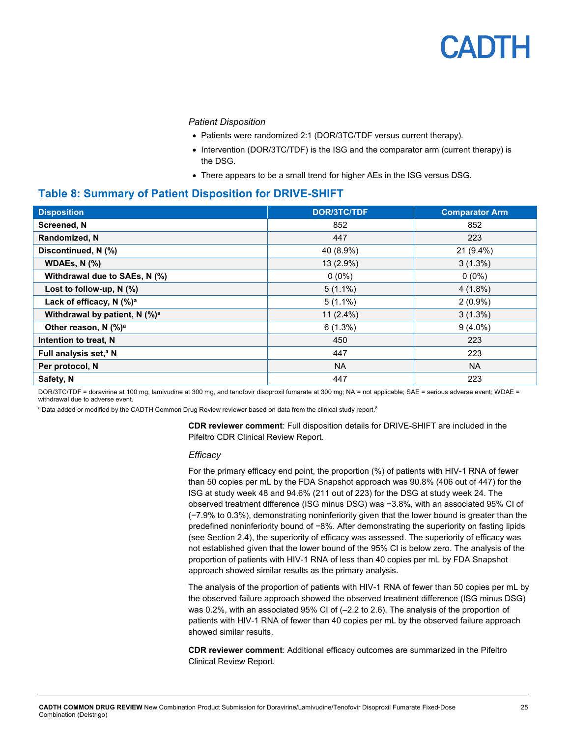*Patient Disposition*

- Patients were randomized 2:1 (DOR/3TC/TDF versus current therapy).
- Intervention (DOR/3TC/TDF) is the ISG and the comparator arm (current therapy) is the DSG.
- There appears to be a small trend for higher AEs in the ISG versus DSG.

### <span id="page-24-0"></span>**Table 8: Summary of Patient Disposition for DRIVE-SHIFT**

| <b>Disposition</b>                        | <b>DOR/3TC/TDF</b> | <b>Comparator Arm</b> |
|-------------------------------------------|--------------------|-----------------------|
| <b>Screened, N</b>                        | 852                | 852                   |
| Randomized, N                             | 447                | 223                   |
| Discontinued, N (%)                       | 40 (8.9%)          | 21 (9.4%)             |
| <b>WDAEs, N (%)</b>                       | 13 (2.9%)          | $3(1.3\%)$            |
| Withdrawal due to SAEs, N (%)             | $0(0\%)$           | $0(0\%)$              |
| Lost to follow-up, $N$ (%)                | $5(1.1\%)$         | $4(1.8\%)$            |
| Lack of efficacy, N (%) <sup>a</sup>      | $5(1.1\%)$         | $2(0.9\%)$            |
| Withdrawal by patient, N (%) <sup>a</sup> | $11(2.4\%)$        | $3(1.3\%)$            |
| Other reason, N $(\%)^a$                  | 6(1.3%)            | $9(4.0\%)$            |
| Intention to treat, N                     | 450                | 223                   |
| Full analysis set, <sup>a</sup> N         | 447                | 223                   |
| Per protocol, N                           | <b>NA</b>          | <b>NA</b>             |
| Safety, N                                 | 447                | 223                   |

DOR/3TC/TDF = doravirine at 100 mg, lamivudine at 300 mg, and tenofovir disoproxil fumarate at 300 mg; NA = not applicable; SAE = serious adverse event; WDAE = withdrawal due to adverse event.

 $^{\rm a}$  Data added or modified by the CADTH Common Drug Review reviewer based on data from the clinical study report. $^{\rm 8}$ 

**CDR reviewer comment**: Full disposition details for DRIVE-SHIFT are included in the Pifeltro CDR Clinical Review Report.

#### *Efficacy*

For the primary efficacy end point, the proportion (%) of patients with HIV-1 RNA of fewer than 50 copies per mL by the FDA Snapshot approach was 90.8% (406 out of 447) for the ISG at study week 48 and 94.6% (211 out of 223) for the DSG at study week 24. The observed treatment difference (ISG minus DSG) was −3.8%, with an associated 95% CI of (−7.9% to 0.3%), demonstrating noninferiority given that the lower bound is greater than the predefined noninferiority bound of −8%. After demonstrating the superiority on fasting lipids (see Section 2.4), the superiority of efficacy was assessed. The superiority of efficacy was not established given that the lower bound of the 95% CI is below zero. The analysis of the proportion of patients with HIV-1 RNA of less than 40 copies per mL by FDA Snapshot approach showed similar results as the primary analysis.

The analysis of the proportion of patients with HIV-1 RNA of fewer than 50 copies per mL by the observed failure approach showed the observed treatment difference (ISG minus DSG) was 0.2%, with an associated 95% CI of (–2.2 to 2.6). The analysis of the proportion of patients with HIV-1 RNA of fewer than 40 copies per mL by the observed failure approach showed similar results.

**CDR reviewer comment**: Additional efficacy outcomes are summarized in the Pifeltro Clinical Review Report.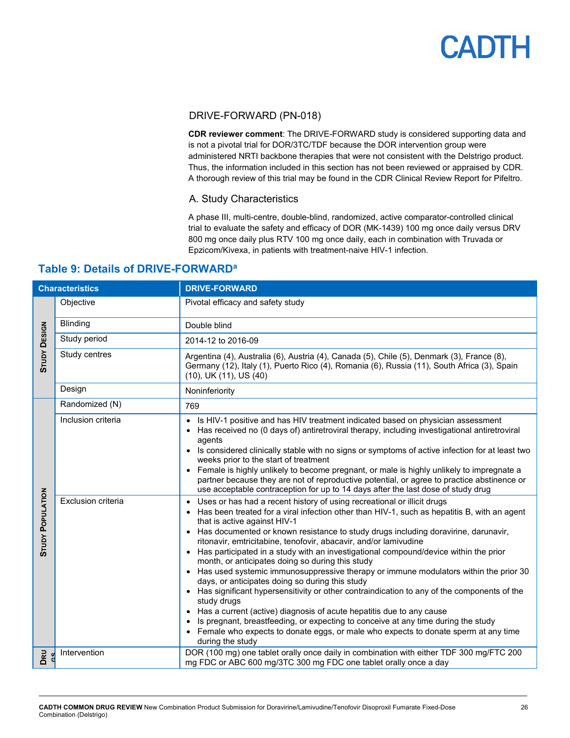### DRIVE-FORWARD (PN-018)

**CDR reviewer comment**: The DRIVE-FORWARD study is considered supporting data and is not a pivotal trial for DOR/3TC/TDF because the DOR intervention group were administered NRTI backbone therapies that were not consistent with the Delstrigo product. Thus, the information included in this section has not been reviewed or appraised by CDR. A thorough review of this trial may be found in the CDR Clinical Review Report for Pifeltro.

### A. Study Characteristics

A phase III, multi-centre, double-blind, randomized, active comparator-controlled clinical trial to evaluate the safety and efficacy of DOR (MK-1439) 100 mg once daily versus DRV 800 mg once daily plus RTV 100 mg once daily, each in combination with Truvada or Epzicom/Kivexa, in patients with treatment-naive HIV-1 infection.

| <b>Characteristics</b>  |                    | <b>DRIVE-FORWARD</b>                                                                                                                                                                                                                                                                                                                                                                                                                                                                                                                                                                                                                                                                                                                                                                                                                                                                                                                                                                                                                                        |
|-------------------------|--------------------|-------------------------------------------------------------------------------------------------------------------------------------------------------------------------------------------------------------------------------------------------------------------------------------------------------------------------------------------------------------------------------------------------------------------------------------------------------------------------------------------------------------------------------------------------------------------------------------------------------------------------------------------------------------------------------------------------------------------------------------------------------------------------------------------------------------------------------------------------------------------------------------------------------------------------------------------------------------------------------------------------------------------------------------------------------------|
|                         | Objective          | Pivotal efficacy and safety study                                                                                                                                                                                                                                                                                                                                                                                                                                                                                                                                                                                                                                                                                                                                                                                                                                                                                                                                                                                                                           |
|                         | <b>Blinding</b>    | Double blind                                                                                                                                                                                                                                                                                                                                                                                                                                                                                                                                                                                                                                                                                                                                                                                                                                                                                                                                                                                                                                                |
|                         | Study period       | 2014-12 to 2016-09                                                                                                                                                                                                                                                                                                                                                                                                                                                                                                                                                                                                                                                                                                                                                                                                                                                                                                                                                                                                                                          |
| <b>STUDY DESIGN</b>     | Study centres      | Argentina (4), Australia (6), Austria (4), Canada (5), Chile (5), Denmark (3), France (8),<br>Germany (12), Italy (1), Puerto Rico (4), Romania (6), Russia (11), South Africa (3), Spain<br>(10), UK (11), US (40)                                                                                                                                                                                                                                                                                                                                                                                                                                                                                                                                                                                                                                                                                                                                                                                                                                         |
|                         | Design             | Noninferiority                                                                                                                                                                                                                                                                                                                                                                                                                                                                                                                                                                                                                                                                                                                                                                                                                                                                                                                                                                                                                                              |
|                         | Randomized (N)     | 769                                                                                                                                                                                                                                                                                                                                                                                                                                                                                                                                                                                                                                                                                                                                                                                                                                                                                                                                                                                                                                                         |
|                         | Inclusion criteria | • Is HIV-1 positive and has HIV treatment indicated based on physician assessment<br>• Has received no (0 days of) antiretroviral therapy, including investigational antiretroviral<br>agents<br>• Is considered clinically stable with no signs or symptoms of active infection for at least two<br>weeks prior to the start of treatment                                                                                                                                                                                                                                                                                                                                                                                                                                                                                                                                                                                                                                                                                                                  |
|                         |                    | • Female is highly unlikely to become pregnant, or male is highly unlikely to impregnate a<br>partner because they are not of reproductive potential, or agree to practice abstinence or<br>use acceptable contraception for up to 14 days after the last dose of study drug                                                                                                                                                                                                                                                                                                                                                                                                                                                                                                                                                                                                                                                                                                                                                                                |
| <b>STUDY POPULATION</b> | Exclusion criteria | • Uses or has had a recent history of using recreational or illicit drugs<br>• Has been treated for a viral infection other than HIV-1, such as hepatitis B, with an agent<br>that is active against HIV-1<br>• Has documented or known resistance to study drugs including doravirine, darunavir,<br>ritonavir, emtricitabine, tenofovir, abacavir, and/or lamivudine<br>• Has participated in a study with an investigational compound/device within the prior<br>month, or anticipates doing so during this study<br>• Has used systemic immunosuppressive therapy or immune modulators within the prior 30<br>days, or anticipates doing so during this study<br>• Has significant hypersensitivity or other contraindication to any of the components of the<br>study drugs<br>• Has a current (active) diagnosis of acute hepatitis due to any cause<br>Is pregnant, breastfeeding, or expecting to conceive at any time during the study<br>• Female who expects to donate eggs, or male who expects to donate sperm at any time<br>during the study |
| DRU                     | Intervention       | DOR (100 mg) one tablet orally once daily in combination with either TDF 300 mg/FTC 200<br>mg FDC or ABC 600 mg/3TC 300 mg FDC one tablet orally once a day                                                                                                                                                                                                                                                                                                                                                                                                                                                                                                                                                                                                                                                                                                                                                                                                                                                                                                 |

### <span id="page-25-0"></span>**Table 9: Details of DRIVE-FORWARDa**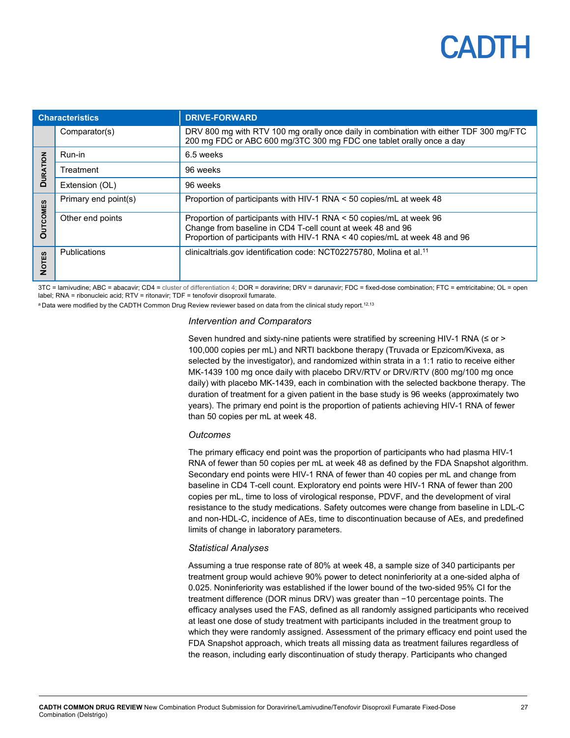## PANTE

| <b>Characteristics</b> |                      | <b>DRIVE-FORWARD</b>                                                                                                                                                                                            |  |  |
|------------------------|----------------------|-----------------------------------------------------------------------------------------------------------------------------------------------------------------------------------------------------------------|--|--|
|                        | Comparator(s)        | DRV 800 mg with RTV 100 mg orally once daily in combination with either TDF 300 mg/FTC<br>200 mg FDC or ABC 600 mg/3TC 300 mg FDC one tablet orally once a day                                                  |  |  |
| $\overline{6}$         | Run-in               | 6.5 weeks                                                                                                                                                                                                       |  |  |
| <b>URATI</b>           | Treatment            | 96 weeks                                                                                                                                                                                                        |  |  |
| Q                      | Extension (OL)       | 96 weeks                                                                                                                                                                                                        |  |  |
|                        | Primary end point(s) | Proportion of participants with HIV-1 RNA < 50 copies/mL at week 48                                                                                                                                             |  |  |
| COMES<br>O             | Other end points     | Proportion of participants with HIV-1 RNA < 50 copies/mL at week 96<br>Change from baseline in CD4 T-cell count at week 48 and 96<br>Proportion of participants with HIV-1 RNA < 40 copies/mL at week 48 and 96 |  |  |
| <b>NOTES</b>           | <b>Publications</b>  | clinicaltrials.gov identification code: NCT02275780, Molina et al. <sup>11</sup>                                                                                                                                |  |  |

3TC = lamivudine; ABC = abacavir; CD4 = cluster of differentiation 4; DOR = doravirine; DRV = darunavir; FDC = fixed-dose combination; FTC = emtricitabine; OL = open label; RNA = ribonucleic acid; RTV = ritonavir; TDF = tenofovir disoproxil fumarate.

 $^{\rm a}$  Data were modified by the CADTH Common Drug Review reviewer based on data from the clinical study report. $^{12,13}$ 

#### *Intervention and Comparators*

Seven hundred and sixty-nine patients were stratified by screening HIV-1 RNA (≤ or > 100,000 copies per mL) and NRTI backbone therapy (Truvada or Epzicom/Kivexa, as selected by the investigator), and randomized within strata in a 1:1 ratio to receive either MK-1439 100 mg once daily with placebo DRV/RTV or DRV/RTV (800 mg/100 mg once daily) with placebo MK-1439, each in combination with the selected backbone therapy. The duration of treatment for a given patient in the base study is 96 weeks (approximately two years). The primary end point is the proportion of patients achieving HIV-1 RNA of fewer than 50 copies per mL at week 48.

#### *Outcomes*

The primary efficacy end point was the proportion of participants who had plasma HIV-1 RNA of fewer than 50 copies per mL at week 48 as defined by the FDA Snapshot algorithm. Secondary end points were HIV-1 RNA of fewer than 40 copies per mL and change from baseline in CD4 T-cell count. Exploratory end points were HIV-1 RNA of fewer than 200 copies per mL, time to loss of virological response, PDVF, and the development of viral resistance to the study medications. Safety outcomes were change from baseline in LDL-C and non-HDL-C, incidence of AEs, time to discontinuation because of AEs, and predefined limits of change in laboratory parameters.

#### *Statistical Analyses*

Assuming a true response rate of 80% at week 48, a sample size of 340 participants per treatment group would achieve 90% power to detect noninferiority at a one-sided alpha of 0.025. Noninferiority was established if the lower bound of the two-sided 95% CI for the treatment difference (DOR minus DRV) was greater than −10 percentage points. The efficacy analyses used the FAS, defined as all randomly assigned participants who received at least one dose of study treatment with participants included in the treatment group to which they were randomly assigned. Assessment of the primary efficacy end point used the FDA Snapshot approach, which treats all missing data as treatment failures regardless of the reason, including early discontinuation of study therapy. Participants who changed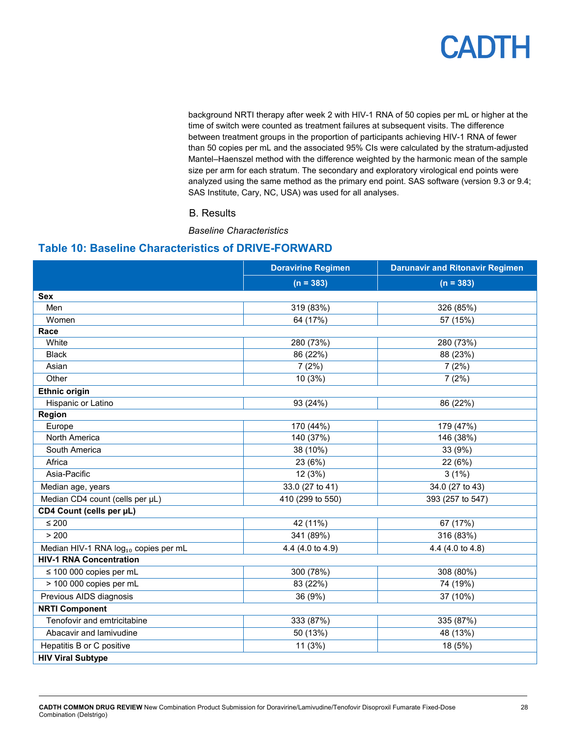background NRTI therapy after week 2 with HIV-1 RNA of 50 copies per mL or higher at the time of switch were counted as treatment failures at subsequent visits. The difference between treatment groups in the proportion of participants achieving HIV-1 RNA of fewer than 50 copies per mL and the associated 95% CIs were calculated by the stratum-adjusted Mantel–Haenszel method with the difference weighted by the harmonic mean of the sample size per arm for each stratum. The secondary and exploratory virological end points were analyzed using the same method as the primary end point. SAS software (version 9.3 or 9.4; SAS Institute, Cary, NC, USA) was used for all analyses.

### B. Results

*Baseline Characteristics*

### <span id="page-27-0"></span>**Table 10: Baseline Characteristics of DRIVE-FORWARD**

|                                                  | <b>Doravirine Regimen</b> | <b>Darunavir and Ritonavir Regimen</b> |  |
|--------------------------------------------------|---------------------------|----------------------------------------|--|
|                                                  | $(n = 383)$               | $(n = 383)$                            |  |
| Sex                                              |                           |                                        |  |
| Men                                              | 319 (83%)                 | 326 (85%)                              |  |
| Women                                            | 64 (17%)                  | 57 (15%)                               |  |
| Race                                             |                           |                                        |  |
| White                                            | 280 (73%)                 | 280 (73%)                              |  |
| <b>Black</b>                                     | 86 (22%)                  | 88 (23%)                               |  |
| Asian                                            | 7(2%)                     | 7(2%)                                  |  |
| Other                                            | 10(3%)                    | 7(2%)                                  |  |
| <b>Ethnic origin</b>                             |                           |                                        |  |
| Hispanic or Latino                               | 93 (24%)                  | 86 (22%)                               |  |
| Region                                           |                           |                                        |  |
| Europe                                           | 170 (44%)                 | 179 (47%)                              |  |
| North America                                    | 140 (37%)                 | 146 (38%)                              |  |
| South America                                    | 38 (10%)                  | 33 (9%)                                |  |
| Africa                                           | 23 (6%)                   | 22 (6%)                                |  |
| Asia-Pacific                                     | 12 (3%)                   | 3(1%)                                  |  |
| Median age, years                                | 33.0 (27 to 41)           | 34.0 (27 to 43)                        |  |
| Median CD4 count (cells per µL)                  | 410 (299 to 550)          | 393 (257 to 547)                       |  |
| CD4 Count (cells per µL)                         |                           |                                        |  |
| $\leq 200$                                       | 42 (11%)                  | 67 (17%)                               |  |
| > 200                                            | 341 (89%)                 | 316 (83%)                              |  |
| Median HIV-1 RNA log <sub>10</sub> copies per mL | 4.4 (4.0 to 4.9)          | 4.4 (4.0 to 4.8)                       |  |
| <b>HIV-1 RNA Concentration</b>                   |                           |                                        |  |
| $\leq$ 100 000 copies per mL                     | 300 (78%)                 | 308 (80%)                              |  |
| > 100 000 copies per mL                          | 83 (22%)                  | 74 (19%)                               |  |
| Previous AIDS diagnosis                          | 36 (9%)                   | 37 (10%)                               |  |
| <b>NRTI Component</b>                            |                           |                                        |  |
| Tenofovir and emtricitabine                      | 333 (87%)                 | 335 (87%)                              |  |
| Abacavir and lamivudine                          | 50 (13%)                  | 48 (13%)                               |  |
| Hepatitis B or C positive                        | 11(3%)                    | 18 (5%)                                |  |
| <b>HIV Viral Subtype</b>                         |                           |                                        |  |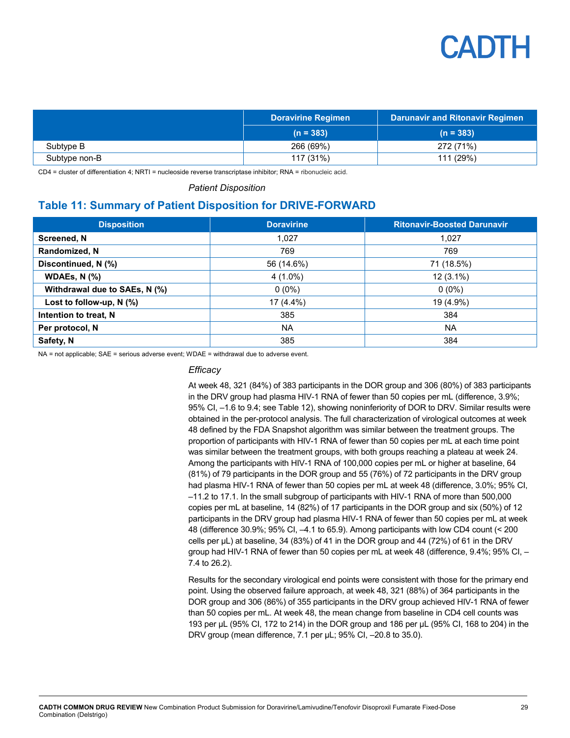

|               | <b>Doravirine Regimen</b> | <b>Darunavir and Ritonavir Regimen</b> |
|---------------|---------------------------|----------------------------------------|
|               | $(n = 383)$               | $(n = 383)$                            |
| Subtype B     | 266 (69%)                 | 272 (71%)                              |
| Subtype non-B | 117(31%)                  | 111 (29%)                              |

CD4 = cluster of differentiation 4; NRTI = nucleoside reverse transcriptase inhibitor; RNA = ribonucleic acid.

*Patient Disposition*

### <span id="page-28-0"></span>**Table 11: Summary of Patient Disposition for DRIVE-FORWARD**

| <b>Disposition</b>            | <b>Doravirine</b> | <b>Ritonavir-Boosted Darunavir</b> |
|-------------------------------|-------------------|------------------------------------|
| Screened, N                   | 1.027             | 1.027                              |
| Randomized, N                 | 769               | 769                                |
| Discontinued, N (%)           | 56 (14.6%)        | 71 (18.5%)                         |
| WDAEs, $N$ (%)                | $4(1.0\%)$        | $12(3.1\%)$                        |
| Withdrawal due to SAEs, N (%) | $0(0\%)$          | $0(0\%)$                           |
| Lost to follow-up, $N$ (%)    | 17 (4.4%)         | 19 (4.9%)                          |
| Intention to treat, N         | 385               | 384                                |
| Per protocol, N               | <b>NA</b>         | <b>NA</b>                          |
| Safety, N                     | 385               | 384                                |

NA = not applicable; SAE = serious adverse event; WDAE = withdrawal due to adverse event.

#### *Efficacy*

At week 48, 321 (84%) of 383 participants in the DOR group and 306 (80%) of 383 participants in the DRV group had plasma HIV-1 RNA of fewer than 50 copies per mL (difference, 3.9%; 95% CI, –1.6 to 9.4; see [Table](#page-29-1) 12), showing noninferiority of DOR to DRV. Similar results were obtained in the per-protocol analysis. The full characterization of virological outcomes at week 48 defined by the FDA Snapshot algorithm was similar between the treatment groups. The proportion of participants with HIV-1 RNA of fewer than 50 copies per mL at each time point was similar between the treatment groups, with both groups reaching a plateau at week 24. Among the participants with HIV-1 RNA of 100,000 copies per mL or higher at baseline, 64 (81%) of 79 participants in the DOR group and 55 (76%) of 72 participants in the DRV group had plasma HIV-1 RNA of fewer than 50 copies per mL at week 48 (difference, 3.0%; 95% CI, –11.2 to 17.1. In the small subgroup of participants with HIV-1 RNA of more than 500,000 copies per mL at baseline, 14 (82%) of 17 participants in the DOR group and six (50%) of 12 participants in the DRV group had plasma HIV-1 RNA of fewer than 50 copies per mL at week 48 (difference 30.9%; 95% CI, –4.1 to 65.9). Among participants with low CD4 count (< 200 cells per  $\mu$ L) at baseline, 34 (83%) of 41 in the DOR group and 44 (72%) of 61 in the DRV group had HIV-1 RNA of fewer than 50 copies per mL at week 48 (difference, 9.4%; 95% CI, – 7.4 to 26.2).

Results for the secondary virological end points were consistent with those for the primary end point. Using the observed failure approach, at week 48, 321 (88%) of 364 participants in the DOR group and 306 (86%) of 355 participants in the DRV group achieved HIV-1 RNA of fewer than 50 copies per mL. At week 48, the mean change from baseline in CD4 cell counts was 193 per μL (95% CI, 172 to 214) in the DOR group and 186 per μL (95% CI, 168 to 204) in the DRV group (mean difference, 7.1 per μL; 95% CI, –20.8 to 35.0).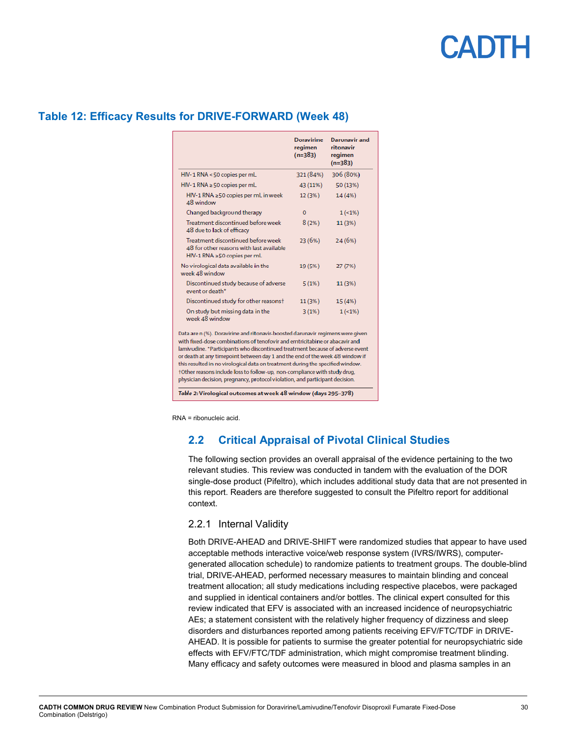#### **Doravirine** Darunavir and regimen ritonavir  $(n=383)$ regimen  $(n=383)$ HIV-1 RNA <50 copies per mL 321 (84%) 306 (80%) HIV-1 RNA ≥50 copies per mL 43 (11%) 50 (13%) HIV-1 RNA ≥50 copies per mL in week  $12(3%)$ 14 (4%) 48 window  $\circ$  $1(-1%)$ Changed background therapy Treatment discontinued before week  $8(2%)$  $11(3%)$ 48 due to lack of efficacy Treatment discontinued before week 23 (6%) 24 (6%) 48 for other reasons with last available HIV-1 RNA ≥50 copies per mL No virological data available in the 19 (5%) 27 (7%) week 48 window Discontinued study because of adverse  $5(1%)$ 11 (3%) event or death\* Discontinued study for other reasons+  $11(3%)$  $15(4%)$ On study but missing data in the  $3(1%)$  $1(-1%)$ week 48 window Data are n (%). Doravirine and ritonavir-boosted darunavir regimens were given with fixed-dose combinations of tenofovir and emtricitabine or abacavir and lamivudine. \*Participants who discontinued treatment because of adverse event or death at any timepoint between day 1 and the end of the week 48 window if this resulted in no virological data on treatment during the specified window. +Other reasons include loss to follow-up, non-compliance with study drug, physician decision, pregnancy, protocol violation, and participant decision.

Table 2: Virological outcomes at week 48 window (days 295-378)

### <span id="page-29-1"></span>**Table 12: Efficacy Results for DRIVE-FORWARD (Week 48)**

<span id="page-29-0"></span>RNA = ribonucleic acid.

## **2.2 Critical Appraisal of Pivotal Clinical Studies**

The following section provides an overall appraisal of the evidence pertaining to the two relevant studies. This review was conducted in tandem with the evaluation of the DOR single-dose product (Pifeltro), which includes additional study data that are not presented in this report. Readers are therefore suggested to consult the Pifeltro report for additional context.

### 2.2.1 Internal Validity

Both DRIVE-AHEAD and DRIVE-SHIFT were randomized studies that appear to have used acceptable methods interactive voice/web response system (IVRS/IWRS), computergenerated allocation schedule) to randomize patients to treatment groups. The double-blind trial, DRIVE-AHEAD, performed necessary measures to maintain blinding and conceal treatment allocation; all study medications including respective placebos, were packaged and supplied in identical containers and/or bottles. The clinical expert consulted for this review indicated that EFV is associated with an increased incidence of neuropsychiatric AEs; a statement consistent with the relatively higher frequency of dizziness and sleep disorders and disturbances reported among patients receiving EFV/FTC/TDF in DRIVE-AHEAD. It is possible for patients to surmise the greater potential for neuropsychiatric side effects with EFV/FTC/TDF administration, which might compromise treatment blinding. Many efficacy and safety outcomes were measured in blood and plasma samples in an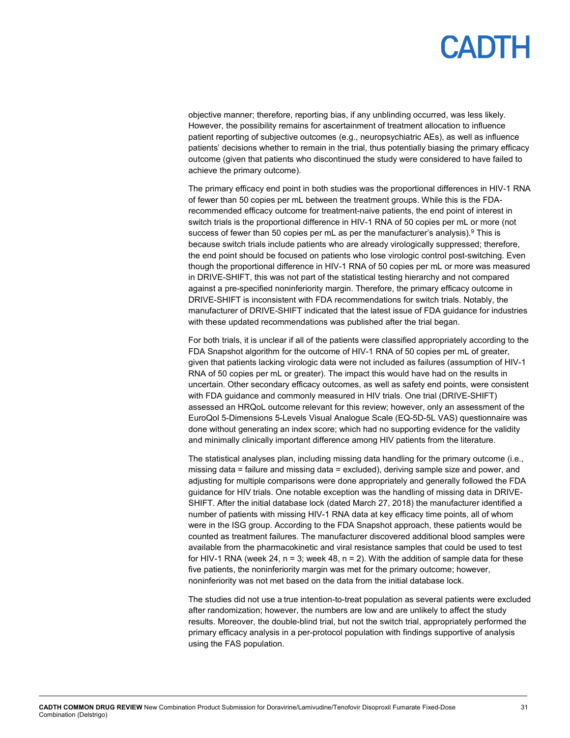objective manner; therefore, reporting bias, if any unblinding occurred, was less likely. However, the possibility remains for ascertainment of treatment allocation to influence patient reporting of subjective outcomes (e.g., neuropsychiatric AEs), as well as influence patients' decisions whether to remain in the trial, thus potentially biasing the primary efficacy outcome (given that patients who discontinued the study were considered to have failed to achieve the primary outcome).

The primary efficacy end point in both studies was the proportional differences in HIV-1 RNA of fewer than 50 copies per mL between the treatment groups. While this is the FDArecommended efficacy outcome for treatment-naive patients, the end point of interest in switch trials is the proportional difference in HIV-1 RNA of 50 copies per mL or more (not success of fewer than 50 copies per mL as per the manufacturer's analysis).<sup>9</sup> This is because switch trials include patients who are already virologically suppressed; therefore, the end point should be focused on patients who lose virologic control post-switching. Even though the proportional difference in HIV-1 RNA of 50 copies per mL or more was measured in DRIVE-SHIFT, this was not part of the statistical testing hierarchy and not compared against a pre-specified noninferiority margin. Therefore, the primary efficacy outcome in DRIVE-SHIFT is inconsistent with FDA recommendations for switch trials. Notably, the manufacturer of DRIVE-SHIFT indicated that the latest issue of FDA guidance for industries with these updated recommendations was published after the trial began.

For both trials, it is unclear if all of the patients were classified appropriately according to the FDA Snapshot algorithm for the outcome of HIV-1 RNA of 50 copies per mL of greater, given that patients lacking virologic data were not included as failures (assumption of HIV-1 RNA of 50 copies per mL or greater). The impact this would have had on the results in uncertain. Other secondary efficacy outcomes, as well as safety end points, were consistent with FDA guidance and commonly measured in HIV trials. One trial (DRIVE-SHIFT) assessed an HRQoL outcome relevant for this review; however, only an assessment of the EuroQol 5-Dimensions 5-Levels Visual Analogue Scale (EQ-5D-5L VAS) questionnaire was done without generating an index score; which had no supporting evidence for the validity and minimally clinically important difference among HIV patients from the literature.

The statistical analyses plan, including missing data handling for the primary outcome (i.e., missing data = failure and missing data = excluded), deriving sample size and power, and adjusting for multiple comparisons were done appropriately and generally followed the FDA guidance for HIV trials. One notable exception was the handling of missing data in DRIVE-SHIFT. After the initial database lock (dated March 27, 2018) the manufacturer identified a number of patients with missing HIV-1 RNA data at key efficacy time points, all of whom were in the ISG group. According to the FDA Snapshot approach, these patients would be counted as treatment failures. The manufacturer discovered additional blood samples were available from the pharmacokinetic and viral resistance samples that could be used to test for HIV-1 RNA (week 24,  $n = 3$ ; week 48,  $n = 2$ ). With the addition of sample data for these five patients, the noninferiority margin was met for the primary outcome; however, noninferiority was not met based on the data from the initial database lock.

The studies did not use a true intention-to-treat population as several patients were excluded after randomization; however, the numbers are low and are unlikely to affect the study results. Moreover, the double-blind trial, but not the switch trial, appropriately performed the primary efficacy analysis in a per-protocol population with findings supportive of analysis using the FAS population.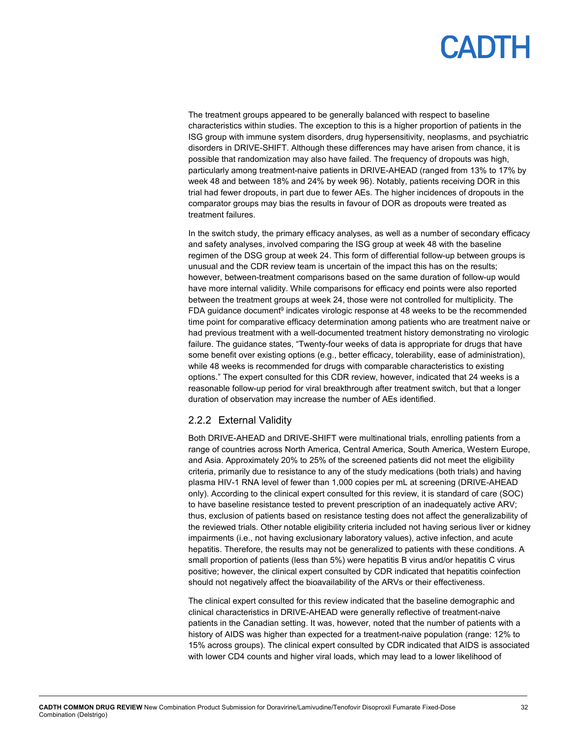The treatment groups appeared to be generally balanced with respect to baseline characteristics within studies. The exception to this is a higher proportion of patients in the ISG group with immune system disorders, drug hypersensitivity, neoplasms, and psychiatric disorders in DRIVE-SHIFT. Although these differences may have arisen from chance, it is possible that randomization may also have failed. The frequency of dropouts was high, particularly among treatment-naive patients in DRIVE-AHEAD (ranged from 13% to 17% by week 48 and between 18% and 24% by week 96). Notably, patients receiving DOR in this trial had fewer dropouts, in part due to fewer AEs. The higher incidences of dropouts in the comparator groups may bias the results in favour of DOR as dropouts were treated as treatment failures.

In the switch study, the primary efficacy analyses, as well as a number of secondary efficacy and safety analyses, involved comparing the ISG group at week 48 with the baseline regimen of the DSG group at week 24. This form of differential follow-up between groups is unusual and the CDR review team is uncertain of the impact this has on the results; however, between-treatment comparisons based on the same duration of follow-up would have more internal validity. While comparisons for efficacy end points were also reported between the treatment groups at week 24, those were not controlled for multiplicity. The FDA guidance document<sup>9</sup> indicates virologic response at 48 weeks to be the recommended time point for comparative efficacy determination among patients who are treatment naive or had previous treatment with a well-documented treatment history demonstrating no virologic failure. The guidance states, "Twenty-four weeks of data is appropriate for drugs that have some benefit over existing options (e.g., better efficacy, tolerability, ease of administration), while 48 weeks is recommended for drugs with comparable characteristics to existing options." The expert consulted for this CDR review, however, indicated that 24 weeks is a reasonable follow-up period for viral breakthrough after treatment switch, but that a longer duration of observation may increase the number of AEs identified.

### 2.2.2 External Validity

Both DRIVE-AHEAD and DRIVE-SHIFT were multinational trials, enrolling patients from a range of countries across North America, Central America, South America, Western Europe, and Asia. Approximately 20% to 25% of the screened patients did not meet the eligibility criteria, primarily due to resistance to any of the study medications (both trials) and having plasma HIV-1 RNA level of fewer than 1,000 copies per mL at screening (DRIVE-AHEAD only). According to the clinical expert consulted for this review, it is standard of care (SOC) to have baseline resistance tested to prevent prescription of an inadequately active ARV; thus, exclusion of patients based on resistance testing does not affect the generalizability of the reviewed trials. Other notable eligibility criteria included not having serious liver or kidney impairments (i.e., not having exclusionary laboratory values), active infection, and acute hepatitis. Therefore, the results may not be generalized to patients with these conditions. A small proportion of patients (less than 5%) were hepatitis B virus and/or hepatitis C virus positive; however, the clinical expert consulted by CDR indicated that hepatitis coinfection should not negatively affect the bioavailability of the ARVs or their effectiveness.

The clinical expert consulted for this review indicated that the baseline demographic and clinical characteristics in DRIVE-AHEAD were generally reflective of treatment-naive patients in the Canadian setting. It was, however, noted that the number of patients with a history of AIDS was higher than expected for a treatment-naive population (range: 12% to 15% across groups). The clinical expert consulted by CDR indicated that AIDS is associated with lower CD4 counts and higher viral loads, which may lead to a lower likelihood of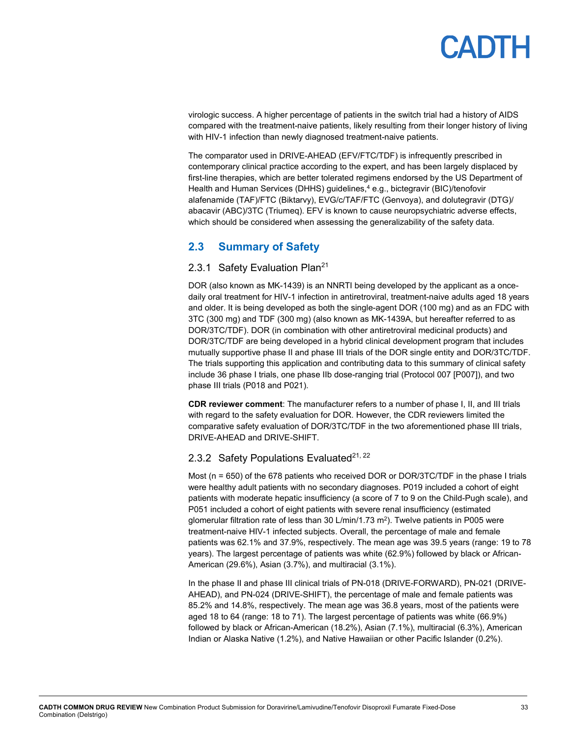virologic success. A higher percentage of patients in the switch trial had a history of AIDS compared with the treatment-naive patients, likely resulting from their longer history of living with HIV-1 infection than newly diagnosed treatment-naive patients.

The comparator used in DRIVE-AHEAD (EFV/FTC/TDF) is infrequently prescribed in contemporary clinical practice according to the expert, and has been largely displaced by first-line therapies, which are better tolerated regimens endorsed by the US Department of Health and Human Services (DHHS) guidelines, <sup>4</sup> e.g., bictegravir (BIC)/tenofovir alafenamide (TAF)/FTC (Biktarvy), EVG/c/TAF/FTC (Genvoya), and dolutegravir (DTG)/ abacavir (ABC)/3TC (Triumeq). EFV is known to cause neuropsychiatric adverse effects, which should be considered when assessing the generalizability of the safety data.

## <span id="page-32-0"></span>**2.3 Summary of Safety**

### 2.3.1 Safety Evaluation Plan<sup>21</sup>

DOR (also known as MK-1439) is an NNRTI being developed by the applicant as a oncedaily oral treatment for HIV-1 infection in antiretroviral, treatment-naive adults aged 18 years and older. It is being developed as both the single-agent DOR (100 mg) and as an FDC with 3TC (300 mg) and TDF (300 mg) (also known as MK-1439A, but hereafter referred to as DOR/3TC/TDF). DOR (in combination with other antiretroviral medicinal products) and DOR/3TC/TDF are being developed in a hybrid clinical development program that includes mutually supportive phase II and phase III trials of the DOR single entity and DOR/3TC/TDF. The trials supporting this application and contributing data to this summary of clinical safety include 36 phase I trials, one phase IIb dose-ranging trial (Protocol 007 [P007]), and two phase III trials (P018 and P021).

**CDR reviewer comment**: The manufacturer refers to a number of phase I, II, and III trials with regard to the safety evaluation for DOR. However, the CDR reviewers limited the comparative safety evaluation of DOR/3TC/TDF in the two aforementioned phase III trials, DRIVE-AHEAD and DRIVE-SHIFT.

### 2.3.2 Safety Populations Evaluated $21,22$

Most (n = 650) of the 678 patients who received DOR or DOR/3TC/TDF in the phase I trials were healthy adult patients with no secondary diagnoses. P019 included a cohort of eight patients with moderate hepatic insufficiency (a score of 7 to 9 on the Child-Pugh scale), and P051 included a cohort of eight patients with severe renal insufficiency (estimated glomerular filtration rate of less than 30  $L/min/1.73$  m<sup>2</sup>). Twelve patients in P005 were treatment-naive HIV-1 infected subjects. Overall, the percentage of male and female patients was 62.1% and 37.9%, respectively. The mean age was 39.5 years (range: 19 to 78 years). The largest percentage of patients was white (62.9%) followed by black or African-American (29.6%), Asian (3.7%), and multiracial (3.1%).

In the phase II and phase III clinical trials of PN-018 (DRIVE-FORWARD), PN-021 (DRIVE-AHEAD), and PN-024 (DRIVE-SHIFT), the percentage of male and female patients was 85.2% and 14.8%, respectively. The mean age was 36.8 years, most of the patients were aged 18 to 64 (range: 18 to 71). The largest percentage of patients was white (66.9%) followed by black or African-American (18.2%), Asian (7.1%), multiracial (6.3%), American Indian or Alaska Native (1.2%), and Native Hawaiian or other Pacific Islander (0.2%).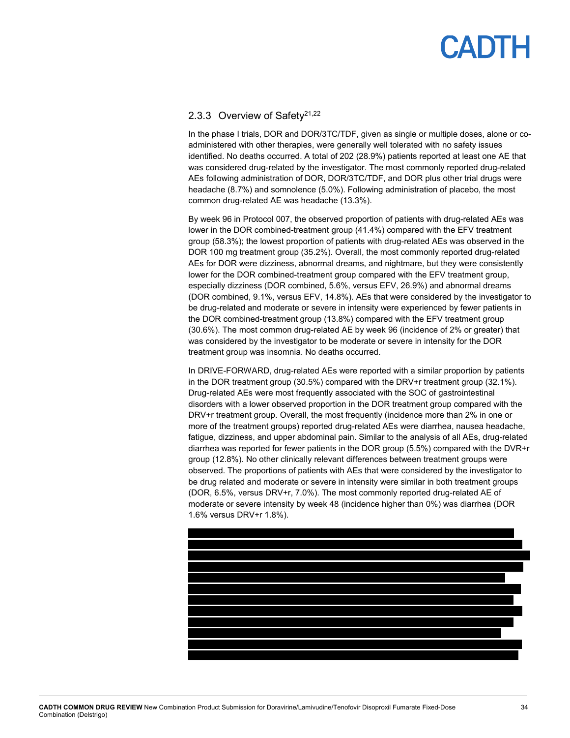### 2.3.3 Overview of Safety<sup>21,22</sup>

In the phase I trials, DOR and DOR/3TC/TDF, given as single or multiple doses, alone or coadministered with other therapies, were generally well tolerated with no safety issues identified. No deaths occurred. A total of 202 (28.9%) patients reported at least one AE that was considered drug-related by the investigator. The most commonly reported drug-related AEs following administration of DOR, DOR/3TC/TDF, and DOR plus other trial drugs were headache (8.7%) and somnolence (5.0%). Following administration of placebo, the most common drug-related AE was headache (13.3%).

By week 96 in Protocol 007, the observed proportion of patients with drug-related AEs was lower in the DOR combined-treatment group (41.4%) compared with the EFV treatment group (58.3%); the lowest proportion of patients with drug-related AEs was observed in the DOR 100 mg treatment group (35.2%). Overall, the most commonly reported drug-related AEs for DOR were dizziness, abnormal dreams, and nightmare, but they were consistently lower for the DOR combined-treatment group compared with the EFV treatment group, especially dizziness (DOR combined, 5.6%, versus EFV, 26.9%) and abnormal dreams (DOR combined, 9.1%, versus EFV, 14.8%). AEs that were considered by the investigator to be drug-related and moderate or severe in intensity were experienced by fewer patients in the DOR combined-treatment group (13.8%) compared with the EFV treatment group (30.6%). The most common drug-related AE by week 96 (incidence of 2% or greater) that was considered by the investigator to be moderate or severe in intensity for the DOR treatment group was insomnia. No deaths occurred.

In DRIVE-FORWARD, drug-related AEs were reported with a similar proportion by patients in the DOR treatment group (30.5%) compared with the DRV+r treatment group (32.1%). Drug-related AEs were most frequently associated with the SOC of gastrointestinal disorders with a lower observed proportion in the DOR treatment group compared with the DRV+r treatment group. Overall, the most frequently (incidence more than 2% in one or more of the treatment groups) reported drug-related AEs were diarrhea, nausea headache, fatigue, dizziness, and upper abdominal pain. Similar to the analysis of all AEs, drug-related diarrhea was reported for fewer patients in the DOR group (5.5%) compared with the DVR+r group (12.8%). No other clinically relevant differences between treatment groups were observed. The proportions of patients with AEs that were considered by the investigator to be drug related and moderate or severe in intensity were similar in both treatment groups (DOR, 6.5%, versus DRV+r, 7.0%). The most commonly reported drug-related AE of moderate or severe intensity by week 48 (incidence higher than 0%) was diarrhea (DOR 1.6% versus DRV+r 1.8%).

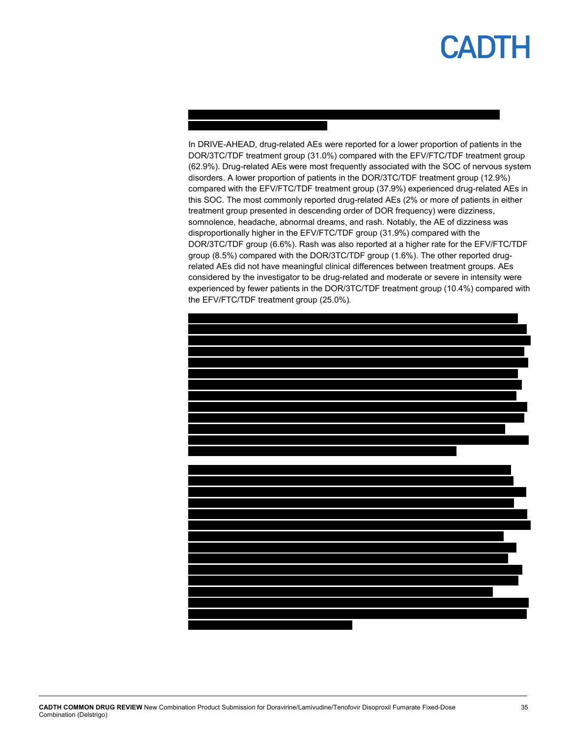#### In DRIVE-AHEAD, drug-related AEs were reported for a lower proportion of patients in the DOR/3TC/TDF treatment group (31.0%) compared with the EFV/FTC/TDF treatment group (62.9%). Drug-related AEs were most frequently associated with the SOC of nervous system disorders. A lower proportion of patients in the DOR/3TC/TDF treatment group (12.9%) compared with the EFV/FTC/TDF treatment group (37.9%) experienced drug-related AEs in this SOC. The most commonly reported drug-related AEs (2% or more of patients in either treatment group presented in descending order of DOR frequency) were dizziness, somnolence, headache, abnormal dreams, and rash. Notably, the AE of dizziness was disproportionally higher in the EFV/FTC/TDF group (31.9%) compared with the DOR/3TC/TDF group (6.6%). Rash was also reported at a higher rate for the EFV/FTC/TDF group (8.5%) compared with the DOR/3TC/TDF group (1.6%). The other reported drugrelated AEs did not have meaningful clinical differences between treatment groups. AEs considered by the investigator to be drug-related and moderate or severe in intensity were experienced by fewer patients in the DOR/3TC/TDF treatment group (10.4%) compared with the EFV/FTC/TDF treatment group (25.0%).

vvvvv v vvvvvvvv vvvvvvvvv vvv vvvv vvvv vv vvvvv vv vvv vvv vvv vvvv vvvvv vvvvv



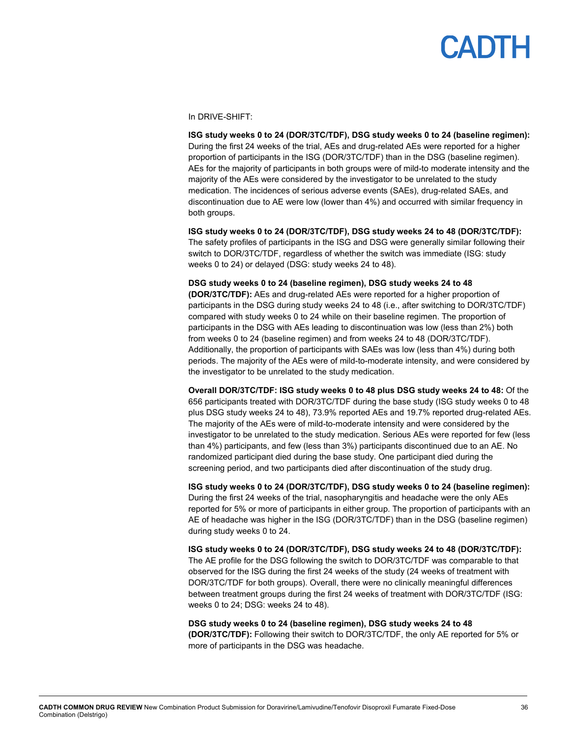#### In DRIVE-SHIFT:

**ISG study weeks 0 to 24 (DOR/3TC/TDF), DSG study weeks 0 to 24 (baseline regimen):**  During the first 24 weeks of the trial, AEs and drug-related AEs were reported for a higher proportion of participants in the ISG (DOR/3TC/TDF) than in the DSG (baseline regimen). AEs for the majority of participants in both groups were of mild-to moderate intensity and the majority of the AEs were considered by the investigator to be unrelated to the study medication. The incidences of serious adverse events (SAEs), drug-related SAEs, and discontinuation due to AE were low (lower than 4%) and occurred with similar frequency in both groups.

**ISG study weeks 0 to 24 (DOR/3TC/TDF), DSG study weeks 24 to 48 (DOR/3TC/TDF):**  The safety profiles of participants in the ISG and DSG were generally similar following their switch to DOR/3TC/TDF, regardless of whether the switch was immediate (ISG: study weeks 0 to 24) or delayed (DSG: study weeks 24 to 48).

**DSG study weeks 0 to 24 (baseline regimen), DSG study weeks 24 to 48 (DOR/3TC/TDF):** AEs and drug-related AEs were reported for a higher proportion of participants in the DSG during study weeks 24 to 48 (i.e., after switching to DOR/3TC/TDF) compared with study weeks 0 to 24 while on their baseline regimen. The proportion of participants in the DSG with AEs leading to discontinuation was low (less than 2%) both from weeks 0 to 24 (baseline regimen) and from weeks 24 to 48 (DOR/3TC/TDF). Additionally, the proportion of participants with SAEs was low (less than 4%) during both periods. The majority of the AEs were of mild-to-moderate intensity, and were considered by the investigator to be unrelated to the study medication.

**Overall DOR/3TC/TDF: ISG study weeks 0 to 48 plus DSG study weeks 24 to 48:** Of the 656 participants treated with DOR/3TC/TDF during the base study (ISG study weeks 0 to 48 plus DSG study weeks 24 to 48), 73.9% reported AEs and 19.7% reported drug-related AEs. The majority of the AEs were of mild-to-moderate intensity and were considered by the investigator to be unrelated to the study medication. Serious AEs were reported for few (less than 4%) participants, and few (less than 3%) participants discontinued due to an AE. No randomized participant died during the base study. One participant died during the screening period, and two participants died after discontinuation of the study drug.

**ISG study weeks 0 to 24 (DOR/3TC/TDF), DSG study weeks 0 to 24 (baseline regimen):**  During the first 24 weeks of the trial, nasopharyngitis and headache were the only AEs reported for 5% or more of participants in either group. The proportion of participants with an AE of headache was higher in the ISG (DOR/3TC/TDF) than in the DSG (baseline regimen) during study weeks 0 to 24.

**ISG study weeks 0 to 24 (DOR/3TC/TDF), DSG study weeks 24 to 48 (DOR/3TC/TDF):**  The AE profile for the DSG following the switch to DOR/3TC/TDF was comparable to that observed for the ISG during the first 24 weeks of the study (24 weeks of treatment with DOR/3TC/TDF for both groups). Overall, there were no clinically meaningful differences between treatment groups during the first 24 weeks of treatment with DOR/3TC/TDF (ISG: weeks 0 to 24; DSG: weeks 24 to 48).

**DSG study weeks 0 to 24 (baseline regimen), DSG study weeks 24 to 48 (DOR/3TC/TDF):** Following their switch to DOR/3TC/TDF, the only AE reported for 5% or more of participants in the DSG was headache.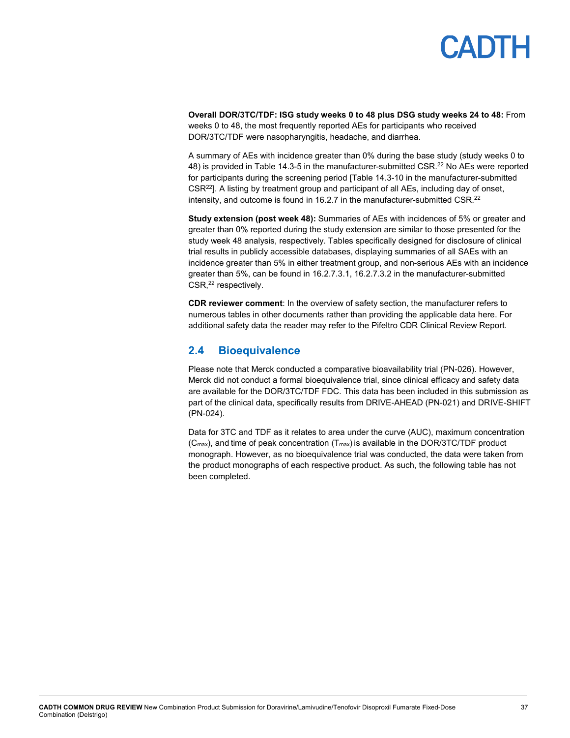## PADTH

**Overall DOR/3TC/TDF: ISG study weeks 0 to 48 plus DSG study weeks 24 to 48:** From weeks 0 to 48, the most frequently reported AEs for participants who received DOR/3TC/TDF were nasopharyngitis, headache, and diarrhea.

A summary of AEs with incidence greater than 0% during the base study (study weeks 0 to 48) is provided in Table 14.3-5 in the manufacturer-submitted  $\textsf{CSR}.^\textsf{22}$  No AEs were reported for participants during the screening period [Table 14.3-10 in the manufacturer-submitted CSR22]. A listing by treatment group and participant of all AEs, including day of onset, intensity, and outcome is found in 16.2.7 in the manufacturer-submitted CSR.<sup>22</sup>

**Study extension (post week 48):** Summaries of AEs with incidences of 5% or greater and greater than 0% reported during the study extension are similar to those presented for the study week 48 analysis, respectively. Tables specifically designed for disclosure of clinical trial results in publicly accessible databases, displaying summaries of all SAEs with an incidence greater than 5% in either treatment group, and non-serious AEs with an incidence greater than 5%, can be found in 16.2.7.3.1, 16.2.7.3.2 in the manufacturer-submitted CSR, <sup>22</sup> respectively.

**CDR reviewer comment**: In the overview of safety section, the manufacturer refers to numerous tables in other documents rather than providing the applicable data here. For additional safety data the reader may refer to the Pifeltro CDR Clinical Review Report.

### <span id="page-36-0"></span>**2.4 Bioequivalence**

Please note that Merck conducted a comparative bioavailability trial (PN-026). However, Merck did not conduct a formal bioequivalence trial, since clinical efficacy and safety data are available for the DOR/3TC/TDF FDC. This data has been included in this submission as part of the clinical data, specifically results from DRIVE-AHEAD (PN-021) and DRIVE-SHIFT (PN-024).

Data for 3TC and TDF as it relates to area under the curve (AUC), maximum concentration  $(C_{\text{max}})$ , and time of peak concentration  $(T_{\text{max}})$  is available in the DOR/3TC/TDF product monograph. However, as no bioequivalence trial was conducted, the data were taken from the product monographs of each respective product. As such, the following table has not been completed.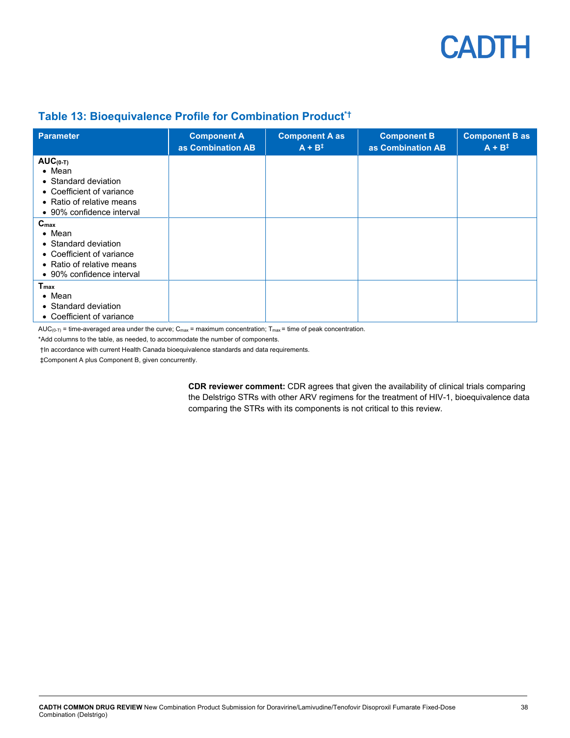

## <span id="page-37-0"></span>**Table 13: Bioequivalence Profile for Combination Product\*†**

| <b>Parameter</b>                                                                                                                                  | <b>Component A</b><br>as Combination AB | <b>Component A as</b><br>$A + B^{\ddagger}$ | <b>Component B</b><br>as Combination AB | <b>Component B as</b><br>$A + B^{\ddagger}$ |
|---------------------------------------------------------------------------------------------------------------------------------------------------|-----------------------------------------|---------------------------------------------|-----------------------------------------|---------------------------------------------|
| $AUC(0-T)$<br>$\bullet$ Mean<br>• Standard deviation<br>• Coefficient of variance<br>• Ratio of relative means<br>• 90% confidence interval       |                                         |                                             |                                         |                                             |
| $C_{\text{max}}$<br>$\bullet$ Mean<br>• Standard deviation<br>• Coefficient of variance<br>• Ratio of relative means<br>• 90% confidence interval |                                         |                                             |                                         |                                             |
| $T_{\text{max}}$<br>$\bullet$ Mean<br>• Standard deviation<br>• Coefficient of variance                                                           |                                         |                                             |                                         |                                             |

AUC( $0$ -T) = time-averaged area under the curve; C<sub>max</sub> = maximum concentration; T<sub>max</sub> = time of peak concentration.

\*Add columns to the table, as needed, to accommodate the number of components.

†In accordance with current Health Canada bioequivalence standards and data requirements.

‡Component A plus Component B, given concurrently.

**CDR reviewer comment:** CDR agrees that given the availability of clinical trials comparing the Delstrigo STRs with other ARV regimens for the treatment of HIV-1, bioequivalence data comparing the STRs with its components is not critical to this review.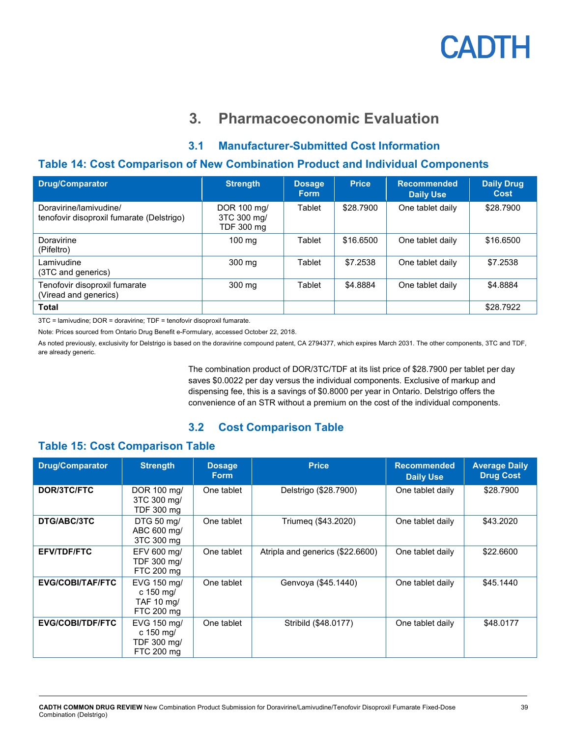## **3. Pharmacoeconomic Evaluation**

## **3.1 Manufacturer-Submitted Cost Information**

### <span id="page-38-3"></span><span id="page-38-1"></span><span id="page-38-0"></span>**Table 14: Cost Comparison of New Combination Product and Individual Components**

| <b>Drug/Comparator</b>                                              | <b>Strength</b>                          | <b>Dosage</b><br><b>Form</b> | <b>Price</b> | <b>Recommended</b><br><b>Daily Use</b> | <b>Daily Drug</b><br><b>Cost</b> |
|---------------------------------------------------------------------|------------------------------------------|------------------------------|--------------|----------------------------------------|----------------------------------|
| Doravirine/lamivudine/<br>tenofovir disoproxil fumarate (Delstrigo) | DOR 100 mg/<br>3TC 300 mg/<br>TDF 300 mg | Tablet                       | \$28,7900    | One tablet daily                       | \$28.7900                        |
| Doravirine<br>(Pifeltro)                                            | $100 \text{ mg}$                         | Tablet                       | \$16,6500    | One tablet daily                       | \$16.6500                        |
| Lamivudine<br>(3TC and generics)                                    | 300 mg                                   | Tablet                       | \$7.2538     | One tablet daily                       | \$7.2538                         |
| Tenofovir disoproxil fumarate<br>(Viread and generics)              | 300 mg                                   | Tablet                       | \$4.8884     | One tablet daily                       | \$4.8884                         |
| <b>Total</b>                                                        |                                          |                              |              |                                        | \$28,7922                        |

3TC = lamivudine; DOR = doravirine; TDF = tenofovir disoproxil fumarate.

Note: Prices sourced from Ontario Drug Benefit e-Formulary, accessed October 22, 2018.

As noted previously, exclusivity for Delstrigo is based on the doravirine compound patent, CA 2794377, which expires March 2031. The other components, 3TC and TDF, are already generic.

> The combination product of DOR/3TC/TDF at its list price of \$28.7900 per tablet per day saves \$0.0022 per day versus the individual components. Exclusive of markup and dispensing fee, this is a savings of \$0.8000 per year in Ontario. Delstrigo offers the convenience of an STR without a premium on the cost of the individual components.

## **3.2 Cost Comparison Table**

### <span id="page-38-4"></span><span id="page-38-2"></span>**Table 15: Cost Comparison Table**

| <b>Drug/Comparator</b>  | <b>Strength</b>                                                | <b>Dosage</b><br><b>Form</b> | <b>Price</b>                     | <b>Recommended</b><br><b>Daily Use</b> | <b>Average Daily</b><br><b>Drug Cost</b> |
|-------------------------|----------------------------------------------------------------|------------------------------|----------------------------------|----------------------------------------|------------------------------------------|
| DOR/3TC/FTC             | DOR 100 mg/<br>3TC 300 mg/<br>TDF 300 mg                       | One tablet                   | Delstrigo (\$28.7900)            | One tablet daily                       | \$28,7900                                |
| DTG/ABC/3TC             | DTG 50 mg/<br>ABC 600 mg/<br>3TC 300 mg                        | One tablet                   | Triumeg (\$43.2020)              | One tablet daily                       | \$43.2020                                |
| <b>EFV/TDF/FTC</b>      | EFV 600 mg/<br>TDF 300 mg/<br>FTC 200 mg                       | One tablet                   | Atripla and generics (\$22.6600) | One tablet daily                       | \$22.6600                                |
| EVG/COBI/TAF/FTC        | EVG 150 mg/<br>c 150 mg/<br>TAF 10 mg/<br>FTC 200 mg           | One tablet                   | Genvoya (\$45.1440)              | One tablet daily                       | \$45,1440                                |
| <b>EVG/COBI/TDF/FTC</b> | EVG 150 mg/<br>c $150 \text{ mg}$<br>TDF 300 mg/<br>FTC 200 mg | One tablet                   | Stribild (\$48.0177)             | One tablet daily                       | \$48,0177                                |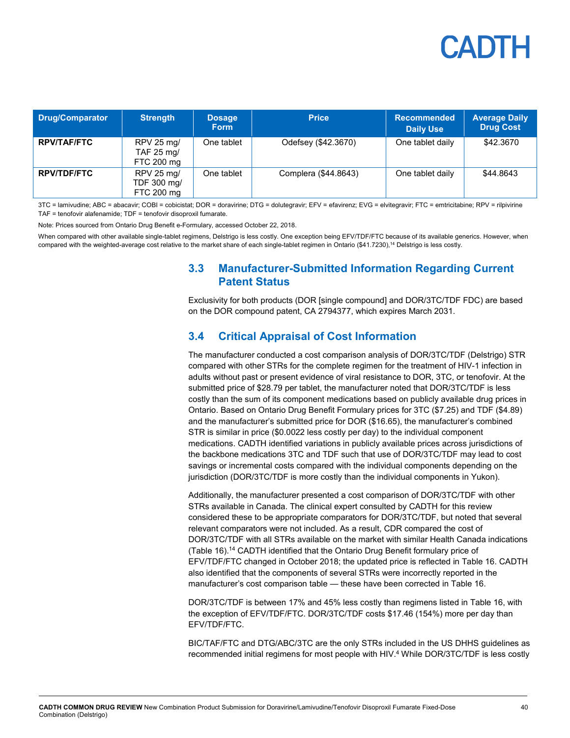| <b>Drug/Comparator</b> | <b>Strength</b>                         | <b>Dosage</b><br><b>Form</b> | <b>Price</b>         | <b>Recommended</b><br><b>Daily Use</b> | <b>Average Daily</b><br><b>Drug Cost</b> |  |
|------------------------|-----------------------------------------|------------------------------|----------------------|----------------------------------------|------------------------------------------|--|
| <b>RPV/TAF/FTC</b>     | RPV 25 mg/<br>TAF 25 mg/<br>FTC 200 mg  | One tablet                   | Odefsey (\$42.3670)  | One tablet daily                       | \$42.3670                                |  |
| <b>RPV/TDF/FTC</b>     | RPV 25 mg/<br>TDF 300 mg/<br>FTC 200 mg | One tablet                   | Complera (\$44.8643) | One tablet daily                       | \$44.8643                                |  |

3TC = lamivudine; ABC = abacavir; COBI = cobicistat; DOR = doravirine; DTG = dolutegravir; EFV = efavirenz; EVG = elvitegravir; FTC = emtricitabine; RPV = rilpivirine TAF = tenofovir alafenamide; TDF = tenofovir disoproxil fumarate.

Note: Prices sourced from Ontario Drug Benefit e-Formulary, accessed October 22, 2018.

<span id="page-39-1"></span><span id="page-39-0"></span>When compared with other available single-tablet regimens, Delstrigo is less costly. One exception being EFV/TDF/FTC because of its available generics. However, when compared with the weighted-average cost relative to the market share of each single-tablet regimen in Ontario (\$41.7230), <sup>14</sup> Delstrigo is less costly.

### **3.3 Manufacturer-Submitted Information Regarding Current Patent Status**

Exclusivity for both products (DOR [single compound] and DOR/3TC/TDF FDC) are based on the DOR compound patent, CA 2794377, which expires March 2031.

### **3.4 Critical Appraisal of Cost Information**

The manufacturer conducted a cost comparison analysis of DOR/3TC/TDF (Delstrigo) STR compared with other STRs for the complete regimen for the treatment of HIV-1 infection in adults without past or present evidence of viral resistance to DOR, 3TC, or tenofovir. At the submitted price of \$28.79 per tablet, the manufacturer noted that DOR/3TC/TDF is less costly than the sum of its component medications based on publicly available drug prices in Ontario. Based on Ontario Drug Benefit Formulary prices for 3TC (\$7.25) and TDF (\$4.89) and the manufacturer's submitted price for DOR (\$16.65), the manufacturer's combined STR is similar in price (\$0.0022 less costly per day) to the individual component medications. CADTH identified variations in publicly available prices across jurisdictions of the backbone medications 3TC and TDF such that use of DOR/3TC/TDF may lead to cost savings or incremental costs compared with the individual components depending on the jurisdiction (DOR/3TC/TDF is more costly than the individual components in Yukon).

Additionally, the manufacturer presented a cost comparison of DOR/3TC/TDF with other STRs available in Canada. The clinical expert consulted by CADTH for this review considered these to be appropriate comparators for DOR/3TC/TDF, but noted that several relevant comparators were not included. As a result, CDR compared the cost of DOR/3TC/TDF with all STRs available on the market with similar Health Canada indications [\(Table 16\)](#page-40-0).14 CADTH identified that the Ontario Drug Benefit formulary price of EFV/TDF/FTC changed in October 2018; the updated price is reflected in Table 16. CADTH also identified that the components of several STRs were incorrectly reported in the manufacturer's cost comparison table — these have been corrected in Table 16.

DOR/3TC/TDF is between 17% and 45% less costly than regimens listed in [Table 16,](#page-40-0) with the exception of EFV/TDF/FTC. DOR/3TC/TDF costs \$17.46 (154%) more per day than EFV/TDF/FTC.

BIC/TAF/FTC and DTG/ABC/3TC are the only STRs included in the US DHHS guidelines as recommended initial regimens for most people with HIV.4 While DOR/3TC/TDF is less costly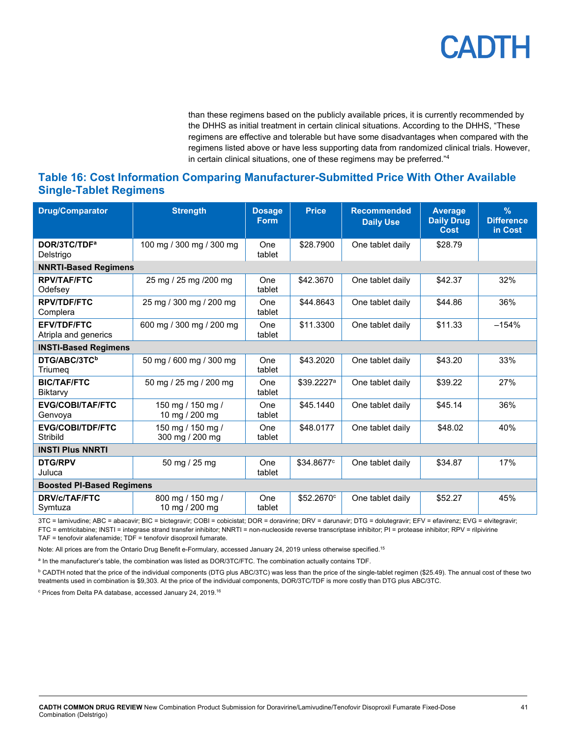than these regimens based on the publicly available prices, it is currently recommended by the DHHS as initial treatment in certain clinical situations. According to the DHHS, "These regimens are effective and tolerable but have some disadvantages when compared with the regimens listed above or have less supporting data from randomized clinical trials. However, in certain clinical situations, one of these regimens may be preferred."4

### <span id="page-40-0"></span>**Table 16: Cost Information Comparing Manufacturer-Submitted Price With Other Available Single-Tablet Regimens**

| <b>Drug/Comparator</b>                     | <b>Strength</b>                      | <b>Dosage</b><br><b>Form</b> | <b>Price</b>           | <b>Recommended</b><br><b>Daily Use</b> | <b>Average</b><br><b>Daily Drug</b><br>Cost | $\frac{9}{6}$<br><b>Difference</b><br>in Cost |  |  |  |  |
|--------------------------------------------|--------------------------------------|------------------------------|------------------------|----------------------------------------|---------------------------------------------|-----------------------------------------------|--|--|--|--|
| DOR/3TC/TDF <sup>a</sup><br>Delstrigo      | 100 mg / 300 mg / 300 mg             | One<br>tablet                | \$28,7900              | One tablet daily                       | \$28.79                                     |                                               |  |  |  |  |
| <b>NNRTI-Based Regimens</b>                |                                      |                              |                        |                                        |                                             |                                               |  |  |  |  |
| <b>RPV/TAF/FTC</b><br>Odefsey              | 25 mg / 25 mg / 200 mg               | One<br>tablet                | \$42.3670              | One tablet daily                       | \$42.37                                     | 32%                                           |  |  |  |  |
| <b>RPV/TDF/FTC</b><br>Complera             | 25 mg / 300 mg / 200 mg              | One<br>tablet                | \$44.8643              | One tablet daily                       | \$44.86                                     | 36%                                           |  |  |  |  |
| <b>EFV/TDF/FTC</b><br>Atripla and generics | 600 mg / 300 mg / 200 mg             | One<br>tablet                | \$11.3300              | One tablet daily                       | \$11.33                                     | $-154%$                                       |  |  |  |  |
| <b>INSTI-Based Regimens</b>                |                                      |                              |                        |                                        |                                             |                                               |  |  |  |  |
| DTG/ABC/3TC <sup>b</sup><br>Triumea        | 50 mg / 600 mg / 300 mg              | One<br>tablet                | \$43,2020              | One tablet daily                       | \$43.20                                     | 33%                                           |  |  |  |  |
| <b>BIC/TAF/FTC</b><br>Biktarvy             | 50 mg / 25 mg / 200 mg               | One<br>tablet                | \$39.2227 <sup>a</sup> | One tablet daily                       | \$39.22                                     | 27%                                           |  |  |  |  |
| <b>EVG/COBI/TAF/FTC</b><br>Genvoya         | 150 mg / 150 mg /<br>10 mg / 200 mg  | One<br>tablet                | \$45.1440              | One tablet daily                       | \$45.14                                     | 36%                                           |  |  |  |  |
| <b>EVG/COBI/TDF/FTC</b><br>Stribild        | 150 mg / 150 mg /<br>300 mg / 200 mg | One<br>tablet                | \$48.0177              | One tablet daily                       | \$48.02                                     | 40%                                           |  |  |  |  |
| <b>INSTI Plus NNRTI</b>                    |                                      |                              |                        |                                        |                                             |                                               |  |  |  |  |
| <b>DTG/RPV</b><br>Juluca                   | 50 mg / 25 mg                        | One<br>tablet                | \$34.8677c             | One tablet daily                       | \$34.87                                     | 17%                                           |  |  |  |  |
| <b>Boosted PI-Based Regimens</b>           |                                      |                              |                        |                                        |                                             |                                               |  |  |  |  |
| <b>DRV/c/TAF/FTC</b><br>Symtuza            | 800 mg / 150 mg /<br>10 mg / 200 mg  | One<br>tablet                | \$52,2670°             | One tablet daily                       | \$52.27                                     | 45%                                           |  |  |  |  |

3TC = lamivudine; ABC = abacavir; BIC = bictegravir; COBI = cobicistat; DOR = doravirine; DRV = darunavir; DTG = dolutegravir; EFV = efavirenz; EVG = elvitegravir; FTC = emtricitabine; INSTI = integrase strand transfer inhibitor; NNRTI = non-nucleoside reverse transcriptase inhibitor; PI = protease inhibitor; RPV = rilpivirine

TAF = tenofovir alafenamide; TDF = tenofovir disoproxil fumarate.

Note: All prices are from the Ontario Drug Benefit e-Formulary, accessed January 24, 2019 unless otherwise specified.<sup>15</sup>

a In the manufacturer's table, the combination was listed as DOR/3TC/FTC. The combination actually contains TDF.

**b CADTH noted that the price of the individual components (DTG plus ABC/3TC) was less than the price of the single-tablet regimen (\$25.49). The annual cost of these two** treatments used in combination is \$9,303. At the price of the individual components, DOR/3TC/TDF is more costly than DTG plus ABC/3TC.

 $\,^{\rm c}$  Prices from Delta PA database, accessed January 24, 2019. $^{16}$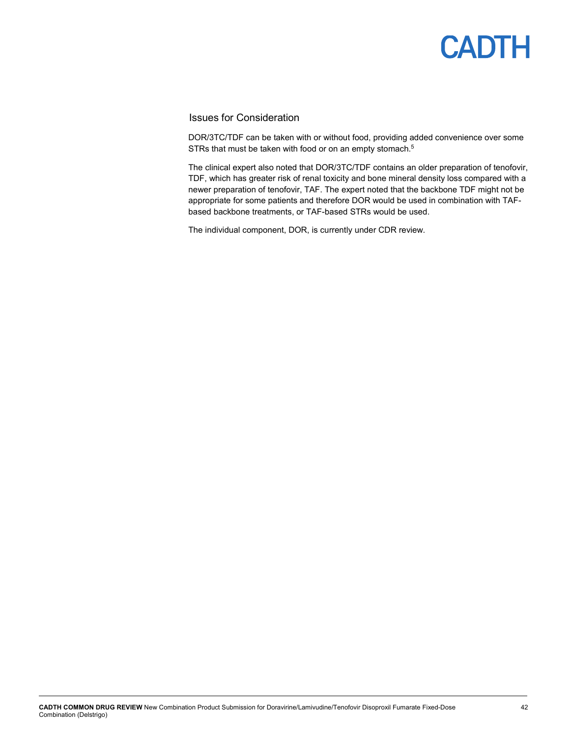### Issues for Consideration

DOR/3TC/TDF can be taken with or without food, providing added convenience over some STRs that must be taken with food or on an empty stomach.<sup>5</sup>

The clinical expert also noted that DOR/3TC/TDF contains an older preparation of tenofovir, TDF, which has greater risk of renal toxicity and bone mineral density loss compared with a newer preparation of tenofovir, TAF. The expert noted that the backbone TDF might not be appropriate for some patients and therefore DOR would be used in combination with TAFbased backbone treatments, or TAF-based STRs would be used.

The individual component, DOR, is currently under CDR review.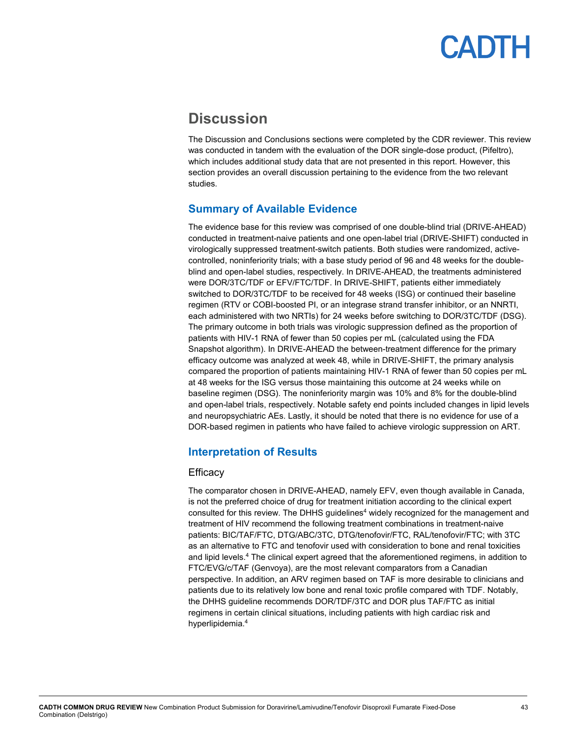## <span id="page-42-0"></span>**Discussion**

The Discussion and Conclusions sections were completed by the CDR reviewer. This review was conducted in tandem with the evaluation of the DOR single-dose product, (Pifeltro), which includes additional study data that are not presented in this report. However, this section provides an overall discussion pertaining to the evidence from the two relevant studies.

### <span id="page-42-1"></span>**Summary of Available Evidence**

The evidence base for this review was comprised of one double-blind trial (DRIVE-AHEAD) conducted in treatment-naive patients and one open-label trial (DRIVE-SHIFT) conducted in virologically suppressed treatment-switch patients. Both studies were randomized, activecontrolled, noninferiority trials; with a base study period of 96 and 48 weeks for the doubleblind and open-label studies, respectively. In DRIVE-AHEAD, the treatments administered were DOR/3TC/TDF or EFV/FTC/TDF. In DRIVE-SHIFT, patients either immediately switched to DOR/3TC/TDF to be received for 48 weeks (ISG) or continued their baseline regimen (RTV or COBI-boosted PI, or an integrase strand transfer inhibitor, or an NNRTI, each administered with two NRTIs) for 24 weeks before switching to DOR/3TC/TDF (DSG). The primary outcome in both trials was virologic suppression defined as the proportion of patients with HIV-1 RNA of fewer than 50 copies per mL (calculated using the FDA Snapshot algorithm). In DRIVE-AHEAD the between-treatment difference for the primary efficacy outcome was analyzed at week 48, while in DRIVE-SHIFT, the primary analysis compared the proportion of patients maintaining HIV-1 RNA of fewer than 50 copies per mL at 48 weeks for the ISG versus those maintaining this outcome at 24 weeks while on baseline regimen (DSG). The noninferiority margin was 10% and 8% for the double-blind and open-label trials, respectively. Notable safety end points included changes in lipid levels and neuropsychiatric AEs. Lastly, it should be noted that there is no evidence for use of a DOR-based regimen in patients who have failed to achieve virologic suppression on ART.

### <span id="page-42-2"></span>**Interpretation of Results**

### **Efficacy**

The comparator chosen in DRIVE-AHEAD, namely EFV, even though available in Canada, is not the preferred choice of drug for treatment initiation according to the clinical expert consulted for this review. The DHHS guidelines<sup>4</sup> widely recognized for the management and treatment of HIV recommend the following treatment combinations in treatment-naive patients: BIC/TAF/FTC, DTG/ABC/3TC, DTG/tenofovir/FTC, RAL/tenofovir/FTC; with 3TC as an alternative to FTC and tenofovir used with consideration to bone and renal toxicities and lipid levels.4 The clinical expert agreed that the aforementioned regimens, in addition to FTC/EVG/c/TAF (Genvoya), are the most relevant comparators from a Canadian perspective. In addition, an ARV regimen based on TAF is more desirable to clinicians and patients due to its relatively low bone and renal toxic profile compared with TDF. Notably, the DHHS guideline recommends DOR/TDF/3TC and DOR plus TAF/FTC as initial regimens in certain clinical situations, including patients with high cardiac risk and hyperlipidemia.4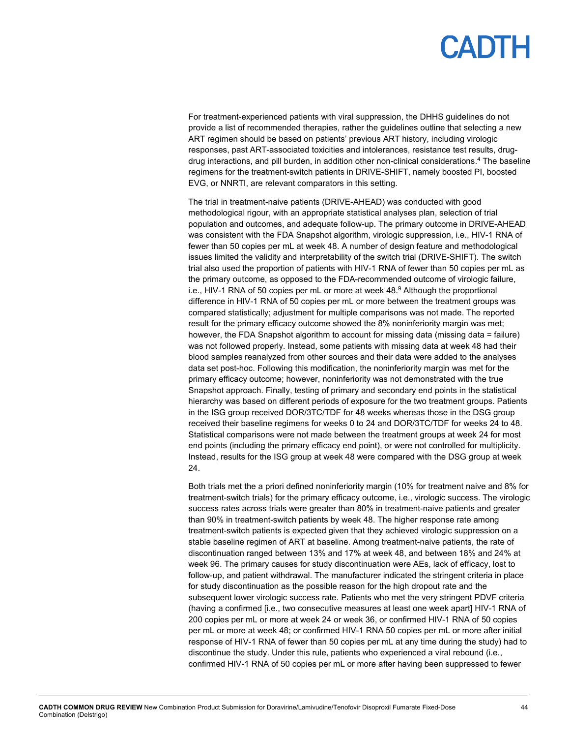For treatment-experienced patients with viral suppression, the DHHS guidelines do not provide a list of recommended therapies, rather the guidelines outline that selecting a new ART regimen should be based on patients' previous ART history, including virologic responses, past ART-associated toxicities and intolerances, resistance test results, drugdrug interactions, and pill burden, in addition other non-clinical considerations.4 The baseline regimens for the treatment-switch patients in DRIVE-SHIFT, namely boosted PI, boosted EVG, or NNRTI, are relevant comparators in this setting.

The trial in treatment-naive patients (DRIVE-AHEAD) was conducted with good methodological rigour, with an appropriate statistical analyses plan, selection of trial population and outcomes, and adequate follow-up. The primary outcome in DRIVE-AHEAD was consistent with the FDA Snapshot algorithm, virologic suppression, i.e., HIV-1 RNA of fewer than 50 copies per mL at week 48. A number of design feature and methodological issues limited the validity and interpretability of the switch trial (DRIVE-SHIFT). The switch trial also used the proportion of patients with HIV-1 RNA of fewer than 50 copies per mL as the primary outcome, as opposed to the FDA-recommended outcome of virologic failure, i.e., HIV-1 RNA of 50 copies per mL or more at week 48. <sup>9</sup> Although the proportional difference in HIV-1 RNA of 50 copies per mL or more between the treatment groups was compared statistically; adjustment for multiple comparisons was not made. The reported result for the primary efficacy outcome showed the 8% noninferiority margin was met; however, the FDA Snapshot algorithm to account for missing data (missing data = failure) was not followed properly. Instead, some patients with missing data at week 48 had their blood samples reanalyzed from other sources and their data were added to the analyses data set post-hoc. Following this modification, the noninferiority margin was met for the primary efficacy outcome; however, noninferiority was not demonstrated with the true Snapshot approach. Finally, testing of primary and secondary end points in the statistical hierarchy was based on different periods of exposure for the two treatment groups. Patients in the ISG group received DOR/3TC/TDF for 48 weeks whereas those in the DSG group received their baseline regimens for weeks 0 to 24 and DOR/3TC/TDF for weeks 24 to 48. Statistical comparisons were not made between the treatment groups at week 24 for most end points (including the primary efficacy end point), or were not controlled for multiplicity. Instead, results for the ISG group at week 48 were compared with the DSG group at week 24.

Both trials met the a priori defined noninferiority margin (10% for treatment naive and 8% for treatment-switch trials) for the primary efficacy outcome, i.e., virologic success. The virologic success rates across trials were greater than 80% in treatment-naive patients and greater than 90% in treatment-switch patients by week 48. The higher response rate among treatment-switch patients is expected given that they achieved virologic suppression on a stable baseline regimen of ART at baseline. Among treatment-naive patients, the rate of discontinuation ranged between 13% and 17% at week 48, and between 18% and 24% at week 96. The primary causes for study discontinuation were AEs, lack of efficacy, lost to follow-up, and patient withdrawal. The manufacturer indicated the stringent criteria in place for study discontinuation as the possible reason for the high dropout rate and the subsequent lower virologic success rate. Patients who met the very stringent PDVF criteria (having a confirmed [i.e., two consecutive measures at least one week apart] HIV-1 RNA of 200 copies per mL or more at week 24 or week 36, or confirmed HIV-1 RNA of 50 copies per mL or more at week 48; or confirmed HIV-1 RNA 50 copies per mL or more after initial response of HIV-1 RNA of fewer than 50 copies per mL at any time during the study) had to discontinue the study. Under this rule, patients who experienced a viral rebound (i.e., confirmed HIV-1 RNA of 50 copies per mL or more after having been suppressed to fewer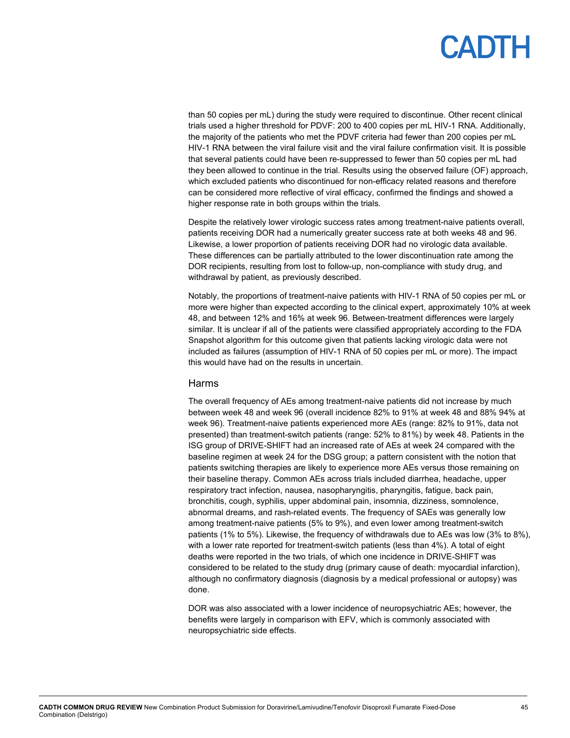than 50 copies per mL) during the study were required to discontinue. Other recent clinical trials used a higher threshold for PDVF: 200 to 400 copies per mL HIV-1 RNA. Additionally, the majority of the patients who met the PDVF criteria had fewer than 200 copies per mL HIV-1 RNA between the viral failure visit and the viral failure confirmation visit. It is possible that several patients could have been re-suppressed to fewer than 50 copies per mL had they been allowed to continue in the trial. Results using the observed failure (OF) approach, which excluded patients who discontinued for non-efficacy related reasons and therefore can be considered more reflective of viral efficacy, confirmed the findings and showed a higher response rate in both groups within the trials.

Despite the relatively lower virologic success rates among treatment-naive patients overall, patients receiving DOR had a numerically greater success rate at both weeks 48 and 96. Likewise, a lower proportion of patients receiving DOR had no virologic data available. These differences can be partially attributed to the lower discontinuation rate among the DOR recipients, resulting from lost to follow-up, non-compliance with study drug, and withdrawal by patient, as previously described.

Notably, the proportions of treatment-naive patients with HIV-1 RNA of 50 copies per mL or more were higher than expected according to the clinical expert, approximately 10% at week 48, and between 12% and 16% at week 96. Between-treatment differences were largely similar. It is unclear if all of the patients were classified appropriately according to the FDA Snapshot algorithm for this outcome given that patients lacking virologic data were not included as failures (assumption of HIV-1 RNA of 50 copies per mL or more). The impact this would have had on the results in uncertain.

#### Harms

The overall frequency of AEs among treatment-naive patients did not increase by much between week 48 and week 96 (overall incidence 82% to 91% at week 48 and 88% 94% at week 96). Treatment-naive patients experienced more AEs (range: 82% to 91%, data not presented) than treatment-switch patients (range: 52% to 81%) by week 48. Patients in the ISG group of DRIVE-SHIFT had an increased rate of AEs at week 24 compared with the baseline regimen at week 24 for the DSG group; a pattern consistent with the notion that patients switching therapies are likely to experience more AEs versus those remaining on their baseline therapy. Common AEs across trials included diarrhea, headache, upper respiratory tract infection, nausea, nasopharyngitis, pharyngitis, fatigue, back pain, bronchitis, cough, syphilis, upper abdominal pain, insomnia, dizziness, somnolence, abnormal dreams, and rash-related events. The frequency of SAEs was generally low among treatment-naive patients (5% to 9%), and even lower among treatment-switch patients (1% to 5%). Likewise, the frequency of withdrawals due to AEs was low (3% to 8%), with a lower rate reported for treatment-switch patients (less than 4%). A total of eight deaths were reported in the two trials, of which one incidence in DRIVE-SHIFT was considered to be related to the study drug (primary cause of death: myocardial infarction), although no confirmatory diagnosis (diagnosis by a medical professional or autopsy) was done.

DOR was also associated with a lower incidence of neuropsychiatric AEs; however, the benefits were largely in comparison with EFV, which is commonly associated with neuropsychiatric side effects.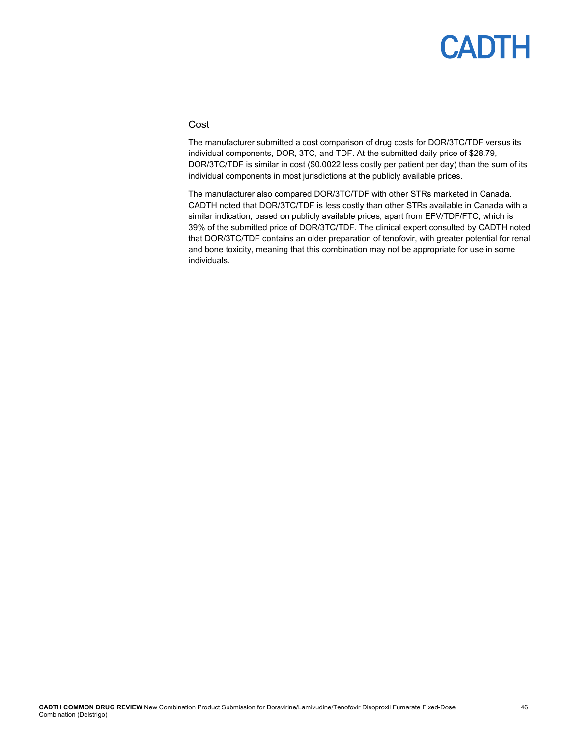### Cost

The manufacturer submitted a cost comparison of drug costs for DOR/3TC/TDF versus its individual components, DOR, 3TC, and TDF. At the submitted daily price of \$28.79, DOR/3TC/TDF is similar in cost (\$0.0022 less costly per patient per day) than the sum of its individual components in most jurisdictions at the publicly available prices.

The manufacturer also compared DOR/3TC/TDF with other STRs marketed in Canada. CADTH noted that DOR/3TC/TDF is less costly than other STRs available in Canada with a similar indication, based on publicly available prices, apart from EFV/TDF/FTC, which is 39% of the submitted price of DOR/3TC/TDF. The clinical expert consulted by CADTH noted that DOR/3TC/TDF contains an older preparation of tenofovir, with greater potential for renal and bone toxicity, meaning that this combination may not be appropriate for use in some individuals.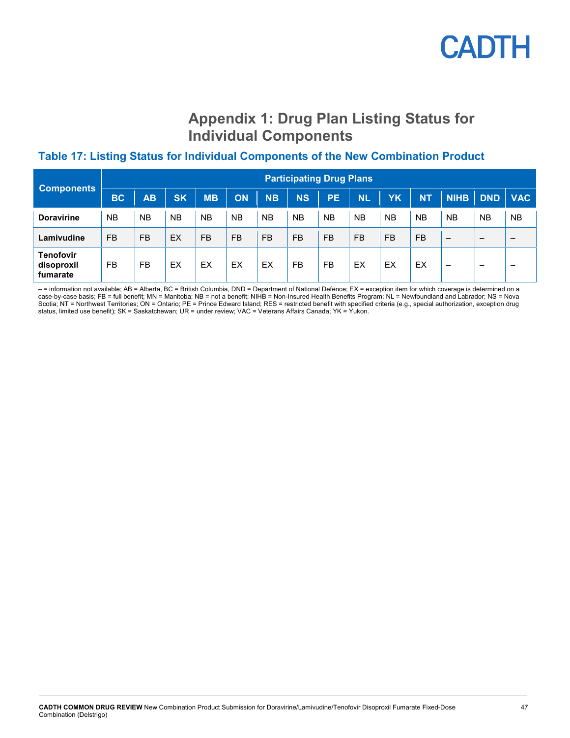## **Appendix 1: Drug Plan Listing Status for Individual Components**

## <span id="page-46-1"></span><span id="page-46-0"></span>**Table 17: Listing Status for Individual Components of the New Combination Product**

| <b>Components</b>                   | <b>Participating Drug Plans</b> |           |           |           |           |           |           |           |           |           |           |                          |                          |            |
|-------------------------------------|---------------------------------|-----------|-----------|-----------|-----------|-----------|-----------|-----------|-----------|-----------|-----------|--------------------------|--------------------------|------------|
|                                     | <b>BC</b>                       | <b>AB</b> | <b>SK</b> | <b>MB</b> | ON        | <b>NB</b> | <b>NS</b> | <b>PE</b> | <b>NL</b> | YΚ        | <b>NT</b> | <b>NIHB</b>              | <b>DND</b>               | <b>VAC</b> |
| <b>Doravirine</b>                   | <b>NB</b>                       | <b>NB</b> | <b>NB</b> | <b>NB</b> | <b>NB</b> | <b>NB</b> | <b>NB</b> | <b>NB</b> | <b>NB</b> | <b>NB</b> | <b>NB</b> | <b>NB</b>                | <b>NB</b>                | <b>NB</b>  |
| Lamivudine                          | <b>FB</b>                       | <b>FB</b> | EX        | <b>FB</b> | <b>FB</b> | <b>FB</b> | <b>FB</b> | <b>FB</b> | <b>FB</b> | <b>FB</b> | <b>FB</b> | $\overline{\phantom{0}}$ | $\overline{\phantom{0}}$ |            |
| Tenofovir<br>disoproxil<br>fumarate | <b>FB</b>                       | <b>FB</b> | EX        | EX        | EX        | EX        | FB        | <b>FB</b> | EX        | EX        | EX        | $\overline{\phantom{0}}$ | $\overline{\phantom{0}}$ | -          |

- = information not available; AB = Alberta, BC = British Columbia, DND = Department of National Defence; EX = exception item for which coverage is determined on a case-by-case basis; FB = full benefit; MN = Manitoba; NB = not a benefit; NIHB = Non-Insured Health Benefits Program; NL = Newfoundland and Labrador; NS = Nova Scotia; NT = Northwest Territories; ON = Ontario; PE = Prince Edward Island; RES = restricted benefit with specified criteria (e.g., special authorization, exception drug status, limited use benefit); SK = Saskatchewan; UR = under review; VAC = Veterans Affairs Canada; YK = Yukon.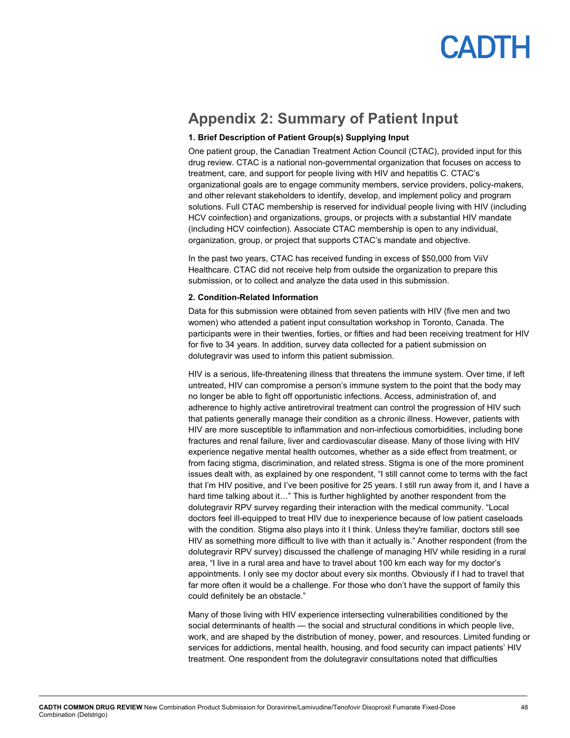

## <span id="page-47-0"></span>**Appendix 2: Summary of Patient Input**

#### **1. Brief Description of Patient Group(s) Supplying Input**

One patient group, the Canadian Treatment Action Council (CTAC), provided input for this drug review. CTAC is a national non-governmental organization that focuses on access to treatment, care, and support for people living with HIV and hepatitis C. CTAC's organizational goals are to engage community members, service providers, policy-makers, and other relevant stakeholders to identify, develop, and implement policy and program solutions. Full CTAC membership is reserved for individual people living with HIV (including HCV coinfection) and organizations, groups, or projects with a substantial HIV mandate (including HCV coinfection). Associate CTAC membership is open to any individual, organization, group, or project that supports CTAC's mandate and objective.

In the past two years, CTAC has received funding in excess of \$50,000 from ViiV Healthcare. CTAC did not receive help from outside the organization to prepare this submission, or to collect and analyze the data used in this submission.

#### **2. Condition-Related Information**

Data for this submission were obtained from seven patients with HIV (five men and two women) who attended a patient input consultation workshop in Toronto, Canada. The participants were in their twenties, forties, or fifties and had been receiving treatment for HIV for five to 34 years. In addition, survey data collected for a patient submission on dolutegravir was used to inform this patient submission.

HIV is a serious, life-threatening illness that threatens the immune system. Over time, if left untreated, HIV can compromise a person's immune system to the point that the body may no longer be able to fight off opportunistic infections. Access, administration of, and adherence to highly active antiretroviral treatment can control the progression of HIV such that patients generally manage their condition as a chronic illness. However, patients with HIV are more susceptible to inflammation and non-infectious comorbidities, including bone fractures and renal failure, liver and cardiovascular disease. Many of those living with HIV experience negative mental health outcomes, whether as a side effect from treatment, or from facing stigma, discrimination, and related stress. Stigma is one of the more prominent issues dealt with, as explained by one respondent, "I still cannot come to terms with the fact that I'm HIV positive, and I've been positive for 25 years. I still run away from it, and I have a hard time talking about it..." This is further highlighted by another respondent from the dolutegravir RPV survey regarding their interaction with the medical community. "Local doctors feel ill-equipped to treat HIV due to inexperience because of low patient caseloads with the condition. Stigma also plays into it I think. Unless they're familiar, doctors still see HIV as something more difficult to live with than it actually is." Another respondent (from the dolutegravir RPV survey) discussed the challenge of managing HIV while residing in a rural area, "I live in a rural area and have to travel about 100 km each way for my doctor's appointments. I only see my doctor about every six months. Obviously if I had to travel that far more often it would be a challenge. For those who don't have the support of family this could definitely be an obstacle."

Many of those living with HIV experience intersecting vulnerabilities conditioned by the social determinants of health — the social and structural conditions in which people live, work, and are shaped by the distribution of money, power, and resources. Limited funding or services for addictions, mental health, housing, and food security can impact patients' HIV treatment. One respondent from the dolutegravir consultations noted that difficulties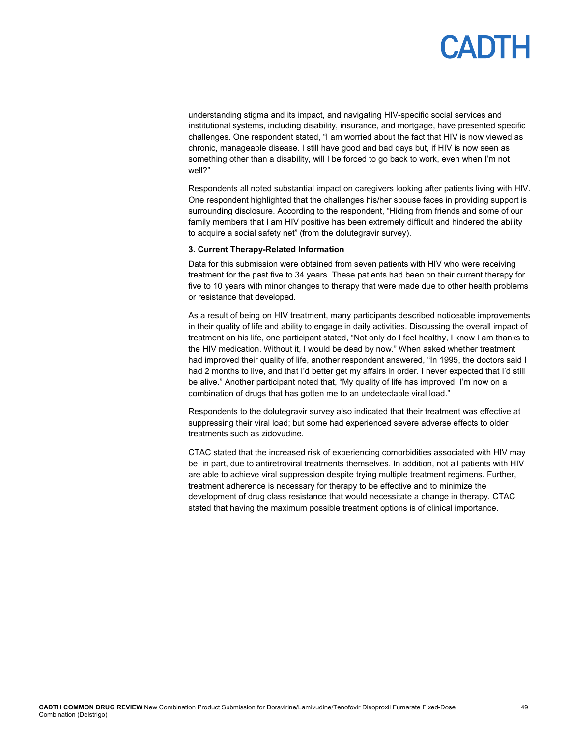## **ANTL**

understanding stigma and its impact, and navigating HIV-specific social services and institutional systems, including disability, insurance, and mortgage, have presented specific challenges. One respondent stated, "I am worried about the fact that HIV is now viewed as chronic, manageable disease. I still have good and bad days but, if HIV is now seen as something other than a disability, will I be forced to go back to work, even when I'm not well?"

Respondents all noted substantial impact on caregivers looking after patients living with HIV. One respondent highlighted that the challenges his/her spouse faces in providing support is surrounding disclosure. According to the respondent, "Hiding from friends and some of our family members that I am HIV positive has been extremely difficult and hindered the ability to acquire a social safety net" (from the dolutegravir survey).

#### **3. Current Therapy-Related Information**

Data for this submission were obtained from seven patients with HIV who were receiving treatment for the past five to 34 years. These patients had been on their current therapy for five to 10 years with minor changes to therapy that were made due to other health problems or resistance that developed.

As a result of being on HIV treatment, many participants described noticeable improvements in their quality of life and ability to engage in daily activities. Discussing the overall impact of treatment on his life, one participant stated, "Not only do I feel healthy, I know I am thanks to the HIV medication. Without it, I would be dead by now." When asked whether treatment had improved their quality of life, another respondent answered, "In 1995, the doctors said I had 2 months to live, and that I'd better get my affairs in order. I never expected that I'd still be alive." Another participant noted that, "My quality of life has improved. I'm now on a combination of drugs that has gotten me to an undetectable viral load."

Respondents to the dolutegravir survey also indicated that their treatment was effective at suppressing their viral load; but some had experienced severe adverse effects to older treatments such as zidovudine.

CTAC stated that the increased risk of experiencing comorbidities associated with HIV may be, in part, due to antiretroviral treatments themselves. In addition, not all patients with HIV are able to achieve viral suppression despite trying multiple treatment regimens. Further, treatment adherence is necessary for therapy to be effective and to minimize the development of drug class resistance that would necessitate a change in therapy. CTAC stated that having the maximum possible treatment options is of clinical importance.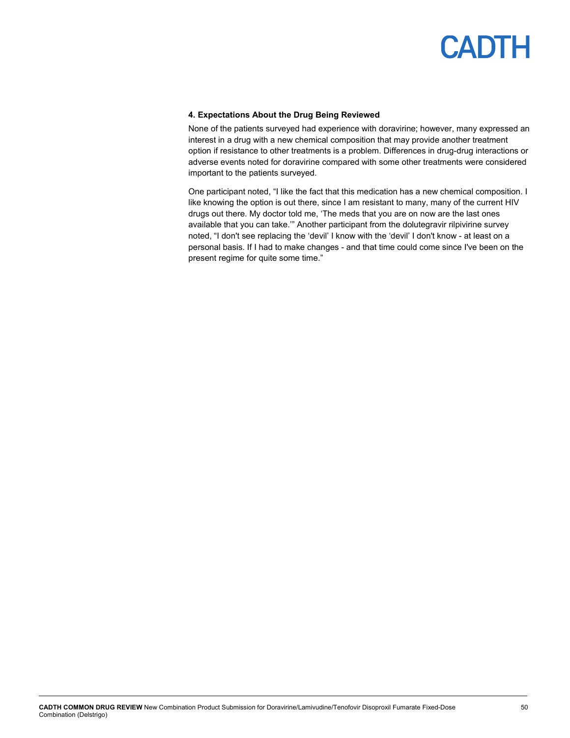#### **4. Expectations About the Drug Being Reviewed**

None of the patients surveyed had experience with doravirine; however, many expressed an interest in a drug with a new chemical composition that may provide another treatment option if resistance to other treatments is a problem. Differences in drug-drug interactions or adverse events noted for doravirine compared with some other treatments were considered important to the patients surveyed.

One participant noted, "I like the fact that this medication has a new chemical composition. I like knowing the option is out there, since I am resistant to many, many of the current HIV drugs out there. My doctor told me, 'The meds that you are on now are the last ones available that you can take.'" Another participant from the dolutegravir rilpivirine survey noted, "I don't see replacing the 'devil' I know with the 'devil' I don't know - at least on a personal basis. If I had to make changes - and that time could come since I've been on the present regime for quite some time."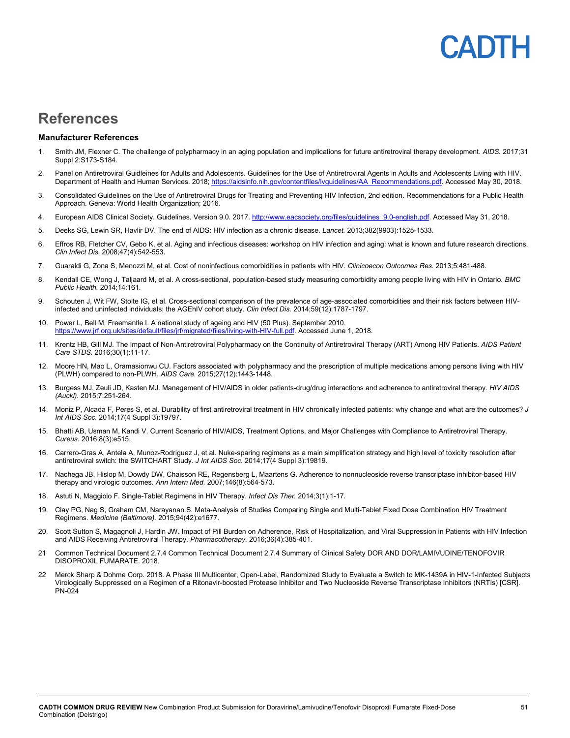# **ADIH**

## <span id="page-50-0"></span>**References**

#### **Manufacturer References**

- 1. Smith JM, Flexner C. The challenge of polypharmacy in an aging population and implications for future antiretroviral therapy development. *AIDS.* 2017;31 Suppl 2:S173-S184.
- 2. Panel on Antiretroviral Guidleines for Adults and Adolescents. Guidelines for the Use of Antiretroviral Agents in Adults and Adolescents Living with HIV. Department of Health and Human Services. 2018[; https://aidsinfo.nih.gov/contentfiles/lvguidelines/AA\\_Recommendations.pdf.](https://aidsinfo.nih.gov/contentfiles/lvguidelines/AA_Recommendations.pdf) Accessed May 30, 2018.
- 3. Consolidated Guidelines on the Use of Antiretroviral Drugs for Treating and Preventing HIV Infection, 2nd edition. Recommendations for a Public Health Approach. Geneva: World Health Organization; 2016.
- 4. European AIDS Clinical Society. Guidelines. Version 9.0. 2017. http://www.eacsociety.org/files/guidelines 9.0-english.pdf. Accessed May 31, 2018.
- 5. Deeks SG, Lewin SR, Havlir DV. The end of AIDS: HIV infection as a chronic disease. *Lancet.* 2013;382(9903):1525-1533.
- 6. Effros RB, Fletcher CV, Gebo K, et al. Aging and infectious diseases: workshop on HIV infection and aging: what is known and future research directions. *Clin Infect Dis.* 2008;47(4):542-553.
- 7. Guaraldi G, Zona S, Menozzi M, et al. Cost of noninfectious comorbidities in patients with HIV. *Clinicoecon Outcomes Res.* 2013;5:481-488.
- 8. Kendall CE, Wong J, Taljaard M, et al. A cross-sectional, population-based study measuring comorbidity among people living with HIV in Ontario. *BMC Public Health.* 2014;14:161.
- 9. Schouten J, Wit FW, Stolte IG, et al. Cross-sectional comparison of the prevalence of age-associated comorbidities and their risk factors between HIVinfected and uninfected individuals: the AGEhIV cohort study. *Clin Infect Dis.* 2014;59(12):1787-1797.
- 10. Power L, Bell M, Freemantle I. A national study of ageing and HIV (50 Plus). September 2010. [https://www.jrf.org.uk/sites/default/files/jrf/migrated/files/living-with-HIV-full.pdf.](https://www.jrf.org.uk/sites/default/files/jrf/migrated/files/living-with-HIV-full.pdf) Accessed June 1, 2018.
- 11. Krentz HB, Gill MJ. The Impact of Non-Antiretroviral Polypharmacy on the Continuity of Antiretroviral Therapy (ART) Among HIV Patients. *AIDS Patient Care STDS.* 2016;30(1):11-17.
- 12. Moore HN, Mao L, Oramasionwu CU. Factors associated with polypharmacy and the prescription of multiple medications among persons living with HIV (PLWH) compared to non-PLWH. *AIDS Care.* 2015;27(12):1443-1448.
- 13. Burgess MJ, Zeuli JD, Kasten MJ. Management of HIV/AIDS in older patients-drug/drug interactions and adherence to antiretroviral therapy. *HIV AIDS (Auckl).* 2015;7:251-264.
- 14. Moniz P, Alcada F, Peres S, et al. Durability of first antiretroviral treatment in HIV chronically infected patients: why change and what are the outcomes? *J Int AIDS Soc.* 2014;17(4 Suppl 3):19797.
- 15. Bhatti AB, Usman M, Kandi V. Current Scenario of HIV/AIDS, Treatment Options, and Major Challenges with Compliance to Antiretroviral Therapy. *Cureus.* 2016;8(3):e515.
- 16. Carrero-Gras A, Antela A, Munoz-Rodriguez J, et al. Nuke-sparing regimens as a main simplification strategy and high level of toxicity resolution after antiretroviral switch: the SWITCHART Study. *J Int AIDS Soc.* 2014;17(4 Suppl 3):19819.
- 17. Nachega JB, Hislop M, Dowdy DW, Chaisson RE, Regensberg L, Maartens G. Adherence to nonnucleoside reverse transcriptase inhibitor-based HIV therapy and virologic outcomes. *Ann Intern Med.* 2007;146(8):564-573.
- 18. Astuti N, Maggiolo F. Single-Tablet Regimens in HIV Therapy. *Infect Dis Ther.* 2014;3(1):1-17.
- 19. Clay PG, Nag S, Graham CM, Narayanan S. Meta-Analysis of Studies Comparing Single and Multi-Tablet Fixed Dose Combination HIV Treatment Regimens. *Medicine (Baltimore).* 2015;94(42):e1677.
- 20. Scott Sutton S, Magagnoli J, Hardin JW. Impact of Pill Burden on Adherence, Risk of Hospitalization, and Viral Suppression in Patients with HIV Infection and AIDS Receiving Antiretroviral Therapy. *Pharmacotherapy.* 2016;36(4):385-401.
- 21 Common Technical Document 2.7.4 Common Technical Document 2.7.4 Summary of Clinical Safety DOR AND DOR/LAMIVUDINE/TENOFOVIR DISOPROXIL FUMARATE. 2018.
- 22 Merck Sharp & Dohme Corp. 2018. A Phase III Multicenter, Open-Label, Randomized Study to Evaluate a Switch to MK-1439A in HIV-1-Infected Subjects Virologically Suppressed on a Regimen of a Ritonavir-boosted Protease Inhibitor and Two Nucleoside Reverse Transcriptase Inhibitors (NRTIs) [CSR]. PN-024